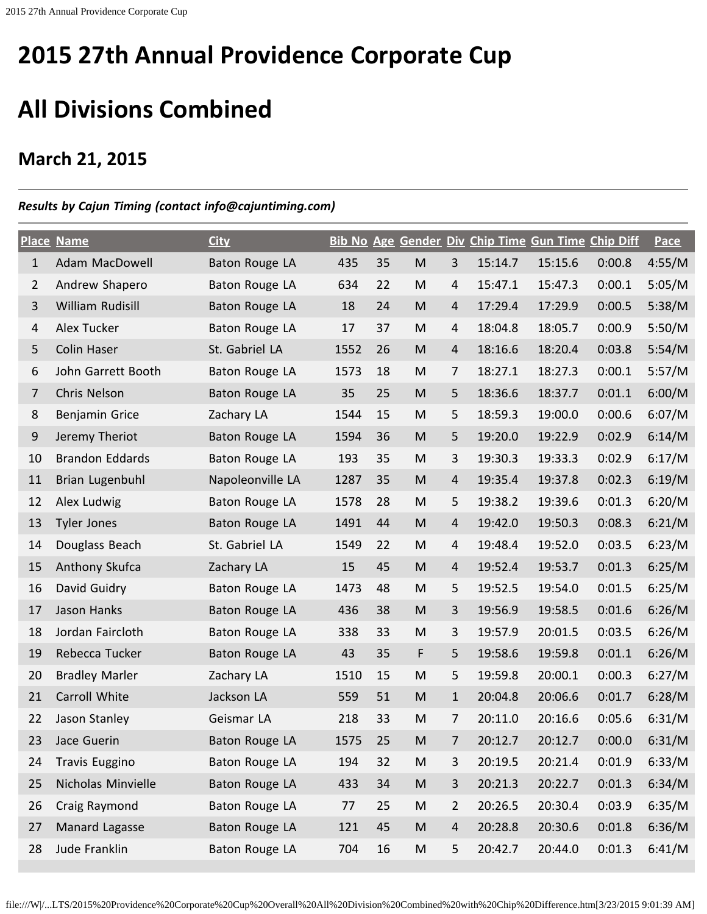## **All Divisions Combined**

## **March 21, 2015**

## *Results by Cajun Timing (contact info@cajuntiming.com)*

|                | <b>Place Name</b>      | <b>City</b>           |      |    |                                                                                                            |                | Bib No Age Gender Div Chip Time Gun Time Chip Diff |         |        | <b>Pace</b> |
|----------------|------------------------|-----------------------|------|----|------------------------------------------------------------------------------------------------------------|----------------|----------------------------------------------------|---------|--------|-------------|
| $\mathbf{1}$   | Adam MacDowell         | Baton Rouge LA        | 435  | 35 | ${\sf M}$                                                                                                  | 3              | 15:14.7                                            | 15:15.6 | 0:00.8 | 4:55/M      |
| $\overline{2}$ | Andrew Shapero         | <b>Baton Rouge LA</b> | 634  | 22 | M                                                                                                          | 4              | 15:47.1                                            | 15:47.3 | 0:00.1 | 5:05/M      |
| 3              | William Rudisill       | <b>Baton Rouge LA</b> | 18   | 24 | ${\sf M}$                                                                                                  | 4              | 17:29.4                                            | 17:29.9 | 0:00.5 | 5:38/M      |
| 4              | Alex Tucker            | Baton Rouge LA        | 17   | 37 | M                                                                                                          | $\overline{4}$ | 18:04.8                                            | 18:05.7 | 0:00.9 | 5:50/M      |
| 5              | <b>Colin Haser</b>     | St. Gabriel LA        | 1552 | 26 | ${\sf M}$                                                                                                  | 4              | 18:16.6                                            | 18:20.4 | 0:03.8 | 5:54/M      |
| 6              | John Garrett Booth     | Baton Rouge LA        | 1573 | 18 | M                                                                                                          | 7              | 18:27.1                                            | 18:27.3 | 0:00.1 | 5:57/M      |
| $\overline{7}$ | Chris Nelson           | Baton Rouge LA        | 35   | 25 | ${\sf M}$                                                                                                  | 5              | 18:36.6                                            | 18:37.7 | 0:01.1 | 6:00/M      |
| 8              | Benjamin Grice         | Zachary LA            | 1544 | 15 | M                                                                                                          | 5              | 18:59.3                                            | 19:00.0 | 0:00.6 | 6:07/M      |
| 9              | Jeremy Theriot         | Baton Rouge LA        | 1594 | 36 | ${\sf M}$                                                                                                  | 5              | 19:20.0                                            | 19:22.9 | 0:02.9 | 6:14/M      |
| 10             | <b>Brandon Eddards</b> | Baton Rouge LA        | 193  | 35 | M                                                                                                          | 3              | 19:30.3                                            | 19:33.3 | 0:02.9 | 6:17/M      |
| 11             | Brian Lugenbuhl        | Napoleonville LA      | 1287 | 35 | ${\sf M}$                                                                                                  | $\overline{4}$ | 19:35.4                                            | 19:37.8 | 0:02.3 | 6:19/M      |
| 12             | Alex Ludwig            | Baton Rouge LA        | 1578 | 28 | M                                                                                                          | 5              | 19:38.2                                            | 19:39.6 | 0:01.3 | 6:20/M      |
| 13             | <b>Tyler Jones</b>     | Baton Rouge LA        | 1491 | 44 | ${\sf M}$                                                                                                  | 4              | 19:42.0                                            | 19:50.3 | 0:08.3 | 6:21/M      |
| 14             | Douglass Beach         | St. Gabriel LA        | 1549 | 22 | M                                                                                                          | 4              | 19:48.4                                            | 19:52.0 | 0:03.5 | 6:23/M      |
| 15             | Anthony Skufca         | Zachary LA            | 15   | 45 | ${\sf M}$                                                                                                  | 4              | 19:52.4                                            | 19:53.7 | 0:01.3 | 6:25/M      |
| 16             | David Guidry           | Baton Rouge LA        | 1473 | 48 | M                                                                                                          | 5              | 19:52.5                                            | 19:54.0 | 0:01.5 | 6:25/M      |
| 17             | Jason Hanks            | <b>Baton Rouge LA</b> | 436  | 38 | ${\sf M}$                                                                                                  | 3              | 19:56.9                                            | 19:58.5 | 0:01.6 | 6:26/M      |
| 18             | Jordan Faircloth       | Baton Rouge LA        | 338  | 33 | ${\sf M}$                                                                                                  | 3              | 19:57.9                                            | 20:01.5 | 0:03.5 | 6:26/M      |
| 19             | Rebecca Tucker         | Baton Rouge LA        | 43   | 35 | F                                                                                                          | 5              | 19:58.6                                            | 19:59.8 | 0:01.1 | 6:26/M      |
| 20             | <b>Bradley Marler</b>  | Zachary LA            | 1510 | 15 | M                                                                                                          | 5              | 19:59.8                                            | 20:00.1 | 0:00.3 | 6:27/M      |
| 21             | Carroll White          | Jackson LA            | 559  | 51 | M                                                                                                          | $\mathbf{1}$   | 20:04.8                                            | 20:06.6 | 0:01.7 | 6:28/M      |
| 22             | Jason Stanley          | Geismar LA            | 218  | 33 | M                                                                                                          | $\overline{7}$ | 20:11.0                                            | 20:16.6 | 0:05.6 | 6:31/M      |
| 23             | Jace Guerin            | <b>Baton Rouge LA</b> | 1575 | 25 | M                                                                                                          | 7              | 20:12.7                                            | 20:12.7 | 0:00.0 | 6:31/M      |
| 24             | <b>Travis Euggino</b>  | Baton Rouge LA        | 194  | 32 | M                                                                                                          | 3              | 20:19.5                                            | 20:21.4 | 0:01.9 | 6:33/M      |
| 25             | Nicholas Minvielle     | Baton Rouge LA        | 433  | 34 | $\mathsf{M}% _{T}=\mathsf{M}_{T}\!\left( a,b\right) ,\ \mathsf{M}_{T}=\mathsf{M}_{T}\!\left( a,b\right) ,$ | 3              | 20:21.3                                            | 20:22.7 | 0:01.3 | 6:34/M      |
| 26             | Craig Raymond          | Baton Rouge LA        | 77   | 25 | ${\sf M}$                                                                                                  | $\overline{2}$ | 20:26.5                                            | 20:30.4 | 0:03.9 | 6:35/M      |
| 27             | Manard Lagasse         | <b>Baton Rouge LA</b> | 121  | 45 | $\mathsf{M}% _{T}=\mathsf{M}_{T}\!\left( a,b\right) ,\ \mathsf{M}_{T}=\mathsf{M}_{T}\!\left( a,b\right) ,$ | $\overline{4}$ | 20:28.8                                            | 20:30.6 | 0:01.8 | 6:36/M      |
| 28             | Jude Franklin          | Baton Rouge LA        | 704  | 16 | ${\sf M}$                                                                                                  | 5              | 20:42.7                                            | 20:44.0 | 0:01.3 | 6:41/M      |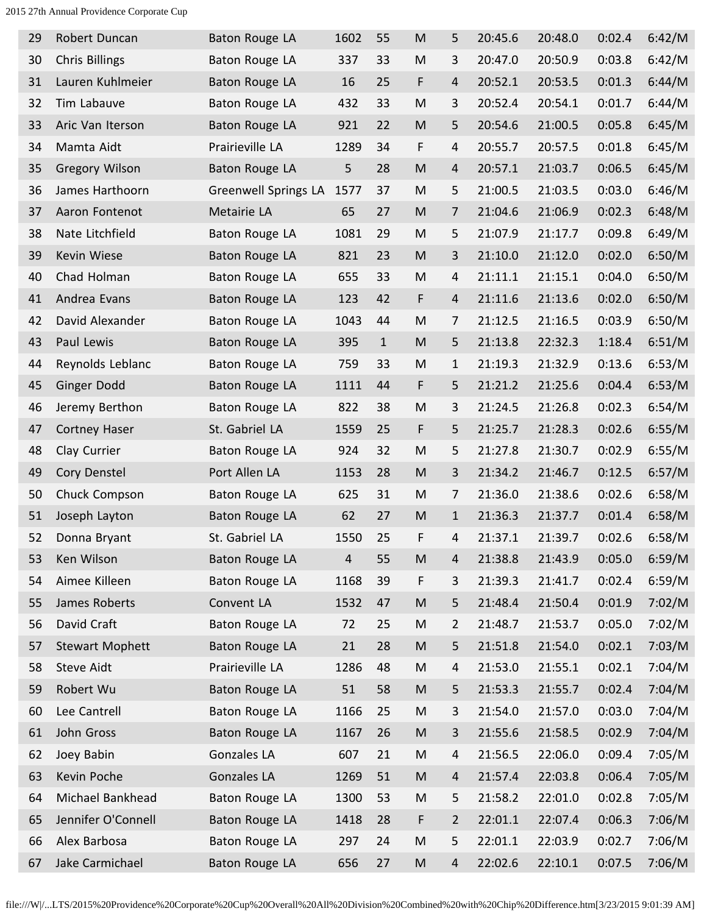| 29 | Robert Duncan          | Baton Rouge LA              | 1602           | 55           | M                                                                                     | 5              | 20:45.6 | 20:48.0 | 0:02.4 | 6:42/M |
|----|------------------------|-----------------------------|----------------|--------------|---------------------------------------------------------------------------------------|----------------|---------|---------|--------|--------|
| 30 | <b>Chris Billings</b>  | Baton Rouge LA              | 337            | 33           | M                                                                                     | 3              | 20:47.0 | 20:50.9 | 0:03.8 | 6:42/M |
| 31 | Lauren Kuhlmeier       | Baton Rouge LA              | 16             | 25           | F                                                                                     | 4              | 20:52.1 | 20:53.5 | 0:01.3 | 6:44/M |
| 32 | Tim Labauve            | Baton Rouge LA              | 432            | 33           | M                                                                                     | 3              | 20:52.4 | 20:54.1 | 0:01.7 | 6:44/M |
| 33 | Aric Van Iterson       | Baton Rouge LA              | 921            | 22           | M                                                                                     | 5              | 20:54.6 | 21:00.5 | 0:05.8 | 6:45/M |
| 34 | Mamta Aidt             | Prairieville LA             | 1289           | 34           | F                                                                                     | 4              | 20:55.7 | 20:57.5 | 0:01.8 | 6:45/M |
| 35 | <b>Gregory Wilson</b>  | Baton Rouge LA              | 5              | 28           | M                                                                                     | $\overline{4}$ | 20:57.1 | 21:03.7 | 0:06.5 | 6:45/M |
| 36 | James Harthoorn        | <b>Greenwell Springs LA</b> | 1577           | 37           | M                                                                                     | 5              | 21:00.5 | 21:03.5 | 0:03.0 | 6:46/M |
| 37 | Aaron Fontenot         | Metairie LA                 | 65             | 27           | M                                                                                     | 7              | 21:04.6 | 21:06.9 | 0:02.3 | 6:48/M |
| 38 | Nate Litchfield        | Baton Rouge LA              | 1081           | 29           | M                                                                                     | 5              | 21:07.9 | 21:17.7 | 0:09.8 | 6:49/M |
| 39 | Kevin Wiese            | Baton Rouge LA              | 821            | 23           | M                                                                                     | 3              | 21:10.0 | 21:12.0 | 0:02.0 | 6:50/M |
| 40 | Chad Holman            | Baton Rouge LA              | 655            | 33           | M                                                                                     | 4              | 21:11.1 | 21:15.1 | 0:04.0 | 6:50/M |
| 41 | Andrea Evans           | Baton Rouge LA              | 123            | 42           | F                                                                                     | $\overline{4}$ | 21:11.6 | 21:13.6 | 0:02.0 | 6:50/M |
| 42 | David Alexander        | Baton Rouge LA              | 1043           | 44           | M                                                                                     | 7              | 21:12.5 | 21:16.5 | 0:03.9 | 6:50/M |
| 43 | Paul Lewis             | Baton Rouge LA              | 395            | $\mathbf{1}$ | M                                                                                     | 5              | 21:13.8 | 22:32.3 | 1:18.4 | 6:51/M |
| 44 | Reynolds Leblanc       | Baton Rouge LA              | 759            | 33           | M                                                                                     | $\mathbf{1}$   | 21:19.3 | 21:32.9 | 0:13.6 | 6:53/M |
| 45 | <b>Ginger Dodd</b>     | Baton Rouge LA              | 1111           | 44           | F                                                                                     | 5              | 21:21.2 | 21:25.6 | 0:04.4 | 6:53/M |
| 46 | Jeremy Berthon         | Baton Rouge LA              | 822            | 38           | M                                                                                     | 3              | 21:24.5 | 21:26.8 | 0:02.3 | 6:54/M |
| 47 | <b>Cortney Haser</b>   | St. Gabriel LA              | 1559           | 25           | F                                                                                     | 5              | 21:25.7 | 21:28.3 | 0:02.6 | 6:55/M |
| 48 | Clay Currier           | Baton Rouge LA              | 924            | 32           | M                                                                                     | 5              | 21:27.8 | 21:30.7 | 0:02.9 | 6:55/M |
| 49 | Cory Denstel           | Port Allen LA               | 1153           | 28           | M                                                                                     | 3              | 21:34.2 | 21:46.7 | 0:12.5 | 6:57/M |
| 50 | Chuck Compson          | Baton Rouge LA              | 625            | 31           | M                                                                                     | $\overline{7}$ | 21:36.0 | 21:38.6 | 0:02.6 | 6:58/M |
| 51 | Joseph Layton          | Baton Rouge LA              | 62             | 27           | M                                                                                     | $\mathbf{1}$   | 21:36.3 | 21:37.7 | 0:01.4 | 6:58/M |
| 52 | Donna Bryant           | St. Gabriel LA              | 1550           | 25           | F                                                                                     | 4              | 21:37.1 | 21:39.7 | 0:02.6 | 6:58/M |
| 53 | Ken Wilson             | Baton Rouge LA              | $\overline{4}$ | 55           | $\mathsf{M}% _{T}=\mathsf{M}_{T}\!\left( a,b\right) ,\ \mathsf{M}_{T}=\mathsf{M}_{T}$ | $\overline{4}$ | 21:38.8 | 21:43.9 | 0:05.0 | 6:59/M |
| 54 | Aimee Killeen          | Baton Rouge LA              | 1168           | 39           | F                                                                                     | 3              | 21:39.3 | 21:41.7 | 0:02.4 | 6:59/M |
| 55 | James Roberts          | Convent LA                  | 1532           | 47           | M                                                                                     | 5              | 21:48.4 | 21:50.4 | 0:01.9 | 7:02/M |
| 56 | David Craft            | Baton Rouge LA              | 72             | 25           | M                                                                                     | $\overline{2}$ | 21:48.7 | 21:53.7 | 0:05.0 | 7:02/M |
| 57 | <b>Stewart Mophett</b> | Baton Rouge LA              | 21             | 28           | ${\sf M}$                                                                             | 5              | 21:51.8 | 21:54.0 | 0:02.1 | 7:03/M |
| 58 | <b>Steve Aidt</b>      | Prairieville LA             | 1286           | 48           | M                                                                                     | $\overline{4}$ | 21:53.0 | 21:55.1 | 0:02.1 | 7:04/M |
| 59 | Robert Wu              | Baton Rouge LA              | 51             | 58           | ${\sf M}$                                                                             | 5              | 21:53.3 | 21:55.7 | 0:02.4 | 7:04/M |
| 60 | Lee Cantrell           | Baton Rouge LA              | 1166           | 25           | ${\sf M}$                                                                             | 3              | 21:54.0 | 21:57.0 | 0:03.0 | 7:04/M |
| 61 | John Gross             | Baton Rouge LA              | 1167           | 26           | ${\sf M}$                                                                             | 3              | 21:55.6 | 21:58.5 | 0:02.9 | 7:04/M |
| 62 | Joey Babin             | Gonzales LA                 | 607            | 21           | M                                                                                     | 4              | 21:56.5 | 22:06.0 | 0:09.4 | 7:05/M |
| 63 | Kevin Poche            | Gonzales LA                 | 1269           | 51           | M                                                                                     | 4              | 21:57.4 | 22:03.8 | 0:06.4 | 7:05/M |
| 64 | Michael Bankhead       | <b>Baton Rouge LA</b>       | 1300           | 53           | M                                                                                     | 5              | 21:58.2 | 22:01.0 | 0:02.8 | 7:05/M |
| 65 | Jennifer O'Connell     | <b>Baton Rouge LA</b>       | 1418           | 28           | F                                                                                     | $\overline{2}$ | 22:01.1 | 22:07.4 | 0:06.3 | 7:06/M |
| 66 | Alex Barbosa           | <b>Baton Rouge LA</b>       | 297            | 24           | ${\sf M}$                                                                             | 5              | 22:01.1 | 22:03.9 | 0:02.7 | 7:06/M |
| 67 | Jake Carmichael        | Baton Rouge LA              | 656            | 27           | M                                                                                     | 4              | 22:02.6 | 22:10.1 | 0:07.5 | 7:06/M |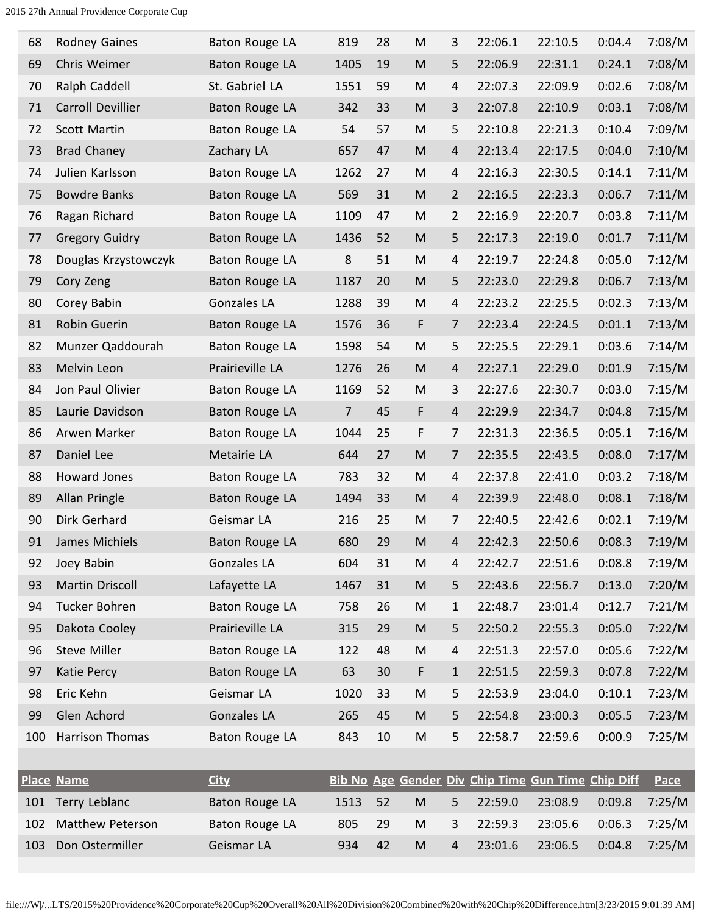| 68  | <b>Rodney Gaines</b>    | Baton Rouge LA        | 819  | 28 | M                                                                                                          | 3              | 22:06.1 | 22:10.5                                            | 0:04.4 | 7:08/M      |
|-----|-------------------------|-----------------------|------|----|------------------------------------------------------------------------------------------------------------|----------------|---------|----------------------------------------------------|--------|-------------|
| 69  | Chris Weimer            | Baton Rouge LA        | 1405 | 19 | M                                                                                                          | 5              | 22:06.9 | 22:31.1                                            | 0:24.1 | 7:08/M      |
| 70  | Ralph Caddell           | St. Gabriel LA        | 1551 | 59 | M                                                                                                          | 4              | 22:07.3 | 22:09.9                                            | 0:02.6 | 7:08/M      |
| 71  | Carroll Devillier       | Baton Rouge LA        | 342  | 33 | M                                                                                                          | 3              | 22:07.8 | 22:10.9                                            | 0:03.1 | 7:08/M      |
| 72  | <b>Scott Martin</b>     | Baton Rouge LA        | 54   | 57 | ${\sf M}$                                                                                                  | 5              | 22:10.8 | 22:21.3                                            | 0:10.4 | 7:09/M      |
| 73  | <b>Brad Chaney</b>      | Zachary LA            | 657  | 47 | ${\sf M}$                                                                                                  | 4              | 22:13.4 | 22:17.5                                            | 0:04.0 | 7:10/M      |
| 74  | Julien Karlsson         | Baton Rouge LA        | 1262 | 27 | M                                                                                                          | 4              | 22:16.3 | 22:30.5                                            | 0:14.1 | 7:11/M      |
| 75  | <b>Bowdre Banks</b>     | <b>Baton Rouge LA</b> | 569  | 31 | ${\sf M}$                                                                                                  | $\overline{2}$ | 22:16.5 | 22:23.3                                            | 0:06.7 | 7:11/M      |
| 76  | Ragan Richard           | Baton Rouge LA        | 1109 | 47 | ${\sf M}$                                                                                                  | $\overline{2}$ | 22:16.9 | 22:20.7                                            | 0:03.8 | 7:11/M      |
| 77  | <b>Gregory Guidry</b>   | Baton Rouge LA        | 1436 | 52 | M                                                                                                          | 5              | 22:17.3 | 22:19.0                                            | 0:01.7 | 7:11/M      |
| 78  | Douglas Krzystowczyk    | Baton Rouge LA        | 8    | 51 | M                                                                                                          | 4              | 22:19.7 | 22:24.8                                            | 0:05.0 | 7:12/M      |
| 79  | Cory Zeng               | <b>Baton Rouge LA</b> | 1187 | 20 | ${\sf M}$                                                                                                  | 5              | 22:23.0 | 22:29.8                                            | 0:06.7 | 7:13/M      |
| 80  | Corey Babin             | Gonzales LA           | 1288 | 39 | M                                                                                                          | 4              | 22:23.2 | 22:25.5                                            | 0:02.3 | 7:13/M      |
| 81  | Robin Guerin            | Baton Rouge LA        | 1576 | 36 | F                                                                                                          | 7              | 22:23.4 | 22:24.5                                            | 0:01.1 | 7:13/M      |
| 82  | Munzer Qaddourah        | Baton Rouge LA        | 1598 | 54 | ${\sf M}$                                                                                                  | 5              | 22:25.5 | 22:29.1                                            | 0:03.6 | 7:14/M      |
| 83  | Melvin Leon             | Prairieville LA       | 1276 | 26 | ${\sf M}$                                                                                                  | 4              | 22:27.1 | 22:29.0                                            | 0:01.9 | 7:15/M      |
| 84  | Jon Paul Olivier        | Baton Rouge LA        | 1169 | 52 | ${\sf M}$                                                                                                  | 3              | 22:27.6 | 22:30.7                                            | 0:03.0 | 7:15/M      |
| 85  | Laurie Davidson         | Baton Rouge LA        | 7    | 45 | F                                                                                                          | 4              | 22:29.9 | 22:34.7                                            | 0:04.8 | 7:15/M      |
| 86  | Arwen Marker            | Baton Rouge LA        | 1044 | 25 | F                                                                                                          | 7              | 22:31.3 | 22:36.5                                            | 0:05.1 | 7:16/M      |
| 87  | Daniel Lee              | Metairie LA           | 644  | 27 | M                                                                                                          | 7              | 22:35.5 | 22:43.5                                            | 0:08.0 | 7:17/M      |
| 88  | Howard Jones            | Baton Rouge LA        | 783  | 32 | M                                                                                                          | 4              | 22:37.8 | 22:41.0                                            | 0:03.2 | 7:18/M      |
| 89  | Allan Pringle           | Baton Rouge LA        | 1494 | 33 | ${\sf M}$                                                                                                  | 4              | 22:39.9 | 22:48.0                                            | 0:08.1 | 7:18/M      |
| 90  | Dirk Gerhard            | Geismar LA            | 216  | 25 | M                                                                                                          | 7              | 22:40.5 | 22:42.6                                            | 0:02.1 | 7:19/M      |
| 91  | James Michiels          | Baton Rouge LA        | 680  | 29 | M                                                                                                          | 4              | 22:42.3 | 22:50.6                                            | 0:08.3 | 7:19/M      |
| 92  | Joey Babin              | Gonzales LA           | 604  | 31 | M                                                                                                          | 4              | 22:42.7 | 22:51.6                                            | 0:08.8 | 7:19/M      |
| 93  | Martin Driscoll         | Lafayette LA          | 1467 | 31 | ${\sf M}$                                                                                                  | 5              | 22:43.6 | 22:56.7                                            | 0:13.0 | 7:20/M      |
| 94  | Tucker Bohren           | Baton Rouge LA        | 758  | 26 | M                                                                                                          | $\mathbf{1}$   | 22:48.7 | 23:01.4                                            | 0:12.7 | 7:21/M      |
| 95  | Dakota Cooley           | Prairieville LA       | 315  | 29 | M                                                                                                          | 5              | 22:50.2 | 22:55.3                                            | 0:05.0 | 7:22/M      |
| 96  | <b>Steve Miller</b>     | Baton Rouge LA        | 122  | 48 | M                                                                                                          | 4              | 22:51.3 | 22:57.0                                            | 0:05.6 | 7:22/M      |
| 97  | Katie Percy             | Baton Rouge LA        | 63   | 30 | F                                                                                                          | $\mathbf{1}$   | 22:51.5 | 22:59.3                                            | 0:07.8 | 7:22/M      |
| 98  | Eric Kehn               | Geismar LA            | 1020 | 33 | M                                                                                                          | 5              | 22:53.9 | 23:04.0                                            | 0:10.1 | 7:23/M      |
| 99  | Glen Achord             | <b>Gonzales LA</b>    | 265  | 45 | $\mathsf{M}% _{T}=\mathsf{M}_{T}\!\left( a,b\right) ,\ \mathsf{M}_{T}=\mathsf{M}_{T}\!\left( a,b\right) ,$ | 5              | 22:54.8 | 23:00.3                                            | 0:05.5 | 7:23/M      |
| 100 | Harrison Thomas         | Baton Rouge LA        | 843  | 10 | ${\sf M}$                                                                                                  | 5              | 22:58.7 | 22:59.6                                            | 0:00.9 | 7:25/M      |
|     |                         |                       |      |    |                                                                                                            |                |         |                                                    |        |             |
|     | <b>Place Name</b>       | <b>City</b>           |      |    |                                                                                                            |                |         | Bib No Age Gender Div Chip Time Gun Time Chip Diff |        | <b>Pace</b> |
| 101 | Terry Leblanc           | Baton Rouge LA        | 1513 | 52 | ${\sf M}$                                                                                                  | 5              | 22:59.0 | 23:08.9                                            | 0:09.8 | 7:25/M      |
| 102 | <b>Matthew Peterson</b> | Baton Rouge LA        | 805  | 29 | ${\sf M}$                                                                                                  | 3              | 22:59.3 | 23:05.6                                            | 0:06.3 | 7:25/M      |
| 103 | Don Ostermiller         | Geismar LA            | 934  | 42 | ${\sf M}$                                                                                                  | $\overline{4}$ | 23:01.6 | 23:06.5                                            | 0:04.8 | 7:25/M      |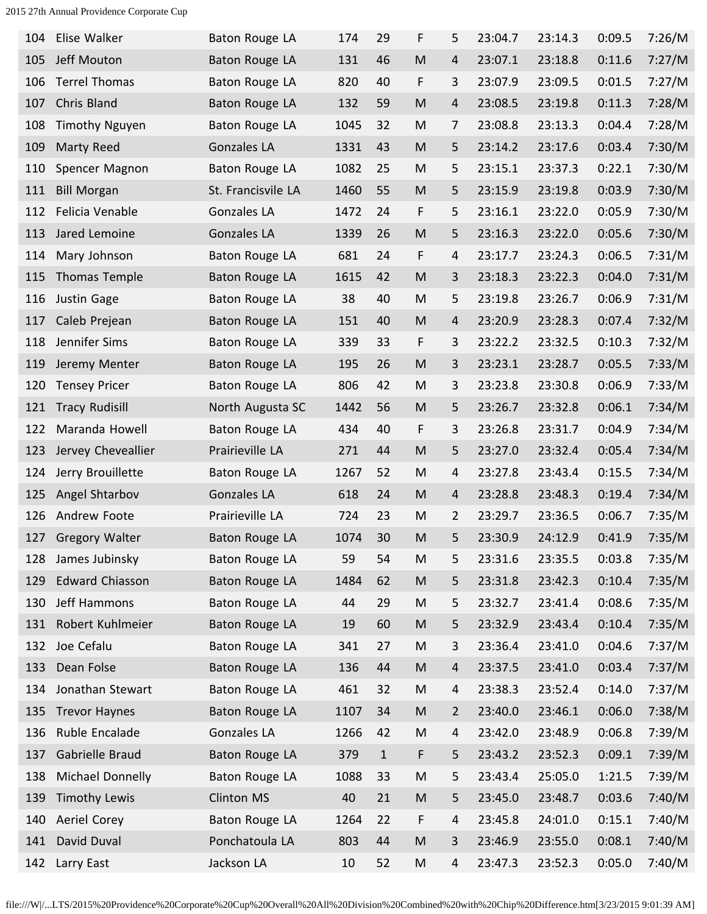| 104 | Elise Walker           | Baton Rouge LA        | 174  | 29    | F                                                                                     | 5              | 23:04.7 | 23:14.3 | 0:09.5 | 7:26/M |
|-----|------------------------|-----------------------|------|-------|---------------------------------------------------------------------------------------|----------------|---------|---------|--------|--------|
| 105 | Jeff Mouton            | Baton Rouge LA        | 131  | 46    | $\mathsf{M}% _{T}=\mathsf{M}_{T}\!\left( a,b\right) ,\ \mathsf{M}_{T}=\mathsf{M}_{T}$ | 4              | 23:07.1 | 23:18.8 | 0:11.6 | 7:27/M |
| 106 | <b>Terrel Thomas</b>   | <b>Baton Rouge LA</b> | 820  | 40    | F                                                                                     | 3              | 23:07.9 | 23:09.5 | 0:01.5 | 7:27/M |
| 107 | Chris Bland            | Baton Rouge LA        | 132  | 59    | M                                                                                     | 4              | 23:08.5 | 23:19.8 | 0:11.3 | 7:28/M |
| 108 | <b>Timothy Nguyen</b>  | Baton Rouge LA        | 1045 | 32    | M                                                                                     | 7              | 23:08.8 | 23:13.3 | 0:04.4 | 7:28/M |
| 109 | Marty Reed             | <b>Gonzales LA</b>    | 1331 | 43    | M                                                                                     | 5              | 23:14.2 | 23:17.6 | 0:03.4 | 7:30/M |
| 110 | Spencer Magnon         | Baton Rouge LA        | 1082 | 25    | M                                                                                     | 5              | 23:15.1 | 23:37.3 | 0:22.1 | 7:30/M |
| 111 | <b>Bill Morgan</b>     | St. Francisvile LA    | 1460 | 55    | ${\sf M}$                                                                             | 5              | 23:15.9 | 23:19.8 | 0:03.9 | 7:30/M |
| 112 | Felicia Venable        | Gonzales LA           | 1472 | 24    | F                                                                                     | 5              | 23:16.1 | 23:22.0 | 0:05.9 | 7:30/M |
| 113 | Jared Lemoine          | Gonzales LA           | 1339 | 26    | ${\sf M}$                                                                             | 5              | 23:16.3 | 23:22.0 | 0:05.6 | 7:30/M |
| 114 | Mary Johnson           | <b>Baton Rouge LA</b> | 681  | 24    | F                                                                                     | $\overline{4}$ | 23:17.7 | 23:24.3 | 0:06.5 | 7:31/M |
| 115 | Thomas Temple          | Baton Rouge LA        | 1615 | 42    | M                                                                                     | 3              | 23:18.3 | 23:22.3 | 0:04.0 | 7:31/M |
| 116 | Justin Gage            | Baton Rouge LA        | 38   | 40    | ${\sf M}$                                                                             | 5              | 23:19.8 | 23:26.7 | 0:06.9 | 7:31/M |
| 117 | Caleb Prejean          | Baton Rouge LA        | 151  | 40    | ${\sf M}$                                                                             | 4              | 23:20.9 | 23:28.3 | 0:07.4 | 7:32/M |
| 118 | Jennifer Sims          | Baton Rouge LA        | 339  | 33    | F                                                                                     | 3              | 23:22.2 | 23:32.5 | 0:10.3 | 7:32/M |
| 119 | Jeremy Menter          | Baton Rouge LA        | 195  | 26    | M                                                                                     | 3              | 23:23.1 | 23:28.7 | 0:05.5 | 7:33/M |
| 120 | <b>Tensey Pricer</b>   | Baton Rouge LA        | 806  | 42    | M                                                                                     | 3              | 23:23.8 | 23:30.8 | 0:06.9 | 7:33/M |
| 121 | <b>Tracy Rudisill</b>  | North Augusta SC      | 1442 | 56    | M                                                                                     | 5              | 23:26.7 | 23:32.8 | 0:06.1 | 7:34/M |
| 122 | Maranda Howell         | Baton Rouge LA        | 434  | 40    | F                                                                                     | 3              | 23:26.8 | 23:31.7 | 0:04.9 | 7:34/M |
| 123 | Jervey Cheveallier     | Prairieville LA       | 271  | 44    | M                                                                                     | 5              | 23:27.0 | 23:32.4 | 0:05.4 | 7:34/M |
| 124 | Jerry Brouillette      | Baton Rouge LA        | 1267 | 52    | M                                                                                     | $\overline{4}$ | 23:27.8 | 23:43.4 | 0:15.5 | 7:34/M |
| 125 | Angel Shtarbov         | <b>Gonzales LA</b>    | 618  | 24    | M                                                                                     | 4              | 23:28.8 | 23:48.3 | 0:19.4 | 7:34/M |
| 126 | Andrew Foote           | Prairieville LA       | 724  | 23    | M                                                                                     | $\overline{2}$ | 23:29.7 | 23:36.5 | 0:06.7 | 7:35/M |
| 127 | <b>Gregory Walter</b>  | Baton Rouge LA        | 1074 | 30    | M                                                                                     | 5              | 23:30.9 | 24:12.9 | 0:41.9 | 7:35/M |
| 128 | James Jubinsky         | Baton Rouge LA        | 59   | 54    | M                                                                                     | 5              | 23:31.6 | 23:35.5 | 0:03.8 | 7:35/M |
| 129 | <b>Edward Chiasson</b> | Baton Rouge LA        | 1484 | 62    | ${\sf M}$                                                                             | 5              | 23:31.8 | 23:42.3 | 0:10.4 | 7:35/M |
| 130 | Jeff Hammons           | <b>Baton Rouge LA</b> | 44   | 29    | M                                                                                     | 5              | 23:32.7 | 23:41.4 | 0:08.6 | 7:35/M |
| 131 | Robert Kuhlmeier       | <b>Baton Rouge LA</b> | 19   | 60    | M                                                                                     | 5              | 23:32.9 | 23:43.4 | 0:10.4 | 7:35/M |
| 132 | Joe Cefalu             | <b>Baton Rouge LA</b> | 341  | 27    | ${\sf M}$                                                                             | 3              | 23:36.4 | 23:41.0 | 0:04.6 | 7:37/M |
| 133 | Dean Folse             | <b>Baton Rouge LA</b> | 136  | 44    | M                                                                                     | $\overline{4}$ | 23:37.5 | 23:41.0 | 0:03.4 | 7:37/M |
| 134 | Jonathan Stewart       | Baton Rouge LA        | 461  | 32    | M                                                                                     | 4              | 23:38.3 | 23:52.4 | 0:14.0 | 7:37/M |
| 135 | <b>Trevor Haynes</b>   | Baton Rouge LA        | 1107 | 34    | M                                                                                     | $\overline{2}$ | 23:40.0 | 23:46.1 | 0:06.0 | 7:38/M |
| 136 | Ruble Encalade         | <b>Gonzales LA</b>    | 1266 | 42    | ${\sf M}$                                                                             | 4              | 23:42.0 | 23:48.9 | 0:06.8 | 7:39/M |
| 137 | Gabrielle Braud        | Baton Rouge LA        | 379  | $1\,$ | F                                                                                     | 5              | 23:43.2 | 23:52.3 | 0:09.1 | 7:39/M |
| 138 | Michael Donnelly       | <b>Baton Rouge LA</b> | 1088 | 33    | M                                                                                     | 5              | 23:43.4 | 25:05.0 | 1:21.5 | 7:39/M |
| 139 | <b>Timothy Lewis</b>   | Clinton MS            | 40   | 21    | M                                                                                     | 5              | 23:45.0 | 23:48.7 | 0:03.6 | 7:40/M |
| 140 | <b>Aeriel Corey</b>    | <b>Baton Rouge LA</b> | 1264 | 22    | F                                                                                     | 4              | 23:45.8 | 24:01.0 | 0:15.1 | 7:40/M |
| 141 | David Duval            | Ponchatoula LA        | 803  | 44    | ${\sf M}$                                                                             | 3              | 23:46.9 | 23:55.0 | 0:08.1 | 7:40/M |
| 142 | Larry East             | Jackson LA            | 10   | 52    | M                                                                                     | 4              | 23:47.3 | 23:52.3 | 0:05.0 | 7:40/M |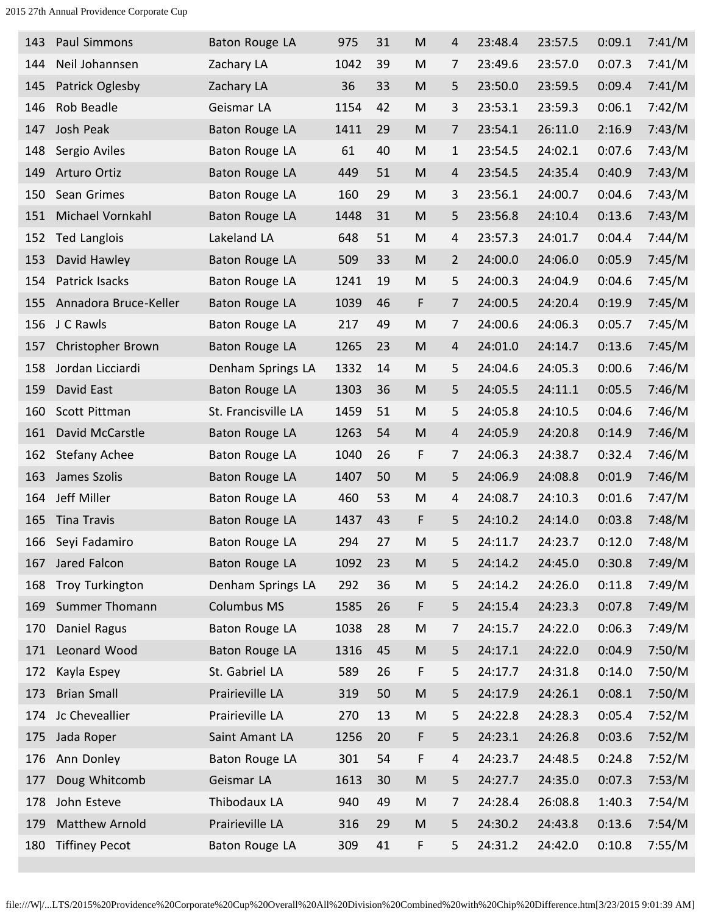| 143 | Paul Simmons          | Baton Rouge LA        | 975  | 31 | M                                                                                                          | 4              | 23:48.4 | 23:57.5 | 0:09.1 | 7:41/M |
|-----|-----------------------|-----------------------|------|----|------------------------------------------------------------------------------------------------------------|----------------|---------|---------|--------|--------|
| 144 | Neil Johannsen        | Zachary LA            | 1042 | 39 | M                                                                                                          | 7              | 23:49.6 | 23:57.0 | 0:07.3 | 7:41/M |
| 145 | Patrick Oglesby       | Zachary LA            | 36   | 33 | M                                                                                                          | 5              | 23:50.0 | 23:59.5 | 0:09.4 | 7:41/M |
| 146 | Rob Beadle            | Geismar LA            | 1154 | 42 | M                                                                                                          | 3              | 23:53.1 | 23:59.3 | 0:06.1 | 7:42/M |
| 147 | Josh Peak             | Baton Rouge LA        | 1411 | 29 | M                                                                                                          | 7              | 23:54.1 | 26:11.0 | 2:16.9 | 7:43/M |
| 148 | Sergio Aviles         | Baton Rouge LA        | 61   | 40 | M                                                                                                          | $\mathbf{1}$   | 23:54.5 | 24:02.1 | 0:07.6 | 7:43/M |
| 149 | Arturo Ortiz          | Baton Rouge LA        | 449  | 51 | M                                                                                                          | 4              | 23:54.5 | 24:35.4 | 0:40.9 | 7:43/M |
| 150 | Sean Grimes           | Baton Rouge LA        | 160  | 29 | M                                                                                                          | 3              | 23:56.1 | 24:00.7 | 0:04.6 | 7:43/M |
| 151 | Michael Vornkahl      | Baton Rouge LA        | 1448 | 31 | M                                                                                                          | 5              | 23:56.8 | 24:10.4 | 0:13.6 | 7:43/M |
| 152 | <b>Ted Langlois</b>   | Lakeland LA           | 648  | 51 | M                                                                                                          | 4              | 23:57.3 | 24:01.7 | 0:04.4 | 7:44/M |
| 153 | David Hawley          | <b>Baton Rouge LA</b> | 509  | 33 | M                                                                                                          | $\overline{2}$ | 24:00.0 | 24:06.0 | 0:05.9 | 7:45/M |
| 154 | Patrick Isacks        | Baton Rouge LA        | 1241 | 19 | M                                                                                                          | 5              | 24:00.3 | 24:04.9 | 0:04.6 | 7:45/M |
| 155 | Annadora Bruce-Keller | Baton Rouge LA        | 1039 | 46 | F                                                                                                          | 7              | 24:00.5 | 24:20.4 | 0:19.9 | 7:45/M |
| 156 | J C Rawls             | Baton Rouge LA        | 217  | 49 | M                                                                                                          | 7              | 24:00.6 | 24:06.3 | 0:05.7 | 7:45/M |
| 157 | Christopher Brown     | Baton Rouge LA        | 1265 | 23 | M                                                                                                          | 4              | 24:01.0 | 24:14.7 | 0:13.6 | 7:45/M |
| 158 | Jordan Licciardi      | Denham Springs LA     | 1332 | 14 | M                                                                                                          | 5              | 24:04.6 | 24:05.3 | 0:00.6 | 7:46/M |
| 159 | David East            | Baton Rouge LA        | 1303 | 36 | M                                                                                                          | 5              | 24:05.5 | 24:11.1 | 0:05.5 | 7:46/M |
| 160 | Scott Pittman         | St. Francisville LA   | 1459 | 51 | M                                                                                                          | 5              | 24:05.8 | 24:10.5 | 0:04.6 | 7:46/M |
| 161 | David McCarstle       | Baton Rouge LA        | 1263 | 54 | M                                                                                                          | 4              | 24:05.9 | 24:20.8 | 0:14.9 | 7:46/M |
| 162 | <b>Stefany Achee</b>  | Baton Rouge LA        | 1040 | 26 | F                                                                                                          | 7              | 24:06.3 | 24:38.7 | 0:32.4 | 7:46/M |
| 163 | James Szolis          | Baton Rouge LA        | 1407 | 50 | M                                                                                                          | 5              | 24:06.9 | 24:08.8 | 0:01.9 | 7:46/M |
| 164 | Jeff Miller           | Baton Rouge LA        | 460  | 53 | M                                                                                                          | 4              | 24:08.7 | 24:10.3 | 0:01.6 | 7:47/M |
| 165 | <b>Tina Travis</b>    | Baton Rouge LA        | 1437 | 43 | F                                                                                                          | 5              | 24:10.2 | 24:14.0 | 0:03.8 | 7:48/M |
| 166 | Seyi Fadamiro         | Baton Rouge LA        | 294  | 27 | M                                                                                                          | 5              | 24:11.7 | 24:23.7 | 0:12.0 | 7:48/M |
| 167 | Jared Falcon          | Baton Rouge LA        | 1092 | 23 | M                                                                                                          | 5              | 24:14.2 | 24:45.0 | 0:30.8 | 7:49/M |
| 168 | Troy Turkington       | Denham Springs LA     | 292  | 36 | M                                                                                                          | 5              | 24:14.2 | 24:26.0 | 0:11.8 | 7:49/M |
| 169 | Summer Thomann        | <b>Columbus MS</b>    | 1585 | 26 | F                                                                                                          | 5              | 24:15.4 | 24:23.3 | 0:07.8 | 7:49/M |
| 170 | Daniel Ragus          | Baton Rouge LA        | 1038 | 28 | M                                                                                                          | 7              | 24:15.7 | 24:22.0 | 0:06.3 | 7:49/M |
| 171 | Leonard Wood          | <b>Baton Rouge LA</b> | 1316 | 45 | ${\sf M}$                                                                                                  | 5              | 24:17.1 | 24:22.0 | 0:04.9 | 7:50/M |
| 172 | Kayla Espey           | St. Gabriel LA        | 589  | 26 | F                                                                                                          | 5              | 24:17.7 | 24:31.8 | 0:14.0 | 7:50/M |
| 173 | <b>Brian Small</b>    | Prairieville LA       | 319  | 50 | $\mathsf{M}% _{T}=\mathsf{M}_{T}\!\left( a,b\right) ,\ \mathsf{M}_{T}=\mathsf{M}_{T}\!\left( a,b\right) ,$ | 5              | 24:17.9 | 24:26.1 | 0:08.1 | 7:50/M |
| 174 | Jc Cheveallier        | Prairieville LA       | 270  | 13 | M                                                                                                          | 5              | 24:22.8 | 24:28.3 | 0:05.4 | 7:52/M |
| 175 | Jada Roper            | Saint Amant LA        | 1256 | 20 | F                                                                                                          | 5              | 24:23.1 | 24:26.8 | 0:03.6 | 7:52/M |
| 176 | Ann Donley            | Baton Rouge LA        | 301  | 54 | F                                                                                                          | 4              | 24:23.7 | 24:48.5 | 0:24.8 | 7:52/M |
| 177 | Doug Whitcomb         | Geismar LA            | 1613 | 30 | M                                                                                                          | 5              | 24:27.7 | 24:35.0 | 0:07.3 | 7:53/M |
| 178 | John Esteve           | Thibodaux LA          | 940  | 49 | M                                                                                                          | $\overline{7}$ | 24:28.4 | 26:08.8 | 1:40.3 | 7:54/M |
| 179 | <b>Matthew Arnold</b> | Prairieville LA       | 316  | 29 | M                                                                                                          | 5              | 24:30.2 | 24:43.8 | 0:13.6 | 7:54/M |
| 180 | <b>Tiffiney Pecot</b> | Baton Rouge LA        | 309  | 41 | F                                                                                                          | 5              | 24:31.2 | 24:42.0 | 0:10.8 | 7:55/M |
|     |                       |                       |      |    |                                                                                                            |                |         |         |        |        |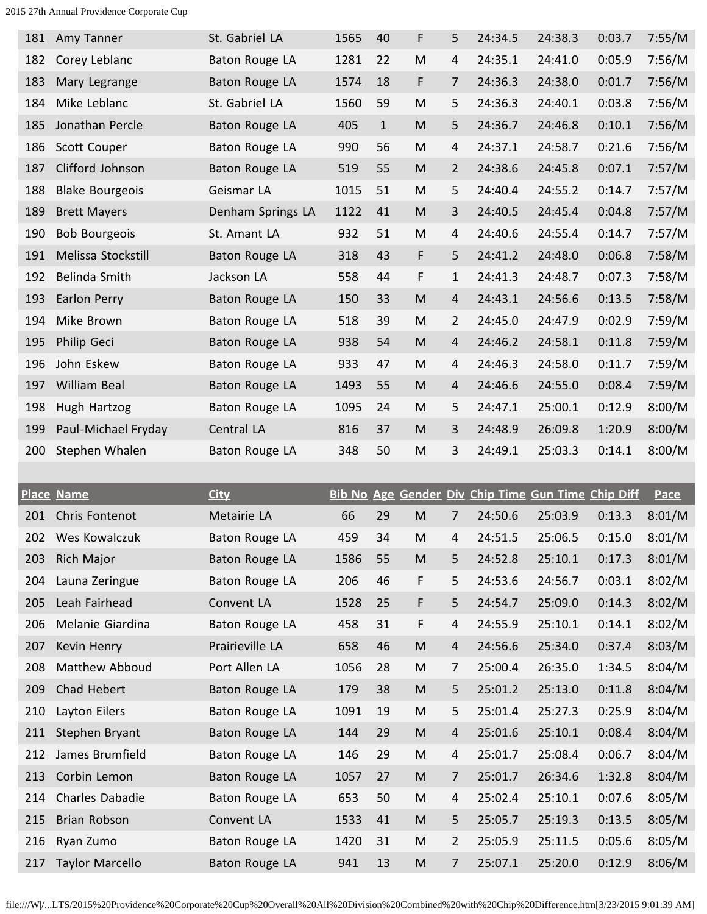| 181 | Amy Tanner             | St. Gabriel LA        | 1565 | 40           | F                                                                                     | 5              | 24:34.5 | 24:38.3                                            | 0:03.7 | 7:55/M      |
|-----|------------------------|-----------------------|------|--------------|---------------------------------------------------------------------------------------|----------------|---------|----------------------------------------------------|--------|-------------|
| 182 | Corey Leblanc          | <b>Baton Rouge LA</b> | 1281 | 22           | M                                                                                     | 4              | 24:35.1 | 24:41.0                                            | 0:05.9 | 7:56/M      |
| 183 | Mary Legrange          | <b>Baton Rouge LA</b> | 1574 | 18           | F                                                                                     | $\overline{7}$ | 24:36.3 | 24:38.0                                            | 0:01.7 | 7:56/M      |
| 184 | Mike Leblanc           | St. Gabriel LA        | 1560 | 59           | M                                                                                     | 5              | 24:36.3 | 24:40.1                                            | 0:03.8 | 7:56/M      |
| 185 | Jonathan Percle        | Baton Rouge LA        | 405  | $\mathbf{1}$ | $\mathsf{M}% _{T}=\mathsf{M}_{T}\!\left( a,b\right) ,\ \mathsf{M}_{T}=\mathsf{M}_{T}$ | 5              | 24:36.7 | 24:46.8                                            | 0:10.1 | 7:56/M      |
| 186 | Scott Couper           | Baton Rouge LA        | 990  | 56           | M                                                                                     | $\overline{4}$ | 24:37.1 | 24:58.7                                            | 0:21.6 | 7:56/M      |
| 187 | Clifford Johnson       | Baton Rouge LA        | 519  | 55           | $\mathsf{M}% _{T}=\mathsf{M}_{T}\!\left( a,b\right) ,\ \mathsf{M}_{T}=\mathsf{M}_{T}$ | $\overline{2}$ | 24:38.6 | 24:45.8                                            | 0:07.1 | 7:57/M      |
| 188 | <b>Blake Bourgeois</b> | Geismar LA            | 1015 | 51           | M                                                                                     | 5              | 24:40.4 | 24:55.2                                            | 0:14.7 | 7:57/M      |
| 189 | <b>Brett Mayers</b>    | Denham Springs LA     | 1122 | 41           | M                                                                                     | 3              | 24:40.5 | 24:45.4                                            | 0:04.8 | 7:57/M      |
| 190 | <b>Bob Bourgeois</b>   | St. Amant LA          | 932  | 51           | ${\sf M}$                                                                             | 4              | 24:40.6 | 24:55.4                                            | 0:14.7 | 7:57/M      |
| 191 | Melissa Stockstill     | <b>Baton Rouge LA</b> | 318  | 43           | F                                                                                     | 5              | 24:41.2 | 24:48.0                                            | 0:06.8 | 7:58/M      |
| 192 | Belinda Smith          | Jackson LA            | 558  | 44           | F                                                                                     | $\mathbf{1}$   | 24:41.3 | 24:48.7                                            | 0:07.3 | 7:58/M      |
| 193 | <b>Earlon Perry</b>    | <b>Baton Rouge LA</b> | 150  | 33           | M                                                                                     | 4              | 24:43.1 | 24:56.6                                            | 0:13.5 | 7:58/M      |
| 194 | Mike Brown             | Baton Rouge LA        | 518  | 39           | M                                                                                     | $\overline{2}$ | 24:45.0 | 24:47.9                                            | 0:02.9 | 7:59/M      |
| 195 | Philip Geci            | Baton Rouge LA        | 938  | 54           | M                                                                                     | $\overline{4}$ | 24:46.2 | 24:58.1                                            | 0:11.8 | 7:59/M      |
| 196 | John Eskew             | Baton Rouge LA        | 933  | 47           | M                                                                                     | 4              | 24:46.3 | 24:58.0                                            | 0:11.7 | 7:59/M      |
| 197 | William Beal           | <b>Baton Rouge LA</b> | 1493 | 55           | M                                                                                     | 4              | 24:46.6 | 24:55.0                                            | 0:08.4 | 7:59/M      |
| 198 | Hugh Hartzog           | Baton Rouge LA        | 1095 | 24           | M                                                                                     | 5              | 24:47.1 | 25:00.1                                            | 0:12.9 | 8:00/M      |
| 199 | Paul-Michael Fryday    | Central LA            | 816  | 37           | M                                                                                     | 3              | 24:48.9 | 26:09.8                                            | 1:20.9 | 8:00/M      |
|     |                        |                       |      |              |                                                                                       |                |         |                                                    |        |             |
| 200 | Stephen Whalen         | Baton Rouge LA        | 348  | 50           | M                                                                                     | 3              | 24:49.1 | 25:03.3                                            | 0:14.1 | 8:00/M      |
|     |                        |                       |      |              |                                                                                       |                |         |                                                    |        |             |
|     | <b>Place Name</b>      | <b>City</b>           |      |              |                                                                                       |                |         | Bib No Age Gender Div Chip Time Gun Time Chip Diff |        | <b>Pace</b> |
| 201 | Chris Fontenot         | Metairie LA           | 66   | 29           | M                                                                                     | 7              | 24:50.6 | 25:03.9                                            | 0:13.3 | 8:01/M      |
| 202 | Wes Kowalczuk          | Baton Rouge LA        | 459  | 34           | M                                                                                     | 4              | 24:51.5 | 25:06.5                                            | 0:15.0 | 8:01/M      |
| 203 | Rich Major             | Baton Rouge LA        | 1586 | 55           | M                                                                                     | 5              | 24:52.8 | 25:10.1                                            | 0:17.3 | 8:01/M      |
| 204 | Launa Zeringue         | Baton Rouge LA        | 206  | 46           | F                                                                                     | 5              | 24:53.6 | 24:56.7                                            | 0:03.1 | 8:02/M      |
| 205 | Leah Fairhead          | Convent LA            | 1528 | 25           | F                                                                                     | 5              | 24:54.7 | 25:09.0                                            | 0:14.3 | 8:02/M      |
| 206 | Melanie Giardina       | Baton Rouge LA        | 458  | 31           | F                                                                                     | 4              | 24:55.9 | 25:10.1                                            | 0:14.1 | 8:02/M      |
| 207 | Kevin Henry            | Prairieville LA       | 658  | 46           | M                                                                                     | 4              | 24:56.6 | 25:34.0                                            | 0:37.4 | 8:03/M      |
| 208 | Matthew Abboud         | Port Allen LA         | 1056 | 28           | M                                                                                     | $\overline{7}$ | 25:00.4 | 26:35.0                                            | 1:34.5 | 8:04/M      |
| 209 | Chad Hebert            | <b>Baton Rouge LA</b> | 179  | 38           | ${\sf M}$                                                                             | 5              | 25:01.2 | 25:13.0                                            | 0:11.8 | 8:04/M      |
| 210 | Layton Eilers          | Baton Rouge LA        | 1091 | 19           | M                                                                                     | 5              | 25:01.4 | 25:27.3                                            | 0:25.9 | 8:04/M      |
| 211 | Stephen Bryant         | <b>Baton Rouge LA</b> | 144  | 29           | ${\sf M}$                                                                             | $\overline{a}$ | 25:01.6 | 25:10.1                                            | 0:08.4 | 8:04/M      |
| 212 | James Brumfield        | Baton Rouge LA        | 146  | 29           | M                                                                                     | $\overline{4}$ | 25:01.7 | 25:08.4                                            | 0:06.7 | 8:04/M      |
| 213 | Corbin Lemon           | <b>Baton Rouge LA</b> | 1057 | 27           | ${\sf M}$                                                                             | $\overline{7}$ | 25:01.7 | 26:34.6                                            | 1:32.8 | 8:04/M      |
| 214 | Charles Dabadie        | Baton Rouge LA        | 653  | 50           | ${\sf M}$                                                                             | 4              | 25:02.4 | 25:10.1                                            | 0:07.6 | 8:05/M      |
| 215 | Brian Robson           | Convent LA            | 1533 | 41           | ${\sf M}$                                                                             | 5              | 25:05.7 | 25:19.3                                            | 0:13.5 | 8:05/M      |
| 216 | Ryan Zumo              | Baton Rouge LA        | 1420 | 31           | M                                                                                     | $\overline{2}$ | 25:05.9 | 25:11.5                                            | 0:05.6 | 8:05/M      |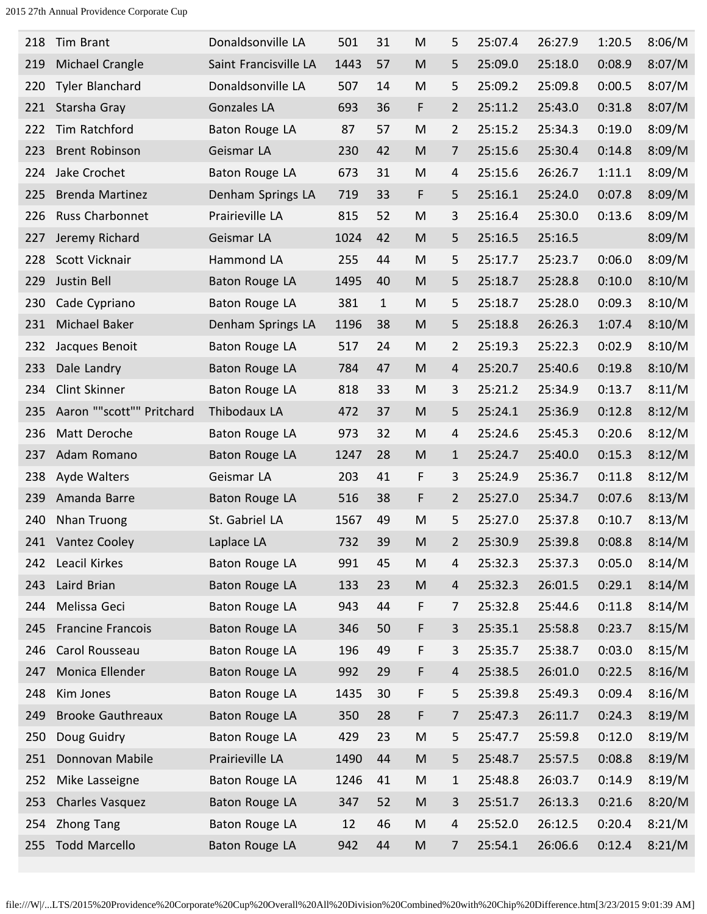| 218 | Tim Brant                 | Donaldsonville LA     | 501  | 31           | M                                                                                                          | 5              | 25:07.4 | 26:27.9 | 1:20.5 | 8:06/M |
|-----|---------------------------|-----------------------|------|--------------|------------------------------------------------------------------------------------------------------------|----------------|---------|---------|--------|--------|
| 219 | <b>Michael Crangle</b>    | Saint Francisville LA | 1443 | 57           | M                                                                                                          | 5              | 25:09.0 | 25:18.0 | 0:08.9 | 8:07/M |
| 220 | <b>Tyler Blanchard</b>    | Donaldsonville LA     | 507  | 14           | M                                                                                                          | 5              | 25:09.2 | 25:09.8 | 0:00.5 | 8:07/M |
| 221 | Starsha Gray              | <b>Gonzales LA</b>    | 693  | 36           | F                                                                                                          | $\overline{2}$ | 25:11.2 | 25:43.0 | 0:31.8 | 8:07/M |
| 222 | Tim Ratchford             | Baton Rouge LA        | 87   | 57           | M                                                                                                          | 2              | 25:15.2 | 25:34.3 | 0:19.0 | 8:09/M |
| 223 | <b>Brent Robinson</b>     | Geismar LA            | 230  | 42           | M                                                                                                          | 7              | 25:15.6 | 25:30.4 | 0:14.8 | 8:09/M |
| 224 | Jake Crochet              | Baton Rouge LA        | 673  | 31           | M                                                                                                          | 4              | 25:15.6 | 26:26.7 | 1:11.1 | 8:09/M |
| 225 | <b>Brenda Martinez</b>    | Denham Springs LA     | 719  | 33           | F                                                                                                          | 5              | 25:16.1 | 25:24.0 | 0:07.8 | 8:09/M |
| 226 | Russ Charbonnet           | Prairieville LA       | 815  | 52           | M                                                                                                          | 3              | 25:16.4 | 25:30.0 | 0:13.6 | 8:09/M |
| 227 | Jeremy Richard            | Geismar LA            | 1024 | 42           | M                                                                                                          | 5              | 25:16.5 | 25:16.5 |        | 8:09/M |
| 228 | Scott Vicknair            | Hammond LA            | 255  | 44           | M                                                                                                          | 5              | 25:17.7 | 25:23.7 | 0:06.0 | 8:09/M |
| 229 | Justin Bell               | Baton Rouge LA        | 1495 | 40           | M                                                                                                          | 5              | 25:18.7 | 25:28.8 | 0:10.0 | 8:10/M |
| 230 | Cade Cypriano             | Baton Rouge LA        | 381  | $\mathbf{1}$ | M                                                                                                          | 5              | 25:18.7 | 25:28.0 | 0:09.3 | 8:10/M |
| 231 | Michael Baker             | Denham Springs LA     | 1196 | 38           | M                                                                                                          | 5              | 25:18.8 | 26:26.3 | 1:07.4 | 8:10/M |
| 232 | Jacques Benoit            | Baton Rouge LA        | 517  | 24           | M                                                                                                          | 2              | 25:19.3 | 25:22.3 | 0:02.9 | 8:10/M |
| 233 | Dale Landry               | Baton Rouge LA        | 784  | 47           | M                                                                                                          | 4              | 25:20.7 | 25:40.6 | 0:19.8 | 8:10/M |
| 234 | Clint Skinner             | Baton Rouge LA        | 818  | 33           | M                                                                                                          | 3              | 25:21.2 | 25:34.9 | 0:13.7 | 8:11/M |
| 235 | Aaron ""scott"" Pritchard | Thibodaux LA          | 472  | 37           | M                                                                                                          | 5              | 25:24.1 | 25:36.9 | 0:12.8 | 8:12/M |
| 236 | Matt Deroche              | Baton Rouge LA        | 973  | 32           | M                                                                                                          | 4              | 25:24.6 | 25:45.3 | 0:20.6 | 8:12/M |
| 237 | Adam Romano               | <b>Baton Rouge LA</b> | 1247 | 28           | M                                                                                                          | $\mathbf{1}$   | 25:24.7 | 25:40.0 | 0:15.3 | 8:12/M |
| 238 | Ayde Walters              | Geismar LA            | 203  | 41           | F                                                                                                          | 3              | 25:24.9 | 25:36.7 | 0:11.8 | 8:12/M |
| 239 | Amanda Barre              | Baton Rouge LA        | 516  | 38           | F                                                                                                          | $\overline{2}$ | 25:27.0 | 25:34.7 | 0:07.6 | 8:13/M |
| 240 | Nhan Truong               | St. Gabriel LA        | 1567 | 49           | M                                                                                                          | 5              | 25:27.0 | 25:37.8 | 0:10.7 | 8:13/M |
| 241 | Vantez Cooley             | Laplace LA            | 732  | 39           | M                                                                                                          | $\overline{2}$ | 25:30.9 | 25:39.8 | 0:08.8 | 8:14/M |
| 242 | Leacil Kirkes             | Baton Rouge LA        | 991  | 45           | M                                                                                                          | 4              | 25:32.3 | 25:37.3 | 0:05.0 | 8:14/M |
| 243 | Laird Brian               | Baton Rouge LA        | 133  | 23           | ${\sf M}$                                                                                                  | $\overline{a}$ | 25:32.3 | 26:01.5 | 0:29.1 | 8:14/M |
| 244 | Melissa Geci              | Baton Rouge LA        | 943  | 44           | F                                                                                                          | 7              | 25:32.8 | 25:44.6 | 0:11.8 | 8:14/M |
| 245 | <b>Francine Francois</b>  | Baton Rouge LA        | 346  | 50           | F                                                                                                          | 3              | 25:35.1 | 25:58.8 | 0:23.7 | 8:15/M |
| 246 | Carol Rousseau            | Baton Rouge LA        | 196  | 49           | F                                                                                                          | 3              | 25:35.7 | 25:38.7 | 0:03.0 | 8:15/M |
| 247 | Monica Ellender           | Baton Rouge LA        | 992  | 29           | F                                                                                                          | 4              | 25:38.5 | 26:01.0 | 0:22.5 | 8:16/M |
| 248 | Kim Jones                 | Baton Rouge LA        | 1435 | 30           | F                                                                                                          | 5              | 25:39.8 | 25:49.3 | 0:09.4 | 8:16/M |
| 249 | <b>Brooke Gauthreaux</b>  | Baton Rouge LA        | 350  | 28           | F                                                                                                          | 7              | 25:47.3 | 26:11.7 | 0:24.3 | 8:19/M |
| 250 | Doug Guidry               | Baton Rouge LA        | 429  | 23           | ${\sf M}$                                                                                                  | 5              | 25:47.7 | 25:59.8 | 0:12.0 | 8:19/M |
| 251 | Donnovan Mabile           | Prairieville LA       | 1490 | 44           | ${\sf M}$                                                                                                  | 5              | 25:48.7 | 25:57.5 | 0:08.8 | 8:19/M |
| 252 | Mike Lasseigne            | Baton Rouge LA        | 1246 | 41           | ${\sf M}$                                                                                                  | $\mathbf{1}$   | 25:48.8 | 26:03.7 | 0:14.9 | 8:19/M |
| 253 | Charles Vasquez           | <b>Baton Rouge LA</b> | 347  | 52           | ${\sf M}$                                                                                                  | $\overline{3}$ | 25:51.7 | 26:13.3 | 0:21.6 | 8:20/M |
| 254 | <b>Zhong Tang</b>         | Baton Rouge LA        | 12   | 46           | ${\sf M}$                                                                                                  | 4              | 25:52.0 | 26:12.5 | 0:20.4 | 8:21/M |
| 255 | <b>Todd Marcello</b>      | Baton Rouge LA        | 942  | 44           | $\mathsf{M}% _{T}=\mathsf{M}_{T}\!\left( a,b\right) ,\ \mathsf{M}_{T}=\mathsf{M}_{T}\!\left( a,b\right) ,$ | 7              | 25:54.1 | 26:06.6 | 0:12.4 | 8:21/M |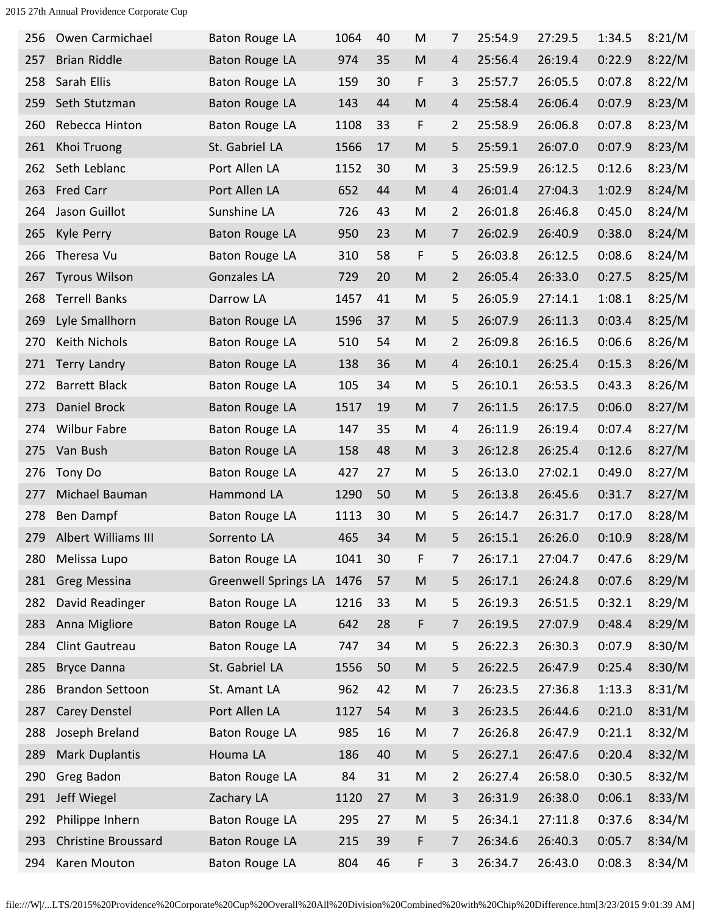| 256 | Owen Carmichael            | Baton Rouge LA              | 1064 | 40 | M                                                                                     | 7              | 25:54.9 | 27:29.5 | 1:34.5 | 8:21/M |
|-----|----------------------------|-----------------------------|------|----|---------------------------------------------------------------------------------------|----------------|---------|---------|--------|--------|
| 257 | <b>Brian Riddle</b>        | Baton Rouge LA              | 974  | 35 | M                                                                                     | $\overline{4}$ | 25:56.4 | 26:19.4 | 0:22.9 | 8:22/M |
| 258 | Sarah Ellis                | <b>Baton Rouge LA</b>       | 159  | 30 | F                                                                                     | 3              | 25:57.7 | 26:05.5 | 0:07.8 | 8:22/M |
| 259 | Seth Stutzman              | Baton Rouge LA              | 143  | 44 | M                                                                                     | 4              | 25:58.4 | 26:06.4 | 0:07.9 | 8:23/M |
| 260 | Rebecca Hinton             | <b>Baton Rouge LA</b>       | 1108 | 33 | F                                                                                     | $\overline{2}$ | 25:58.9 | 26:06.8 | 0:07.8 | 8:23/M |
| 261 | Khoi Truong                | St. Gabriel LA              | 1566 | 17 | M                                                                                     | 5              | 25:59.1 | 26:07.0 | 0:07.9 | 8:23/M |
| 262 | Seth Leblanc               | Port Allen LA               | 1152 | 30 | M                                                                                     | 3              | 25:59.9 | 26:12.5 | 0:12.6 | 8:23/M |
| 263 | Fred Carr                  | Port Allen LA               | 652  | 44 | M                                                                                     | 4              | 26:01.4 | 27:04.3 | 1:02.9 | 8:24/M |
| 264 | Jason Guillot              | Sunshine LA                 | 726  | 43 | M                                                                                     | $\overline{2}$ | 26:01.8 | 26:46.8 | 0:45.0 | 8:24/M |
| 265 | Kyle Perry                 | Baton Rouge LA              | 950  | 23 | M                                                                                     | 7              | 26:02.9 | 26:40.9 | 0:38.0 | 8:24/M |
| 266 | Theresa Vu                 | Baton Rouge LA              | 310  | 58 | F                                                                                     | 5              | 26:03.8 | 26:12.5 | 0:08.6 | 8:24/M |
| 267 | <b>Tyrous Wilson</b>       | <b>Gonzales LA</b>          | 729  | 20 | M                                                                                     | $\overline{2}$ | 26:05.4 | 26:33.0 | 0:27.5 | 8:25/M |
| 268 | <b>Terrell Banks</b>       | Darrow LA                   | 1457 | 41 | M                                                                                     | 5              | 26:05.9 | 27:14.1 | 1:08.1 | 8:25/M |
| 269 | Lyle Smallhorn             | Baton Rouge LA              | 1596 | 37 | M                                                                                     | 5              | 26:07.9 | 26:11.3 | 0:03.4 | 8:25/M |
| 270 | Keith Nichols              | Baton Rouge LA              | 510  | 54 | M                                                                                     | $\overline{2}$ | 26:09.8 | 26:16.5 | 0:06.6 | 8:26/M |
| 271 | Terry Landry               | Baton Rouge LA              | 138  | 36 | M                                                                                     | $\overline{a}$ | 26:10.1 | 26:25.4 | 0:15.3 | 8:26/M |
| 272 | <b>Barrett Black</b>       | Baton Rouge LA              | 105  | 34 | M                                                                                     | 5              | 26:10.1 | 26:53.5 | 0:43.3 | 8:26/M |
| 273 | Daniel Brock               | Baton Rouge LA              | 1517 | 19 | M                                                                                     | 7              | 26:11.5 | 26:17.5 | 0:06.0 | 8:27/M |
| 274 | <b>Wilbur Fabre</b>        | Baton Rouge LA              | 147  | 35 | M                                                                                     | 4              | 26:11.9 | 26:19.4 | 0:07.4 | 8:27/M |
| 275 | Van Bush                   | Baton Rouge LA              | 158  | 48 | M                                                                                     | 3              | 26:12.8 | 26:25.4 | 0:12.6 | 8:27/M |
| 276 | Tony Do                    | Baton Rouge LA              | 427  | 27 | M                                                                                     | 5              | 26:13.0 | 27:02.1 | 0:49.0 | 8:27/M |
| 277 | Michael Bauman             | Hammond LA                  | 1290 | 50 | M                                                                                     | 5              | 26:13.8 | 26:45.6 | 0:31.7 | 8:27/M |
| 278 | Ben Dampf                  | Baton Rouge LA              | 1113 | 30 | M                                                                                     | 5              | 26:14.7 | 26:31.7 | 0:17.0 | 8:28/M |
| 279 | Albert Williams III        | Sorrento LA                 | 465  | 34 | M                                                                                     | 5              | 26:15.1 | 26:26.0 | 0:10.9 | 8:28/M |
| 280 | Melissa Lupo               | Baton Rouge LA              | 1041 | 30 | F                                                                                     | 7              | 26:17.1 | 27:04.7 | 0:47.6 | 8:29/M |
| 281 | <b>Greg Messina</b>        | <b>Greenwell Springs LA</b> | 1476 | 57 | M                                                                                     | 5              | 26:17.1 | 26:24.8 | 0:07.6 | 8:29/M |
| 282 | David Readinger            | Baton Rouge LA              | 1216 | 33 | M                                                                                     | 5              | 26:19.3 | 26:51.5 | 0:32.1 | 8:29/M |
| 283 | Anna Migliore              | Baton Rouge LA              | 642  | 28 | F                                                                                     | $\overline{7}$ | 26:19.5 | 27:07.9 | 0:48.4 | 8:29/M |
| 284 | Clint Gautreau             | Baton Rouge LA              | 747  | 34 | M                                                                                     | 5              | 26:22.3 | 26:30.3 | 0:07.9 | 8:30/M |
| 285 | <b>Bryce Danna</b>         | St. Gabriel LA              | 1556 | 50 | $\mathsf{M}% _{T}=\mathsf{M}_{T}\!\left( a,b\right) ,\ \mathsf{M}_{T}=\mathsf{M}_{T}$ | 5              | 26:22.5 | 26:47.9 | 0:25.4 | 8:30/M |
| 286 | <b>Brandon Settoon</b>     | St. Amant LA                | 962  | 42 | ${\sf M}$                                                                             | 7              | 26:23.5 | 27:36.8 | 1:13.3 | 8:31/M |
| 287 | <b>Carey Denstel</b>       | Port Allen LA               | 1127 | 54 | $\mathsf{M}% _{T}=\mathsf{M}_{T}\!\left( a,b\right) ,\ \mathsf{M}_{T}=\mathsf{M}_{T}$ | 3              | 26:23.5 | 26:44.6 | 0:21.0 | 8:31/M |
| 288 | Joseph Breland             | Baton Rouge LA              | 985  | 16 | M                                                                                     | $\overline{7}$ | 26:26.8 | 26:47.9 | 0:21.1 | 8:32/M |
| 289 | Mark Duplantis             | Houma LA                    | 186  | 40 | ${\sf M}$                                                                             | 5              | 26:27.1 | 26:47.6 | 0:20.4 | 8:32/M |
| 290 | Greg Badon                 | Baton Rouge LA              | 84   | 31 | M                                                                                     | $\overline{2}$ | 26:27.4 | 26:58.0 | 0:30.5 | 8:32/M |
| 291 | Jeff Wiegel                | Zachary LA                  | 1120 | 27 | M                                                                                     | 3              | 26:31.9 | 26:38.0 | 0:06.1 | 8:33/M |
| 292 | Philippe Inhern            | Baton Rouge LA              | 295  | 27 | M                                                                                     | 5              | 26:34.1 | 27:11.8 | 0:37.6 | 8:34/M |
| 293 | <b>Christine Broussard</b> | <b>Baton Rouge LA</b>       | 215  | 39 | F                                                                                     | $\overline{7}$ | 26:34.6 | 26:40.3 | 0:05.7 | 8:34/M |
| 294 | Karen Mouton               | Baton Rouge LA              | 804  | 46 | F                                                                                     | 3              | 26:34.7 | 26:43.0 | 0:08.3 | 8:34/M |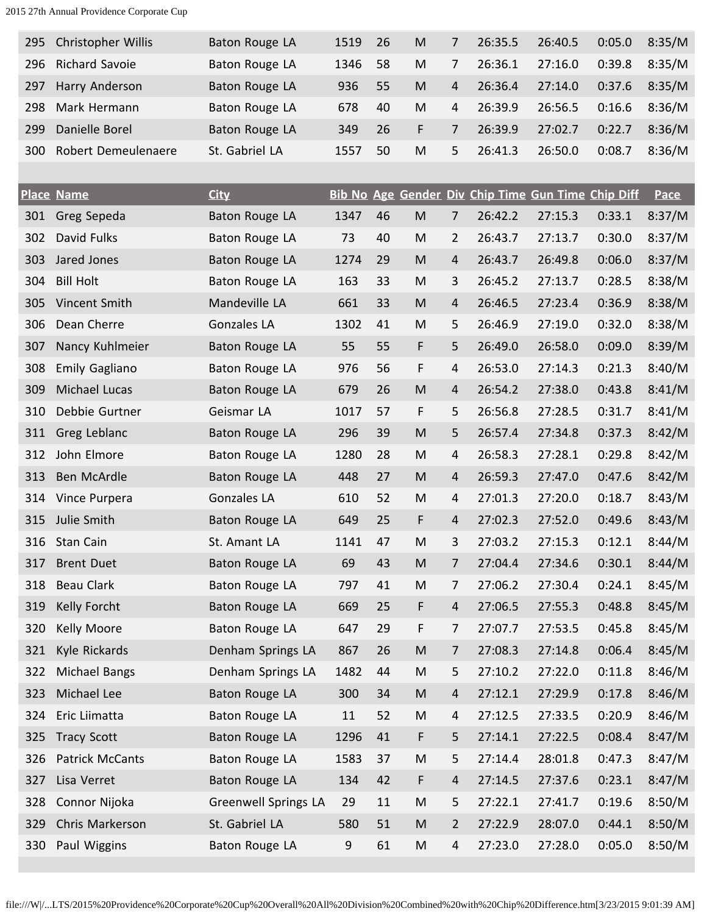| 295 | <b>Christopher Willis</b> | Baton Rouge LA | 1519 | -26 | M | 7  | 26:35.5 | 26:40.5 | 0:05.0 | 8:35/M |
|-----|---------------------------|----------------|------|-----|---|----|---------|---------|--------|--------|
| 296 | <b>Richard Savoie</b>     | Baton Rouge LA | 1346 | .58 | M |    | 26:36.1 | 27:16.0 | 0:39.8 | 8:35/M |
| 297 | Harry Anderson            | Baton Rouge LA | 936  | 55  | M | 4  | 26:36.4 | 27:14.0 | 0:37.6 | 8:35/M |
| 298 | Mark Hermann              | Baton Rouge LA | 678  | 40  | M | 4  | 26:39.9 | 26:56.5 | 0:16.6 | 8:36/M |
| 299 | Danielle Borel            | Baton Rouge LA | 349  | 26  | F |    | 26:39.9 | 27:02.7 | 0:22.7 | 8:36/M |
| 300 | Robert Demeulenaere       | St. Gabriel LA | 1557 | 50  | M | 5. | 26:41.3 | 26:50.0 | 0:08.7 | 8:36/M |

|     | <b>Place Name</b>     | <b>City</b>                 |       |        |                                                                                       |                |         | <b>Bib No Age Gender Div Chip Time Gun Time Chip Diff</b> |        | <b>Pace</b> |
|-----|-----------------------|-----------------------------|-------|--------|---------------------------------------------------------------------------------------|----------------|---------|-----------------------------------------------------------|--------|-------------|
| 301 | Greg Sepeda           | <b>Baton Rouge LA</b>       | 1347  | 46     | ${\sf M}$                                                                             | 7              | 26:42.2 | 27:15.3                                                   | 0:33.1 | 8:37/M      |
| 302 | David Fulks           | Baton Rouge LA              | 73    | 40     | M                                                                                     | $\overline{2}$ | 26:43.7 | 27:13.7                                                   | 0:30.0 | 8:37/M      |
| 303 | Jared Jones           | Baton Rouge LA              | 1274  | 29     | M                                                                                     | 4              | 26:43.7 | 26:49.8                                                   | 0:06.0 | 8:37/M      |
| 304 | <b>Bill Holt</b>      | Baton Rouge LA              | 163   | 33     | M                                                                                     | 3              | 26:45.2 | 27:13.7                                                   | 0:28.5 | 8:38/M      |
| 305 | Vincent Smith         | Mandeville LA               | 661   | 33     | M                                                                                     | 4              | 26:46.5 | 27:23.4                                                   | 0:36.9 | 8:38/M      |
| 306 | Dean Cherre           | <b>Gonzales LA</b>          | 1302  | 41     | M                                                                                     | 5              | 26:46.9 | 27:19.0                                                   | 0:32.0 | 8:38/M      |
| 307 | Nancy Kuhlmeier       | Baton Rouge LA              | 55    | 55     | F                                                                                     | 5              | 26:49.0 | 26:58.0                                                   | 0:09.0 | 8:39/M      |
| 308 | <b>Emily Gagliano</b> | Baton Rouge LA              | 976   | 56     | F                                                                                     | 4              | 26:53.0 | 27:14.3                                                   | 0:21.3 | 8:40/M      |
| 309 | <b>Michael Lucas</b>  | Baton Rouge LA              | 679   | 26     | M                                                                                     | 4              | 26:54.2 | 27:38.0                                                   | 0:43.8 | 8:41/M      |
| 310 | Debbie Gurtner        | Geismar LA                  | 1017  | 57     | F                                                                                     | 5              | 26:56.8 | 27:28.5                                                   | 0:31.7 | 8:41/M      |
| 311 | Greg Leblanc          | Baton Rouge LA              | 296   | 39     | ${\sf M}$                                                                             | 5              | 26:57.4 | 27:34.8                                                   | 0:37.3 | 8:42/M      |
| 312 | John Elmore           | Baton Rouge LA              | 1280  | 28     | M                                                                                     | 4              | 26:58.3 | 27:28.1                                                   | 0:29.8 | 8:42/M      |
| 313 | Ben McArdle           | Baton Rouge LA              | 448   | 27     | ${\sf M}$                                                                             | 4              | 26:59.3 | 27:47.0                                                   | 0:47.6 | 8:42/M      |
| 314 | Vince Purpera         | Gonzales LA                 | 610   | 52     | ${\sf M}$                                                                             | 4              | 27:01.3 | 27:20.0                                                   | 0:18.7 | 8:43/M      |
| 315 | Julie Smith           | Baton Rouge LA              | 649   | 25     | F                                                                                     | $\overline{4}$ | 27:02.3 | 27:52.0                                                   | 0:49.6 | 8:43/M      |
| 316 | Stan Cain             | St. Amant LA                | 1141  | 47     | M                                                                                     | 3              | 27:03.2 | 27:15.3                                                   | 0:12.1 | 8:44/M      |
| 317 | <b>Brent Duet</b>     | Baton Rouge LA              | 69    | 43     | M                                                                                     | $\overline{7}$ | 27:04.4 | 27:34.6                                                   | 0:30.1 | 8:44/M      |
| 318 | <b>Beau Clark</b>     | Baton Rouge LA              | 797   | 41     | M                                                                                     | $\overline{7}$ | 27:06.2 | 27:30.4                                                   | 0:24.1 | 8:45/M      |
| 319 | Kelly Forcht          | <b>Baton Rouge LA</b>       | 669   | 25     | F                                                                                     | 4              | 27:06.5 | 27:55.3                                                   | 0:48.8 | 8:45/M      |
| 320 | <b>Kelly Moore</b>    | Baton Rouge LA              | 647   | 29     | F                                                                                     | $\overline{7}$ | 27:07.7 | 27:53.5                                                   | 0:45.8 | 8:45/M      |
| 321 | Kyle Rickards         | Denham Springs LA           | 867   | 26     | M                                                                                     | $\overline{7}$ | 27:08.3 | 27:14.8                                                   | 0:06.4 | 8:45/M      |
| 322 | <b>Michael Bangs</b>  | Denham Springs LA           | 1482  | 44     | M                                                                                     | 5              | 27:10.2 | 27:22.0                                                   | 0:11.8 | 8:46/M      |
| 323 | Michael Lee           | <b>Baton Rouge LA</b>       | 300   | 34     | M                                                                                     | 4              | 27:12.1 | 27:29.9                                                   | 0:17.8 | 8:46/M      |
| 324 | Eric Liimatta         | Baton Rouge LA              | 11    | 52     | M                                                                                     | 4              | 27:12.5 | 27:33.5                                                   | 0:20.9 | 8:46/M      |
| 325 | <b>Tracy Scott</b>    | Baton Rouge LA              | 1296  | 41     | F                                                                                     | 5              | 27:14.1 | 27:22.5                                                   | 0:08.4 | 8:47/M      |
| 326 | Patrick McCants       | Baton Rouge LA              | 1583  | 37     | M                                                                                     | 5              | 27:14.4 | 28:01.8                                                   | 0:47.3 | 8:47/M      |
| 327 | Lisa Verret           | <b>Baton Rouge LA</b>       | 134   | 42     | F                                                                                     | $\overline{4}$ | 27:14.5 | 27:37.6                                                   | 0:23.1 | 8:47/M      |
| 328 | Connor Nijoka         | <b>Greenwell Springs LA</b> | 29    | $11\,$ | M                                                                                     | 5              | 27:22.1 | 27:41.7                                                   | 0:19.6 | 8:50/M      |
| 329 | Chris Markerson       | St. Gabriel LA              | 580   | 51     | $\mathsf{M}% _{T}=\mathsf{M}_{T}\!\left( a,b\right) ,\ \mathsf{M}_{T}=\mathsf{M}_{T}$ | $\overline{2}$ | 27:22.9 | 28:07.0                                                   | 0:44.1 | 8:50/M      |
| 330 | Paul Wiggins          | Baton Rouge LA              | $9\,$ | 61     | ${\sf M}$                                                                             | 4              | 27:23.0 | 27:28.0                                                   | 0:05.0 | 8:50/M      |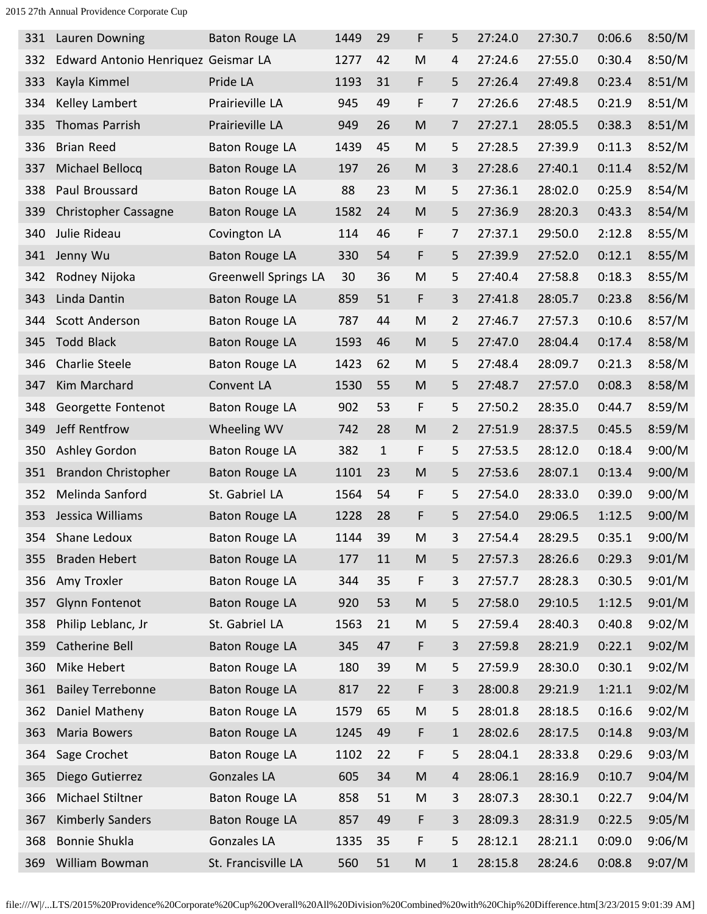| 331 | Lauren Downing                      | Baton Rouge LA              | 1449 | 29           | F                                                                                     | 5              | 27:24.0 | 27:30.7 | 0:06.6 | 8:50/M |
|-----|-------------------------------------|-----------------------------|------|--------------|---------------------------------------------------------------------------------------|----------------|---------|---------|--------|--------|
| 332 | Edward Antonio Henriquez Geismar LA |                             | 1277 | 42           | M                                                                                     | 4              | 27:24.6 | 27:55.0 | 0:30.4 | 8:50/M |
| 333 | Kayla Kimmel                        | Pride LA                    | 1193 | 31           | F                                                                                     | 5              | 27:26.4 | 27:49.8 | 0:23.4 | 8:51/M |
| 334 | Kelley Lambert                      | Prairieville LA             | 945  | 49           | F                                                                                     | 7              | 27:26.6 | 27:48.5 | 0:21.9 | 8:51/M |
| 335 | <b>Thomas Parrish</b>               | Prairieville LA             | 949  | 26           | M                                                                                     | 7              | 27:27.1 | 28:05.5 | 0:38.3 | 8:51/M |
| 336 | <b>Brian Reed</b>                   | Baton Rouge LA              | 1439 | 45           | M                                                                                     | 5              | 27:28.5 | 27:39.9 | 0:11.3 | 8:52/M |
| 337 | Michael Bellocq                     | <b>Baton Rouge LA</b>       | 197  | 26           | M                                                                                     | 3              | 27:28.6 | 27:40.1 | 0:11.4 | 8:52/M |
| 338 | Paul Broussard                      | <b>Baton Rouge LA</b>       | 88   | 23           | M                                                                                     | 5              | 27:36.1 | 28:02.0 | 0:25.9 | 8:54/M |
| 339 | Christopher Cassagne                | Baton Rouge LA              | 1582 | 24           | M                                                                                     | 5              | 27:36.9 | 28:20.3 | 0:43.3 | 8:54/M |
| 340 | Julie Rideau                        | Covington LA                | 114  | 46           | F                                                                                     | 7              | 27:37.1 | 29:50.0 | 2:12.8 | 8:55/M |
| 341 | Jenny Wu                            | Baton Rouge LA              | 330  | 54           | F                                                                                     | 5              | 27:39.9 | 27:52.0 | 0:12.1 | 8:55/M |
| 342 | Rodney Nijoka                       | <b>Greenwell Springs LA</b> | 30   | 36           | M                                                                                     | 5              | 27:40.4 | 27:58.8 | 0:18.3 | 8:55/M |
| 343 | Linda Dantin                        | Baton Rouge LA              | 859  | 51           | F                                                                                     | 3              | 27:41.8 | 28:05.7 | 0:23.8 | 8:56/M |
| 344 | Scott Anderson                      | <b>Baton Rouge LA</b>       | 787  | 44           | M                                                                                     | 2              | 27:46.7 | 27:57.3 | 0:10.6 | 8:57/M |
| 345 | <b>Todd Black</b>                   | Baton Rouge LA              | 1593 | 46           | M                                                                                     | 5              | 27:47.0 | 28:04.4 | 0:17.4 | 8:58/M |
| 346 | <b>Charlie Steele</b>               | <b>Baton Rouge LA</b>       | 1423 | 62           | M                                                                                     | 5              | 27:48.4 | 28:09.7 | 0:21.3 | 8:58/M |
| 347 | Kim Marchard                        | Convent LA                  | 1530 | 55           | M                                                                                     | 5              | 27:48.7 | 27:57.0 | 0:08.3 | 8:58/M |
| 348 | Georgette Fontenot                  | Baton Rouge LA              | 902  | 53           | F                                                                                     | 5              | 27:50.2 | 28:35.0 | 0:44.7 | 8:59/M |
| 349 | Jeff Rentfrow                       | Wheeling WV                 | 742  | 28           | M                                                                                     | $\overline{2}$ | 27:51.9 | 28:37.5 | 0:45.5 | 8:59/M |
| 350 | Ashley Gordon                       | Baton Rouge LA              | 382  | $\mathbf{1}$ | F                                                                                     | 5              | 27:53.5 | 28:12.0 | 0:18.4 | 9:00/M |
| 351 | Brandon Christopher                 | <b>Baton Rouge LA</b>       | 1101 | 23           | M                                                                                     | 5              | 27:53.6 | 28:07.1 | 0:13.4 | 9:00/M |
| 352 | Melinda Sanford                     | St. Gabriel LA              | 1564 | 54           | F                                                                                     | 5              | 27:54.0 | 28:33.0 | 0:39.0 | 9:00/M |
| 353 | Jessica Williams                    | Baton Rouge LA              | 1228 | 28           | F                                                                                     | 5              | 27:54.0 | 29:06.5 | 1:12.5 | 9:00/M |
| 354 | Shane Ledoux                        | Baton Rouge LA              | 1144 | 39           | M                                                                                     | 3              | 27:54.4 | 28:29.5 | 0:35.1 | 9:00/M |
| 355 | <b>Braden Hebert</b>                | <b>Baton Rouge LA</b>       | 177  | 11           | M                                                                                     | 5              | 27:57.3 | 28:26.6 | 0:29.3 | 9:01/M |
| 356 | Amy Troxler                         | Baton Rouge LA              | 344  | 35           | F                                                                                     | 3              | 27:57.7 | 28:28.3 | 0:30.5 | 9:01/M |
| 357 | <b>Glynn Fontenot</b>               | Baton Rouge LA              | 920  | 53           | ${\sf M}$                                                                             | 5              | 27:58.0 | 29:10.5 | 1:12.5 | 9:01/M |
| 358 | Philip Leblanc, Jr                  | St. Gabriel LA              | 1563 | 21           | M                                                                                     | 5              | 27:59.4 | 28:40.3 | 0:40.8 | 9:02/M |
| 359 | Catherine Bell                      | Baton Rouge LA              | 345  | 47           | F                                                                                     | 3              | 27:59.8 | 28:21.9 | 0:22.1 | 9:02/M |
| 360 | Mike Hebert                         | Baton Rouge LA              | 180  | 39           | M                                                                                     | 5              | 27:59.9 | 28:30.0 | 0:30.1 | 9:02/M |
| 361 | <b>Bailey Terrebonne</b>            | <b>Baton Rouge LA</b>       | 817  | 22           | F                                                                                     | 3              | 28:00.8 | 29:21.9 | 1:21.1 | 9:02/M |
| 362 | Daniel Matheny                      | Baton Rouge LA              | 1579 | 65           | ${\sf M}$                                                                             | 5              | 28:01.8 | 28:18.5 | 0:16.6 | 9:02/M |
| 363 | Maria Bowers                        | <b>Baton Rouge LA</b>       | 1245 | 49           | F                                                                                     | $\mathbf{1}$   | 28:02.6 | 28:17.5 | 0:14.8 | 9:03/M |
| 364 | Sage Crochet                        | Baton Rouge LA              | 1102 | 22           | F                                                                                     | 5              | 28:04.1 | 28:33.8 | 0:29.6 | 9:03/M |
| 365 | Diego Gutierrez                     | Gonzales LA                 | 605  | 34           | M                                                                                     | $\overline{4}$ | 28:06.1 | 28:16.9 | 0:10.7 | 9:04/M |
| 366 | Michael Stiltner                    | Baton Rouge LA              | 858  | 51           | ${\sf M}$                                                                             | 3              | 28:07.3 | 28:30.1 | 0:22.7 | 9:04/M |
| 367 | <b>Kimberly Sanders</b>             | Baton Rouge LA              | 857  | 49           | F                                                                                     | 3              | 28:09.3 | 28:31.9 | 0:22.5 | 9:05/M |
| 368 | Bonnie Shukla                       | Gonzales LA                 | 1335 | 35           | F                                                                                     | 5              | 28:12.1 | 28:21.1 | 0:09.0 | 9:06/M |
| 369 | William Bowman                      | St. Francisville LA         | 560  | 51           | $\mathsf{M}% _{T}=\mathsf{M}_{T}\!\left( a,b\right) ,\ \mathsf{M}_{T}=\mathsf{M}_{T}$ | $\mathbf{1}$   | 28:15.8 | 28:24.6 | 0:08.8 | 9:07/M |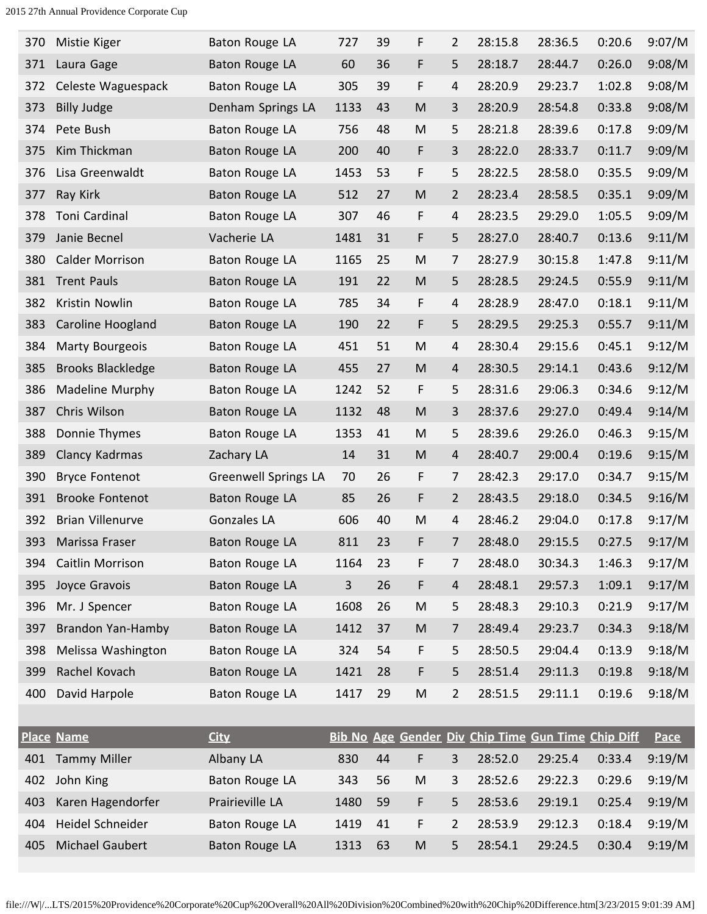| 370 | Mistie Kiger             | Baton Rouge LA              | 727            | 39 | F  | 2              | 28:15.8 | 28:36.5                                            | 0:20.6 | 9:07/M      |
|-----|--------------------------|-----------------------------|----------------|----|----|----------------|---------|----------------------------------------------------|--------|-------------|
| 371 | Laura Gage               | Baton Rouge LA              | 60             | 36 | F  | 5              | 28:18.7 | 28:44.7                                            | 0:26.0 | 9:08/M      |
| 372 | Celeste Waguespack       | Baton Rouge LA              | 305            | 39 | F  | 4              | 28:20.9 | 29:23.7                                            | 1:02.8 | 9:08/M      |
| 373 | <b>Billy Judge</b>       | Denham Springs LA           | 1133           | 43 | M  | 3              | 28:20.9 | 28:54.8                                            | 0:33.8 | 9:08/M      |
| 374 | Pete Bush                | Baton Rouge LA              | 756            | 48 | M  | 5              | 28:21.8 | 28:39.6                                            | 0:17.8 | 9:09/M      |
| 375 | Kim Thickman             | <b>Baton Rouge LA</b>       | 200            | 40 | F  | 3              | 28:22.0 | 28:33.7                                            | 0:11.7 | 9:09/M      |
| 376 | Lisa Greenwaldt          | Baton Rouge LA              | 1453           | 53 | F  | 5              | 28:22.5 | 28:58.0                                            | 0:35.5 | 9:09/M      |
| 377 | Ray Kirk                 | <b>Baton Rouge LA</b>       | 512            | 27 | M  | 2              | 28:23.4 | 28:58.5                                            | 0:35.1 | 9:09/M      |
| 378 | Toni Cardinal            | Baton Rouge LA              | 307            | 46 | F  | 4              | 28:23.5 | 29:29.0                                            | 1:05.5 | 9:09/M      |
| 379 | Janie Becnel             | Vacherie LA                 | 1481           | 31 | F  | 5              | 28:27.0 | 28:40.7                                            | 0:13.6 | 9:11/M      |
| 380 | <b>Calder Morrison</b>   | Baton Rouge LA              | 1165           | 25 | M  | 7              | 28:27.9 | 30:15.8                                            | 1:47.8 | 9:11/M      |
| 381 | <b>Trent Pauls</b>       | <b>Baton Rouge LA</b>       | 191            | 22 | M  | 5              | 28:28.5 | 29:24.5                                            | 0:55.9 | 9:11/M      |
| 382 | Kristin Nowlin           | Baton Rouge LA              | 785            | 34 | F  | 4              | 28:28.9 | 28:47.0                                            | 0:18.1 | 9:11/M      |
| 383 | Caroline Hoogland        | <b>Baton Rouge LA</b>       | 190            | 22 | F  | 5              | 28:29.5 | 29:25.3                                            | 0:55.7 | 9:11/M      |
| 384 | <b>Marty Bourgeois</b>   | <b>Baton Rouge LA</b>       | 451            | 51 | M  | 4              | 28:30.4 | 29:15.6                                            | 0:45.1 | 9:12/M      |
| 385 | <b>Brooks Blackledge</b> | Baton Rouge LA              | 455            | 27 | M  | 4              | 28:30.5 | 29:14.1                                            | 0:43.6 | 9:12/M      |
| 386 | Madeline Murphy          | Baton Rouge LA              | 1242           | 52 | F  | 5              | 28:31.6 | 29:06.3                                            | 0:34.6 | 9:12/M      |
| 387 | Chris Wilson             | Baton Rouge LA              | 1132           | 48 | M  | 3              | 28:37.6 | 29:27.0                                            | 0:49.4 | 9:14/M      |
| 388 | Donnie Thymes            | Baton Rouge LA              | 1353           | 41 | M  | 5              | 28:39.6 | 29:26.0                                            | 0:46.3 | 9:15/M      |
| 389 | Clancy Kadrmas           | Zachary LA                  | 14             | 31 | M  | 4              | 28:40.7 | 29:00.4                                            | 0:19.6 | 9:15/M      |
| 390 | <b>Bryce Fontenot</b>    | <b>Greenwell Springs LA</b> | 70             | 26 | F  | 7              | 28:42.3 | 29:17.0                                            | 0:34.7 | 9:15/M      |
| 391 | <b>Brooke Fontenot</b>   | <b>Baton Rouge LA</b>       | 85             | 26 | F  | $\overline{2}$ | 28:43.5 | 29:18.0                                            | 0:34.5 | 9:16/M      |
| 392 | <b>Brian Villenurve</b>  | Gonzales LA                 | 606            | 40 | M  | 4              | 28:46.2 | 29:04.0                                            | 0:17.8 | 9:17/M      |
| 393 | Marissa Fraser           | Baton Rouge LA              | 811            | 23 | F  | 7              | 28:48.0 | 29:15.5                                            | 0:27.5 | 9:17/M      |
| 394 | Caitlin Morrison         | Baton Rouge LA              | 1164           | 23 | F  | 7              | 28:48.0 | 30:34.3                                            | 1:46.3 | 9:17/M      |
| 395 | Joyce Gravois            | Baton Rouge LA              | $\overline{3}$ | 26 | F  | 4              | 28:48.1 | 29:57.3                                            | 1:09.1 | 9:17/M      |
| 396 | Mr. J Spencer            | Baton Rouge LA              | 1608           | 26 | M  | 5              | 28:48.3 | 29:10.3                                            | 0:21.9 | 9:17/M      |
| 397 | Brandon Yan-Hamby        | Baton Rouge LA              | 1412           | 37 | M  | 7              | 28:49.4 | 29:23.7                                            | 0:34.3 | 9:18/M      |
| 398 | Melissa Washington       | Baton Rouge LA              | 324            | 54 | F  | 5              | 28:50.5 | 29:04.4                                            | 0:13.9 | 9:18/M      |
| 399 | Rachel Kovach            | Baton Rouge LA              | 1421           | 28 | F  | 5              | 28:51.4 | 29:11.3                                            | 0:19.8 | 9:18/M      |
| 400 | David Harpole            | Baton Rouge LA              | 1417           | 29 | M  | $\overline{2}$ | 28:51.5 | 29:11.1                                            | 0:19.6 | 9:18/M      |
|     |                          |                             |                |    |    |                |         |                                                    |        |             |
|     | <b>Place Name</b>        | <b>City</b>                 |                |    |    |                |         | Bib No Age Gender Div Chip Time Gun Time Chip Diff |        | <b>Pace</b> |
|     | 401 Tammy Miller         | Albany LA                   | 830            | 44 | F. | $\mathbf{3}$   |         | $28:52.0$ $29:25.4$ $0:33.4$                       |        | 9:19/M      |

|     | Place Name             | <b>CILV</b>     |      |    |    |              | <u><b>DID NO ARE GENUEL DIV CNIP HIME GUN HIME CNIP DIIL PACE</b></u> |         |        |        |
|-----|------------------------|-----------------|------|----|----|--------------|-----------------------------------------------------------------------|---------|--------|--------|
| 401 | <b>Tammy Miller</b>    | Albany LA       | 830  | 44 |    | 3            | 28:52.0                                                               | 29:25.4 | 0:33.4 | 9:19/M |
| 402 | John King              | Baton Rouge LA  | 343  | 56 | M  | $\mathbf{3}$ | 28:52.6                                                               | 29:22.3 | 0:29.6 | 9:19/M |
| 403 | Karen Hagendorfer      | Prairieville LA | 1480 | 59 |    | 5.           | 28:53.6                                                               | 29:19.1 | 0:25.4 | 9:19/M |
| 404 | Heidel Schneider       | Baton Rouge LA  | 1419 | 41 | F. | 2            | 28:53.9                                                               | 29:12.3 | 0:18.4 | 9:19/M |
| 405 | <b>Michael Gaubert</b> | Baton Rouge LA  | 1313 | 63 | M  | 5.           | 28:54.1                                                               | 29:24.5 | 0:30.4 | 9:19/M |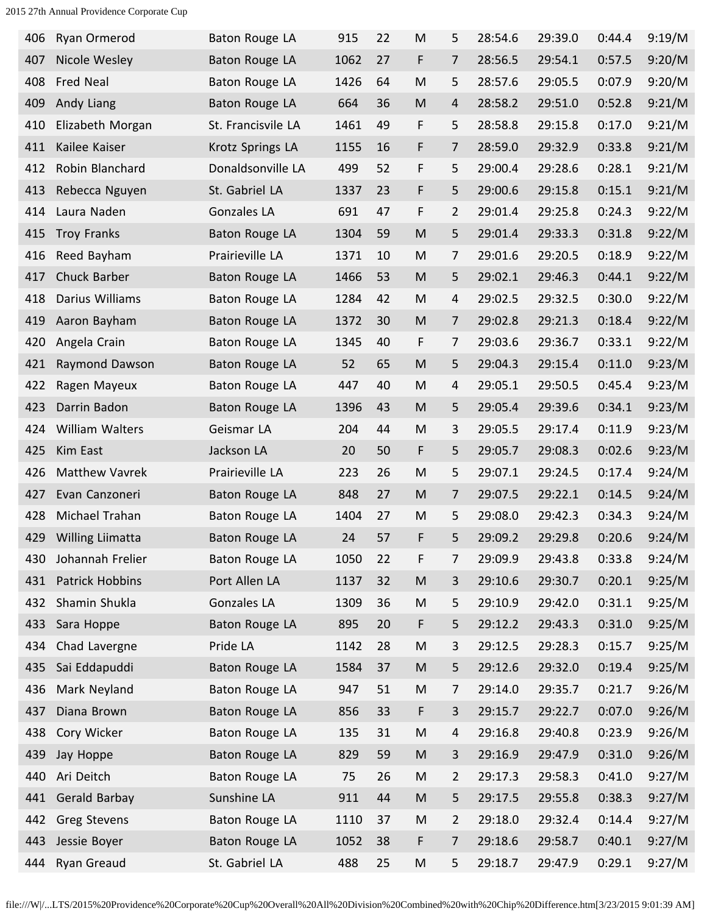| 406 | Ryan Ormerod           | Baton Rouge LA        | 915  | 22 | M                                                                                                          | 5              | 28:54.6 | 29:39.0 | 0:44.4 | 9:19/M |
|-----|------------------------|-----------------------|------|----|------------------------------------------------------------------------------------------------------------|----------------|---------|---------|--------|--------|
| 407 | Nicole Wesley          | Baton Rouge LA        | 1062 | 27 | F                                                                                                          | 7              | 28:56.5 | 29:54.1 | 0:57.5 | 9:20/M |
| 408 | <b>Fred Neal</b>       | <b>Baton Rouge LA</b> | 1426 | 64 | M                                                                                                          | 5              | 28:57.6 | 29:05.5 | 0:07.9 | 9:20/M |
| 409 | Andy Liang             | Baton Rouge LA        | 664  | 36 | M                                                                                                          | 4              | 28:58.2 | 29:51.0 | 0:52.8 | 9:21/M |
| 410 | Elizabeth Morgan       | St. Francisvile LA    | 1461 | 49 | F                                                                                                          | 5              | 28:58.8 | 29:15.8 | 0:17.0 | 9:21/M |
| 411 | Kailee Kaiser          | Krotz Springs LA      | 1155 | 16 | F                                                                                                          | 7              | 28:59.0 | 29:32.9 | 0:33.8 | 9:21/M |
| 412 | Robin Blanchard        | Donaldsonville LA     | 499  | 52 | F                                                                                                          | 5              | 29:00.4 | 29:28.6 | 0:28.1 | 9:21/M |
| 413 | Rebecca Nguyen         | St. Gabriel LA        | 1337 | 23 | F                                                                                                          | 5              | 29:00.6 | 29:15.8 | 0:15.1 | 9:21/M |
| 414 | Laura Naden            | Gonzales LA           | 691  | 47 | F                                                                                                          | $\overline{2}$ | 29:01.4 | 29:25.8 | 0:24.3 | 9:22/M |
| 415 | <b>Troy Franks</b>     | <b>Baton Rouge LA</b> | 1304 | 59 | ${\sf M}$                                                                                                  | 5              | 29:01.4 | 29:33.3 | 0:31.8 | 9:22/M |
| 416 | Reed Bayham            | Prairieville LA       | 1371 | 10 | M                                                                                                          | 7              | 29:01.6 | 29:20.5 | 0:18.9 | 9:22/M |
| 417 | Chuck Barber           | Baton Rouge LA        | 1466 | 53 | ${\sf M}$                                                                                                  | 5              | 29:02.1 | 29:46.3 | 0:44.1 | 9:22/M |
| 418 | Darius Williams        | <b>Baton Rouge LA</b> | 1284 | 42 | ${\sf M}$                                                                                                  | 4              | 29:02.5 | 29:32.5 | 0:30.0 | 9:22/M |
| 419 | Aaron Bayham           | Baton Rouge LA        | 1372 | 30 | $\mathsf{M}% _{T}=\mathsf{M}_{T}\!\left( a,b\right) ,\ \mathsf{M}_{T}=\mathsf{M}_{T}$                      | $\overline{7}$ | 29:02.8 | 29:21.3 | 0:18.4 | 9:22/M |
| 420 | Angela Crain           | Baton Rouge LA        | 1345 | 40 | F                                                                                                          | $\overline{7}$ | 29:03.6 | 29:36.7 | 0:33.1 | 9:22/M |
| 421 | Raymond Dawson         | Baton Rouge LA        | 52   | 65 | $\mathsf{M}% _{T}=\mathsf{M}_{T}\!\left( a,b\right) ,\ \mathsf{M}_{T}=\mathsf{M}_{T}$                      | 5              | 29:04.3 | 29:15.4 | 0:11.0 | 9:23/M |
| 422 | Ragen Mayeux           | Baton Rouge LA        | 447  | 40 | M                                                                                                          | 4              | 29:05.1 | 29:50.5 | 0:45.4 | 9:23/M |
| 423 | Darrin Badon           | Baton Rouge LA        | 1396 | 43 | M                                                                                                          | 5              | 29:05.4 | 29:39.6 | 0:34.1 | 9:23/M |
| 424 | William Walters        | Geismar LA            | 204  | 44 | M                                                                                                          | 3              | 29:05.5 | 29:17.4 | 0:11.9 | 9:23/M |
| 425 | Kim East               | Jackson LA            | 20   | 50 | F                                                                                                          | 5              | 29:05.7 | 29:08.3 | 0:02.6 | 9:23/M |
| 426 | <b>Matthew Vavrek</b>  | Prairieville LA       | 223  | 26 | M                                                                                                          | 5              | 29:07.1 | 29:24.5 | 0:17.4 | 9:24/M |
| 427 | Evan Canzoneri         | Baton Rouge LA        | 848  | 27 | M                                                                                                          | $\overline{7}$ | 29:07.5 | 29:22.1 | 0:14.5 | 9:24/M |
| 428 | Michael Trahan         | Baton Rouge LA        | 1404 | 27 | M                                                                                                          | 5              | 29:08.0 | 29:42.3 | 0:34.3 | 9:24/M |
| 429 | Willing Liimatta       | <b>Baton Rouge LA</b> | 24   | 57 | F                                                                                                          | 5              | 29:09.2 | 29:29.8 | 0:20.6 | 9:24/M |
| 430 | Johannah Frelier       | Baton Rouge LA        | 1050 | 22 | F                                                                                                          | 7              | 29:09.9 | 29:43.8 | 0:33.8 | 9:24/M |
| 431 | <b>Patrick Hobbins</b> | Port Allen LA         | 1137 | 32 | ${\sf M}$                                                                                                  | 3              | 29:10.6 | 29:30.7 | 0:20.1 | 9:25/M |
| 432 | Shamin Shukla          | <b>Gonzales LA</b>    | 1309 | 36 | M                                                                                                          | 5              | 29:10.9 | 29:42.0 | 0:31.1 | 9:25/M |
| 433 | Sara Hoppe             | Baton Rouge LA        | 895  | 20 | F                                                                                                          | 5              | 29:12.2 | 29:43.3 | 0:31.0 | 9:25/M |
| 434 | Chad Lavergne          | Pride LA              | 1142 | 28 | ${\sf M}$                                                                                                  | 3              | 29:12.5 | 29:28.3 | 0:15.7 | 9:25/M |
| 435 | Sai Eddapuddi          | <b>Baton Rouge LA</b> | 1584 | 37 | M                                                                                                          | 5              | 29:12.6 | 29:32.0 | 0:19.4 | 9:25/M |
| 436 | Mark Neyland           | Baton Rouge LA        | 947  | 51 | $\mathsf{M}% _{T}=\mathsf{M}_{T}\!\left( a,b\right) ,\ \mathsf{M}_{T}=\mathsf{M}_{T}\!\left( a,b\right) ,$ | $\overline{7}$ | 29:14.0 | 29:35.7 | 0:21.7 | 9:26/M |
| 437 | Diana Brown            | <b>Baton Rouge LA</b> | 856  | 33 | F                                                                                                          | 3              | 29:15.7 | 29:22.7 | 0:07.0 | 9:26/M |
| 438 | Cory Wicker            | <b>Baton Rouge LA</b> | 135  | 31 | M                                                                                                          | 4              | 29:16.8 | 29:40.8 | 0:23.9 | 9:26/M |
| 439 | Jay Hoppe              | <b>Baton Rouge LA</b> | 829  | 59 | ${\sf M}$                                                                                                  | 3              | 29:16.9 | 29:47.9 | 0:31.0 | 9:26/M |
| 440 | Ari Deitch             | Baton Rouge LA        | 75   | 26 | M                                                                                                          | $\overline{2}$ | 29:17.3 | 29:58.3 | 0:41.0 | 9:27/M |
| 441 | Gerald Barbay          | Sunshine LA           | 911  | 44 | M                                                                                                          | 5              | 29:17.5 | 29:55.8 | 0:38.3 | 9:27/M |
| 442 | <b>Greg Stevens</b>    | Baton Rouge LA        | 1110 | 37 | M                                                                                                          | $\overline{2}$ | 29:18.0 | 29:32.4 | 0:14.4 | 9:27/M |
| 443 | Jessie Boyer           | Baton Rouge LA        | 1052 | 38 | F                                                                                                          | $\overline{7}$ | 29:18.6 | 29:58.7 | 0:40.1 | 9:27/M |
| 444 | <b>Ryan Greaud</b>     | St. Gabriel LA        | 488  | 25 | M                                                                                                          | 5              | 29:18.7 | 29:47.9 | 0:29.1 | 9:27/M |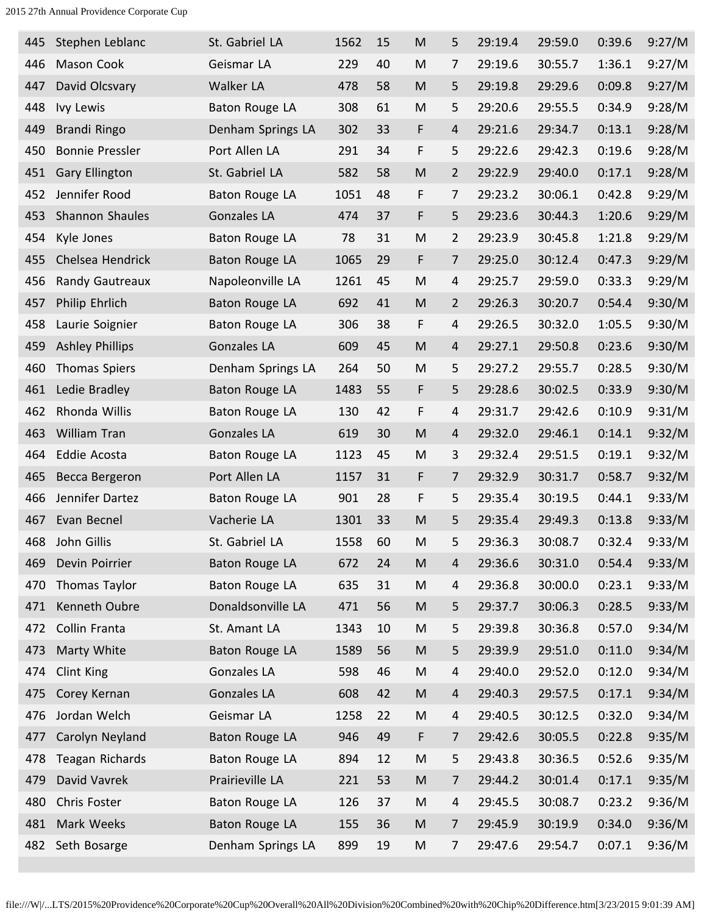| 445 | Stephen Leblanc        | St. Gabriel LA        | 1562 | 15 | M                                                                                                          | 5              | 29:19.4 | 29:59.0 | 0:39.6 | 9:27/M |
|-----|------------------------|-----------------------|------|----|------------------------------------------------------------------------------------------------------------|----------------|---------|---------|--------|--------|
| 446 | <b>Mason Cook</b>      | Geismar LA            | 229  | 40 | M                                                                                                          | $\overline{7}$ | 29:19.6 | 30:55.7 | 1:36.1 | 9:27/M |
| 447 | David Olcsvary         | Walker LA             | 478  | 58 | M                                                                                                          | 5              | 29:19.8 | 29:29.6 | 0:09.8 | 9:27/M |
| 448 | Ivy Lewis              | <b>Baton Rouge LA</b> | 308  | 61 | M                                                                                                          | 5              | 29:20.6 | 29:55.5 | 0:34.9 | 9:28/M |
| 449 | Brandi Ringo           | Denham Springs LA     | 302  | 33 | F                                                                                                          | $\overline{4}$ | 29:21.6 | 29:34.7 | 0:13.1 | 9:28/M |
| 450 | <b>Bonnie Pressler</b> | Port Allen LA         | 291  | 34 | F                                                                                                          | 5              | 29:22.6 | 29:42.3 | 0:19.6 | 9:28/M |
| 451 | <b>Gary Ellington</b>  | St. Gabriel LA        | 582  | 58 | M                                                                                                          | $\overline{2}$ | 29:22.9 | 29:40.0 | 0:17.1 | 9:28/M |
| 452 | Jennifer Rood          | Baton Rouge LA        | 1051 | 48 | F                                                                                                          | 7              | 29:23.2 | 30:06.1 | 0:42.8 | 9:29/M |
| 453 | Shannon Shaules        | Gonzales LA           | 474  | 37 | F                                                                                                          | 5              | 29:23.6 | 30:44.3 | 1:20.6 | 9:29/M |
| 454 | Kyle Jones             | <b>Baton Rouge LA</b> | 78   | 31 | M                                                                                                          | $\overline{2}$ | 29:23.9 | 30:45.8 | 1:21.8 | 9:29/M |
| 455 | Chelsea Hendrick       | <b>Baton Rouge LA</b> | 1065 | 29 | F                                                                                                          | $\overline{7}$ | 29:25.0 | 30:12.4 | 0:47.3 | 9:29/M |
| 456 | <b>Randy Gautreaux</b> | Napoleonville LA      | 1261 | 45 | M                                                                                                          | 4              | 29:25.7 | 29:59.0 | 0:33.3 | 9:29/M |
| 457 | Philip Ehrlich         | <b>Baton Rouge LA</b> | 692  | 41 | M                                                                                                          | $\overline{2}$ | 29:26.3 | 30:20.7 | 0:54.4 | 9:30/M |
| 458 | Laurie Soignier        | Baton Rouge LA        | 306  | 38 | F                                                                                                          | $\overline{4}$ | 29:26.5 | 30:32.0 | 1:05.5 | 9:30/M |
| 459 | <b>Ashley Phillips</b> | Gonzales LA           | 609  | 45 | M                                                                                                          | 4              | 29:27.1 | 29:50.8 | 0:23.6 | 9:30/M |
| 460 | <b>Thomas Spiers</b>   | Denham Springs LA     | 264  | 50 | M                                                                                                          | 5              | 29:27.2 | 29:55.7 | 0:28.5 | 9:30/M |
| 461 | Ledie Bradley          | <b>Baton Rouge LA</b> | 1483 | 55 | F                                                                                                          | 5              | 29:28.6 | 30:02.5 | 0:33.9 | 9:30/M |
| 462 | Rhonda Willis          | Baton Rouge LA        | 130  | 42 | F                                                                                                          | $\overline{4}$ | 29:31.7 | 29:42.6 | 0:10.9 | 9:31/M |
| 463 | <b>William Tran</b>    | <b>Gonzales LA</b>    | 619  | 30 | M                                                                                                          | 4              | 29:32.0 | 29:46.1 | 0:14.1 | 9:32/M |
| 464 | Eddie Acosta           | Baton Rouge LA        | 1123 | 45 | M                                                                                                          | 3              | 29:32.4 | 29:51.5 | 0:19.1 | 9:32/M |
| 465 | Becca Bergeron         | Port Allen LA         | 1157 | 31 | F                                                                                                          | $\overline{7}$ | 29:32.9 | 30:31.7 | 0:58.7 | 9:32/M |
| 466 | Jennifer Dartez        | Baton Rouge LA        | 901  | 28 | F                                                                                                          | 5              | 29:35.4 | 30:19.5 | 0:44.1 | 9:33/M |
| 467 | Evan Becnel            | Vacherie LA           | 1301 | 33 | M                                                                                                          | 5              | 29:35.4 | 29:49.3 | 0:13.8 | 9:33/M |
| 468 | John Gillis            | St. Gabriel LA        | 1558 | 60 | M                                                                                                          | 5              | 29:36.3 | 30:08.7 | 0:32.4 | 9:33/M |
| 469 | Devin Poirrier         | Baton Rouge LA        | 672  | 24 | M                                                                                                          | $\overline{a}$ | 29:36.6 | 30:31.0 | 0:54.4 | 9:33/M |
| 470 | Thomas Taylor          | Baton Rouge LA        | 635  | 31 | M                                                                                                          | 4              | 29:36.8 | 30:00.0 | 0:23.1 | 9:33/M |
| 471 | Kenneth Oubre          | Donaldsonville LA     | 471  | 56 | ${\sf M}$                                                                                                  | 5              | 29:37.7 | 30:06.3 | 0:28.5 | 9:33/M |
| 472 | Collin Franta          | St. Amant LA          | 1343 | 10 | M                                                                                                          | 5              | 29:39.8 | 30:36.8 | 0:57.0 | 9:34/M |
| 473 | Marty White            | Baton Rouge LA        | 1589 | 56 | ${\sf M}$                                                                                                  | 5              | 29:39.9 | 29:51.0 | 0:11.0 | 9:34/M |
| 474 | Clint King             | <b>Gonzales LA</b>    | 598  | 46 | ${\sf M}$                                                                                                  | $\overline{4}$ | 29:40.0 | 29:52.0 | 0:12.0 | 9:34/M |
| 475 | Corey Kernan           | <b>Gonzales LA</b>    | 608  | 42 | ${\sf M}$                                                                                                  | $\overline{4}$ | 29:40.3 | 29:57.5 | 0:17.1 | 9:34/M |
| 476 | Jordan Welch           | Geismar LA            | 1258 | 22 | ${\sf M}$                                                                                                  | 4              | 29:40.5 | 30:12.5 | 0:32.0 | 9:34/M |
| 477 | Carolyn Neyland        | <b>Baton Rouge LA</b> | 946  | 49 | F                                                                                                          | $\overline{7}$ | 29:42.6 | 30:05.5 | 0:22.8 | 9:35/M |
| 478 | <b>Teagan Richards</b> | <b>Baton Rouge LA</b> | 894  | 12 | ${\sf M}$                                                                                                  | 5              | 29:43.8 | 30:36.5 | 0:52.6 | 9:35/M |
| 479 | David Vavrek           | Prairieville LA       | 221  | 53 | M                                                                                                          | $\overline{7}$ | 29:44.2 | 30:01.4 | 0:17.1 | 9:35/M |
| 480 | Chris Foster           | Baton Rouge LA        | 126  | 37 | ${\sf M}$                                                                                                  | $\overline{4}$ | 29:45.5 | 30:08.7 | 0:23.2 | 9:36/M |
| 481 | Mark Weeks             | <b>Baton Rouge LA</b> | 155  | 36 | $\mathsf{M}% _{T}=\mathsf{M}_{T}\!\left( a,b\right) ,\ \mathsf{M}_{T}=\mathsf{M}_{T}\!\left( a,b\right) ,$ | $\overline{7}$ | 29:45.9 | 30:19.9 | 0:34.0 | 9:36/M |
| 482 | Seth Bosarge           | Denham Springs LA     | 899  | 19 | M                                                                                                          | 7              | 29:47.6 | 29:54.7 | 0:07.1 | 9:36/M |
|     |                        |                       |      |    |                                                                                                            |                |         |         |        |        |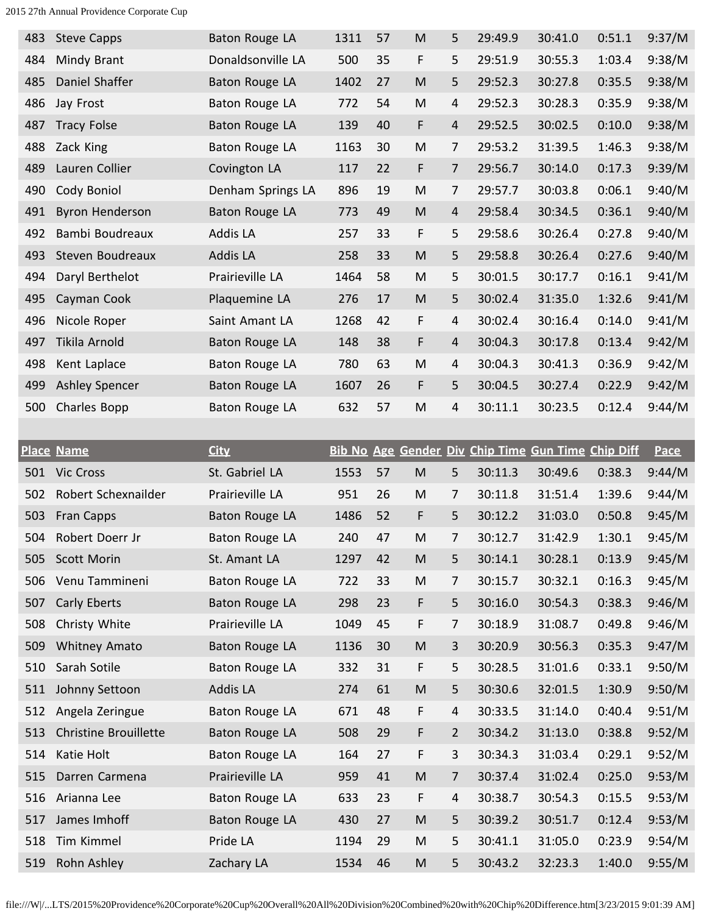| <b>Steve Capps</b>           | <b>Baton Rouge LA</b> | 1311                     | 57 | $\mathsf{M}% _{T}=\mathsf{M}_{T}\!\left( a,b\right) ,\ \mathsf{M}_{T}=\mathsf{M}_{T}\!\left( a,b\right) ,$ | 5              | 29:49.9 | 30:41.0                          | 0:51.1 | 9:37/M      |
|------------------------------|-----------------------|--------------------------|----|------------------------------------------------------------------------------------------------------------|----------------|---------|----------------------------------|--------|-------------|
| Mindy Brant                  | Donaldsonville LA     | 500                      | 35 | F                                                                                                          | 5              | 29:51.9 | 30:55.3                          | 1:03.4 | 9:38/M      |
| Daniel Shaffer               | Baton Rouge LA        | 1402                     | 27 | M                                                                                                          | 5              | 29:52.3 | 30:27.8                          | 0:35.5 | 9:38/M      |
| Jay Frost                    | Baton Rouge LA        | 772                      | 54 | M                                                                                                          | 4              | 29:52.3 | 30:28.3                          | 0:35.9 | 9:38/M      |
| <b>Tracy Folse</b>           | Baton Rouge LA        | 139                      | 40 | F                                                                                                          | $\overline{4}$ | 29:52.5 | 30:02.5                          | 0:10.0 | 9:38/M      |
| Zack King                    | Baton Rouge LA        | 1163                     | 30 | M                                                                                                          | 7              | 29:53.2 | 31:39.5                          | 1:46.3 | 9:38/M      |
| Lauren Collier               | Covington LA          | 117                      | 22 | F                                                                                                          | $\overline{7}$ | 29:56.7 | 30:14.0                          | 0:17.3 | 9:39/M      |
| Cody Boniol                  | Denham Springs LA     | 896                      | 19 | M                                                                                                          | 7              | 29:57.7 | 30:03.8                          | 0:06.1 | 9:40/M      |
| <b>Byron Henderson</b>       | Baton Rouge LA        | 773                      | 49 | M                                                                                                          | $\overline{4}$ | 29:58.4 | 30:34.5                          | 0:36.1 | 9:40/M      |
| Bambi Boudreaux              | <b>Addis LA</b>       | 257                      | 33 | F                                                                                                          | 5              | 29:58.6 | 30:26.4                          | 0:27.8 | 9:40/M      |
| Steven Boudreaux             | Addis LA              | 258                      | 33 | M                                                                                                          | 5              | 29:58.8 | 30:26.4                          | 0:27.6 | 9:40/M      |
| Daryl Berthelot              | Prairieville LA       | 1464                     | 58 | M                                                                                                          | 5              | 30:01.5 | 30:17.7                          | 0:16.1 | 9:41/M      |
| Cayman Cook                  | Plaquemine LA         | 276                      | 17 | M                                                                                                          | 5              | 30:02.4 | 31:35.0                          | 1:32.6 | 9:41/M      |
| Nicole Roper                 | Saint Amant LA        | 1268                     | 42 | F                                                                                                          | $\overline{4}$ | 30:02.4 | 30:16.4                          | 0:14.0 | 9:41/M      |
| Tikila Arnold                | <b>Baton Rouge LA</b> | 148                      | 38 | F                                                                                                          | $\overline{4}$ | 30:04.3 | 30:17.8                          | 0:13.4 | 9:42/M      |
| Kent Laplace                 | <b>Baton Rouge LA</b> | 780                      | 63 | M                                                                                                          | 4              | 30:04.3 | 30:41.3                          | 0:36.9 | 9:42/M      |
| <b>Ashley Spencer</b>        | Baton Rouge LA        | 1607                     | 26 | F                                                                                                          | 5              | 30:04.5 | 30:27.4                          | 0:22.9 | 9:42/M      |
| Charles Bopp                 | <b>Baton Rouge LA</b> | 632                      | 57 | M                                                                                                          | $\overline{4}$ | 30:11.1 | 30:23.5                          | 0:12.4 | 9:44/M      |
|                              |                       |                          |    |                                                                                                            |                |         |                                  |        |             |
|                              |                       |                          |    |                                                                                                            |                |         |                                  |        |             |
| <b>Place Name</b>            | <b>City</b>           | <b>Bib No Age Gender</b> |    |                                                                                                            |                |         | Div Chip Time Gun Time Chip Diff |        | <b>Pace</b> |
| <b>Vic Cross</b>             | St. Gabriel LA        | 1553                     | 57 | M                                                                                                          | 5              | 30:11.3 | 30:49.6                          | 0:38.3 | 9:44/M      |
| Robert Schexnailder          | Prairieville LA       | 951                      | 26 | M                                                                                                          | 7              | 30:11.8 | 31:51.4                          | 1:39.6 | 9:44/M      |
| <b>Fran Capps</b>            | Baton Rouge LA        | 1486                     | 52 | F                                                                                                          | 5              | 30:12.2 | 31:03.0                          | 0:50.8 | 9:45/M      |
| Robert Doerr Jr              | <b>Baton Rouge LA</b> | 240                      | 47 | M                                                                                                          | 7              | 30:12.7 | 31:42.9                          | 1:30.1 | 9:45/M      |
| Scott Morin                  | St. Amant LA          | 1297                     | 42 | $\mathsf{M}% _{T}=\mathsf{M}_{T}\!\left( a,b\right) ,\ \mathsf{M}_{T}=\mathsf{M}_{T}\!\left( a,b\right) ,$ | 5              | 30:14.1 | 30:28.1                          | 0:13.9 | 9:45/M      |
| Venu Tammineni               | Baton Rouge LA        | 722                      | 33 | M                                                                                                          | $\overline{7}$ | 30:15.7 | 30:32.1                          | 0:16.3 | 9:45/M      |
| Carly Eberts                 | Baton Rouge LA        | 298                      | 23 | F                                                                                                          | 5              | 30:16.0 | 30:54.3                          | 0:38.3 | 9:46/M      |
| Christy White                | Prairieville LA       | 1049                     | 45 | F                                                                                                          | $\overline{7}$ | 30:18.9 | 31:08.7                          | 0:49.8 | 9:46/M      |
| <b>Whitney Amato</b>         | <b>Baton Rouge LA</b> | 1136                     | 30 | $\mathsf{M}% _{T}=\mathsf{M}_{T}\!\left( a,b\right) ,\ \mathsf{M}_{T}=\mathsf{M}_{T}\!\left( a,b\right) ,$ | 3              | 30:20.9 | 30:56.3                          | 0:35.3 | 9:47/M      |
| Sarah Sotile                 | Baton Rouge LA        | 332                      | 31 | F                                                                                                          | 5              | 30:28.5 | 31:01.6                          | 0:33.1 | 9:50/M      |
| Johnny Settoon               | Addis LA              | 274                      | 61 | M                                                                                                          | 5              | 30:30.6 | 32:01.5                          | 1:30.9 | 9:50/M      |
| Angela Zeringue              | Baton Rouge LA        | 671                      | 48 | F                                                                                                          | 4              | 30:33.5 | 31:14.0                          | 0:40.4 | 9:51/M      |
| <b>Christine Brouillette</b> | Baton Rouge LA        | 508                      | 29 | F                                                                                                          | $\overline{2}$ | 30:34.2 | 31:13.0                          | 0:38.8 | 9:52/M      |
| Katie Holt                   | Baton Rouge LA        | 164                      | 27 | F                                                                                                          | 3              | 30:34.3 | 31:03.4                          | 0:29.1 | 9:52/M      |
| Darren Carmena               | Prairieville LA       | 959                      | 41 | M                                                                                                          | $\overline{7}$ | 30:37.4 | 31:02.4                          | 0:25.0 | 9:53/M      |
| Arianna Lee                  | Baton Rouge LA        | 633                      | 23 | F                                                                                                          | $\overline{4}$ | 30:38.7 | 30:54.3                          | 0:15.5 | 9:53/M      |
| James Imhoff                 | Baton Rouge LA        | 430                      | 27 | M                                                                                                          | 5              | 30:39.2 | 30:51.7                          | 0:12.4 | 9:53/M      |
| Tim Kimmel                   | Pride LA              | 1194                     | 29 | M                                                                                                          | 5              | 30:41.1 | 31:05.0                          | 0:23.9 | 9:54/M      |
|                              |                       |                          |    |                                                                                                            |                |         |                                  |        |             |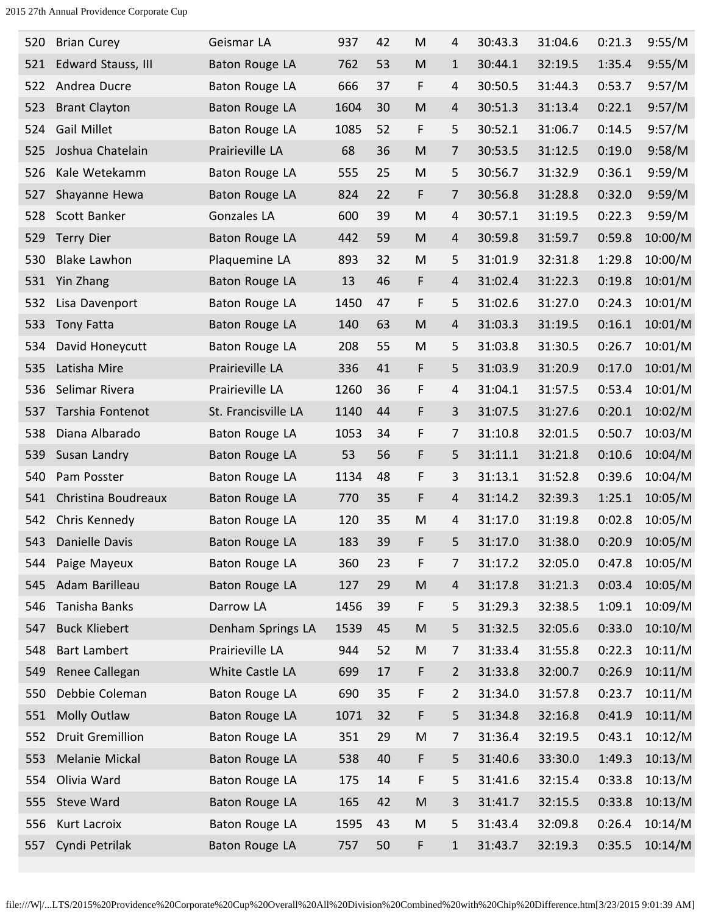| 520 | <b>Brian Curey</b>      | Geismar LA            | 937  | 42 | M                                                                                                          | 4              | 30:43.3 | 31:04.6 | 0:21.3 | 9:55/M  |
|-----|-------------------------|-----------------------|------|----|------------------------------------------------------------------------------------------------------------|----------------|---------|---------|--------|---------|
| 521 | Edward Stauss, III      | Baton Rouge LA        | 762  | 53 | $\mathsf{M}% _{T}=\mathsf{M}_{T}\!\left( a,b\right) ,\ \mathsf{M}_{T}=\mathsf{M}_{T}\!\left( a,b\right) ,$ | $\mathbf{1}$   | 30:44.1 | 32:19.5 | 1:35.4 | 9:55/M  |
| 522 | Andrea Ducre            | Baton Rouge LA        | 666  | 37 | F                                                                                                          | $\overline{4}$ | 30:50.5 | 31:44.3 | 0:53.7 | 9:57/M  |
| 523 | <b>Brant Clayton</b>    | Baton Rouge LA        | 1604 | 30 | M                                                                                                          | 4              | 30:51.3 | 31:13.4 | 0:22.1 | 9:57/M  |
| 524 | <b>Gail Millet</b>      | Baton Rouge LA        | 1085 | 52 | F                                                                                                          | 5              | 30:52.1 | 31:06.7 | 0:14.5 | 9:57/M  |
| 525 | Joshua Chatelain        | Prairieville LA       | 68   | 36 | M                                                                                                          | 7              | 30:53.5 | 31:12.5 | 0:19.0 | 9:58/M  |
| 526 | Kale Wetekamm           | Baton Rouge LA        | 555  | 25 | M                                                                                                          | 5              | 30:56.7 | 31:32.9 | 0:36.1 | 9:59/M  |
| 527 | Shayanne Hewa           | Baton Rouge LA        | 824  | 22 | F                                                                                                          | 7              | 30:56.8 | 31:28.8 | 0:32.0 | 9:59/M  |
| 528 | Scott Banker            | <b>Gonzales LA</b>    | 600  | 39 | M                                                                                                          | 4              | 30:57.1 | 31:19.5 | 0:22.3 | 9:59/M  |
| 529 | <b>Terry Dier</b>       | Baton Rouge LA        | 442  | 59 | $\mathsf{M}% _{T}=\mathsf{M}_{T}\!\left( a,b\right) ,\ \mathsf{M}_{T}=\mathsf{M}_{T}\!\left( a,b\right) ,$ | $\overline{4}$ | 30:59.8 | 31:59.7 | 0:59.8 | 10:00/M |
| 530 | <b>Blake Lawhon</b>     | Plaquemine LA         | 893  | 32 | M                                                                                                          | 5              | 31:01.9 | 32:31.8 | 1:29.8 | 10:00/M |
| 531 | Yin Zhang               | Baton Rouge LA        | 13   | 46 | F                                                                                                          | $\overline{4}$ | 31:02.4 | 31:22.3 | 0:19.8 | 10:01/M |
| 532 | Lisa Davenport          | Baton Rouge LA        | 1450 | 47 | F                                                                                                          | 5              | 31:02.6 | 31:27.0 | 0:24.3 | 10:01/M |
| 533 | <b>Tony Fatta</b>       | <b>Baton Rouge LA</b> | 140  | 63 | M                                                                                                          | $\overline{4}$ | 31:03.3 | 31:19.5 | 0:16.1 | 10:01/M |
| 534 | David Honeycutt         | <b>Baton Rouge LA</b> | 208  | 55 | M                                                                                                          | 5              | 31:03.8 | 31:30.5 | 0:26.7 | 10:01/M |
| 535 | Latisha Mire            | Prairieville LA       | 336  | 41 | F                                                                                                          | 5              | 31:03.9 | 31:20.9 | 0:17.0 | 10:01/M |
| 536 | Selimar Rivera          | Prairieville LA       | 1260 | 36 | F                                                                                                          | 4              | 31:04.1 | 31:57.5 | 0:53.4 | 10:01/M |
| 537 | Tarshia Fontenot        | St. Francisville LA   | 1140 | 44 | F                                                                                                          | 3              | 31:07.5 | 31:27.6 | 0:20.1 | 10:02/M |
| 538 | Diana Albarado          | Baton Rouge LA        | 1053 | 34 | F                                                                                                          | 7              | 31:10.8 | 32:01.5 | 0:50.7 | 10:03/M |
| 539 | Susan Landry            | Baton Rouge LA        | 53   | 56 | F                                                                                                          | 5              | 31:11.1 | 31:21.8 | 0:10.6 | 10:04/M |
| 540 | Pam Posster             | Baton Rouge LA        | 1134 | 48 | F                                                                                                          | 3              | 31:13.1 | 31:52.8 | 0:39.6 | 10:04/M |
| 541 | Christina Boudreaux     | Baton Rouge LA        | 770  | 35 | F                                                                                                          | 4              | 31:14.2 | 32:39.3 | 1:25.1 | 10:05/M |
| 542 | Chris Kennedy           | Baton Rouge LA        | 120  | 35 | M                                                                                                          | 4              | 31:17.0 | 31:19.8 | 0:02.8 | 10:05/M |
| 543 | Danielle Davis          | <b>Baton Rouge LA</b> | 183  | 39 | F                                                                                                          | 5              | 31:17.0 | 31:38.0 | 0:20.9 | 10:05/M |
| 544 | Paige Mayeux            | Baton Rouge LA        | 360  | 23 | F                                                                                                          | 7              | 31:17.2 | 32:05.0 | 0:47.8 | 10:05/M |
| 545 | Adam Barilleau          | Baton Rouge LA        | 127  | 29 | M                                                                                                          | 4              | 31:17.8 | 31:21.3 | 0:03.4 | 10:05/M |
| 546 | Tanisha Banks           | Darrow LA             | 1456 | 39 | F                                                                                                          | 5              | 31:29.3 | 32:38.5 | 1:09.1 | 10:09/M |
| 547 | <b>Buck Kliebert</b>    | Denham Springs LA     | 1539 | 45 | M                                                                                                          | 5              | 31:32.5 | 32:05.6 | 0:33.0 | 10:10/M |
| 548 | <b>Bart Lambert</b>     | Prairieville LA       | 944  | 52 | M                                                                                                          | 7              | 31:33.4 | 31:55.8 | 0:22.3 | 10:11/M |
| 549 | Renee Callegan          | White Castle LA       | 699  | 17 | F                                                                                                          | 2              | 31:33.8 | 32:00.7 | 0:26.9 | 10:11/M |
| 550 | Debbie Coleman          | Baton Rouge LA        | 690  | 35 | F                                                                                                          | $\overline{2}$ | 31:34.0 | 31:57.8 | 0:23.7 | 10:11/M |
| 551 | Molly Outlaw            | Baton Rouge LA        | 1071 | 32 | F                                                                                                          | 5              | 31:34.8 | 32:16.8 | 0:41.9 | 10:11/M |
| 552 | <b>Druit Gremillion</b> | Baton Rouge LA        | 351  | 29 | M                                                                                                          | 7              | 31:36.4 | 32:19.5 | 0:43.1 | 10:12/M |
| 553 | Melanie Mickal          | <b>Baton Rouge LA</b> | 538  | 40 | F                                                                                                          | 5              | 31:40.6 | 33:30.0 | 1:49.3 | 10:13/M |
| 554 | Olivia Ward             | Baton Rouge LA        | 175  | 14 | F                                                                                                          | 5              | 31:41.6 | 32:15.4 | 0:33.8 | 10:13/M |
| 555 | Steve Ward              | Baton Rouge LA        | 165  | 42 | $\mathsf{M}% _{T}=\mathsf{M}_{T}\!\left( a,b\right) ,\ \mathsf{M}_{T}=\mathsf{M}_{T}\!\left( a,b\right) ,$ | 3              | 31:41.7 | 32:15.5 | 0:33.8 | 10:13/M |
| 556 | Kurt Lacroix            | Baton Rouge LA        | 1595 | 43 | ${\sf M}$                                                                                                  | 5              | 31:43.4 | 32:09.8 | 0:26.4 | 10:14/M |
| 557 | Cyndi Petrilak          | Baton Rouge LA        | 757  | 50 | F                                                                                                          | $\mathbf{1}$   | 31:43.7 | 32:19.3 | 0:35.5 | 10:14/M |
|     |                         |                       |      |    |                                                                                                            |                |         |         |        |         |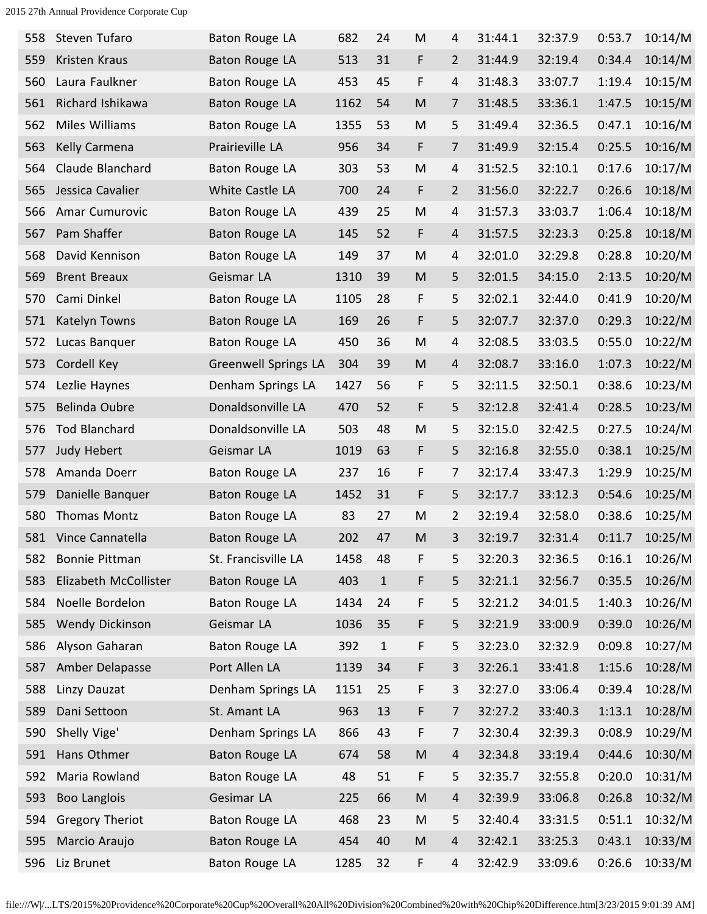| 558 | Steven Tufaro          | Baton Rouge LA              | 682  | 24          | M         | 4                        | 31:44.1 | 32:37.9 | 0:53.7 | 10:14/M |
|-----|------------------------|-----------------------------|------|-------------|-----------|--------------------------|---------|---------|--------|---------|
| 559 | Kristen Kraus          | Baton Rouge LA              | 513  | 31          | F         | $\overline{2}$           | 31:44.9 | 32:19.4 | 0:34.4 | 10:14/M |
| 560 | Laura Faulkner         | Baton Rouge LA              | 453  | 45          | F         | $\overline{4}$           | 31:48.3 | 33:07.7 | 1:19.4 | 10:15/M |
| 561 | Richard Ishikawa       | Baton Rouge LA              | 1162 | 54          | M         | $\overline{7}$           | 31:48.5 | 33:36.1 | 1:47.5 | 10:15/M |
| 562 | Miles Williams         | Baton Rouge LA              | 1355 | 53          | M         | 5                        | 31:49.4 | 32:36.5 | 0:47.1 | 10:16/M |
| 563 | Kelly Carmena          | Prairieville LA             | 956  | 34          | F         | $\overline{7}$           | 31:49.9 | 32:15.4 | 0:25.5 | 10:16/M |
| 564 | Claude Blanchard       | Baton Rouge LA              | 303  | 53          | ${\sf M}$ | $\overline{\mathcal{L}}$ | 31:52.5 | 32:10.1 | 0:17.6 | 10:17/M |
| 565 | Jessica Cavalier       | White Castle LA             | 700  | 24          | F         | $\overline{2}$           | 31:56.0 | 32:22.7 | 0:26.6 | 10:18/M |
| 566 | Amar Cumurovic         | Baton Rouge LA              | 439  | 25          | ${\sf M}$ | $\overline{4}$           | 31:57.3 | 33:03.7 | 1:06.4 | 10:18/M |
| 567 | Pam Shaffer            | Baton Rouge LA              | 145  | 52          | F         | $\overline{4}$           | 31:57.5 | 32:23.3 | 0:25.8 | 10:18/M |
| 568 | David Kennison         | Baton Rouge LA              | 149  | 37          | M         | $\overline{4}$           | 32:01.0 | 32:29.8 | 0:28.8 | 10:20/M |
| 569 | <b>Brent Breaux</b>    | Geismar LA                  | 1310 | 39          | M         | 5                        | 32:01.5 | 34:15.0 | 2:13.5 | 10:20/M |
| 570 | Cami Dinkel            | Baton Rouge LA              | 1105 | 28          | F         | 5                        | 32:02.1 | 32:44.0 | 0:41.9 | 10:20/M |
| 571 | Katelyn Towns          | Baton Rouge LA              | 169  | 26          | F         | 5                        | 32:07.7 | 32:37.0 | 0:29.3 | 10:22/M |
| 572 | Lucas Banquer          | Baton Rouge LA              | 450  | 36          | M         | 4                        | 32:08.5 | 33:03.5 | 0:55.0 | 10:22/M |
| 573 | Cordell Key            | <b>Greenwell Springs LA</b> | 304  | 39          | M         | $\overline{a}$           | 32:08.7 | 33:16.0 | 1:07.3 | 10:22/M |
| 574 | Lezlie Haynes          | Denham Springs LA           | 1427 | 56          | F         | 5                        | 32:11.5 | 32:50.1 | 0:38.6 | 10:23/M |
| 575 | <b>Belinda Oubre</b>   | Donaldsonville LA           | 470  | 52          | F         | 5                        | 32:12.8 | 32:41.4 | 0:28.5 | 10:23/M |
| 576 | <b>Tod Blanchard</b>   | Donaldsonville LA           | 503  | 48          | M         | 5                        | 32:15.0 | 32:42.5 | 0:27.5 | 10:24/M |
| 577 | Judy Hebert            | Geismar LA                  | 1019 | 63          | F         | 5                        | 32:16.8 | 32:55.0 | 0:38.1 | 10:25/M |
| 578 | Amanda Doerr           | Baton Rouge LA              | 237  | 16          | F         | 7                        | 32:17.4 | 33:47.3 | 1:29.9 | 10:25/M |
| 579 | Danielle Banquer       | Baton Rouge LA              | 1452 | 31          | F         | 5                        | 32:17.7 | 33:12.3 | 0:54.6 | 10:25/M |
| 580 | Thomas Montz           | Baton Rouge LA              | 83   | 27          | M         | $\overline{2}$           | 32:19.4 | 32:58.0 | 0:38.6 | 10:25/M |
| 581 | Vince Cannatella       | Baton Rouge LA              | 202  | 47          | M         | 3                        | 32:19.7 | 32:31.4 | 0:11.7 | 10:25/M |
| 582 | Bonnie Pittman         | St. Francisville LA         | 1458 | 48          | F         | 5                        | 32:20.3 | 32:36.5 | 0:16.1 | 10:26/M |
| 583 | Elizabeth McCollister  | Baton Rouge LA              | 403  | $\mathbf 1$ | F         | 5                        | 32:21.1 | 32:56.7 | 0:35.5 | 10:26/M |
| 584 | Noelle Bordelon        | Baton Rouge LA              | 1434 | 24          | F         | 5                        | 32:21.2 | 34:01.5 | 1:40.3 | 10:26/M |
| 585 | Wendy Dickinson        | Geismar LA                  | 1036 | 35          | F         | 5                        | 32:21.9 | 33:00.9 | 0:39.0 | 10:26/M |
| 586 | Alyson Gaharan         | Baton Rouge LA              | 392  | $1\,$       | F         | 5                        | 32:23.0 | 32:32.9 | 0:09.8 | 10:27/M |
| 587 | Amber Delapasse        | Port Allen LA               | 1139 | 34          | F         | 3                        | 32:26.1 | 33:41.8 | 1:15.6 | 10:28/M |
| 588 | Linzy Dauzat           | Denham Springs LA           | 1151 | 25          | F         | 3                        | 32:27.0 | 33:06.4 | 0:39.4 | 10:28/M |
| 589 | Dani Settoon           | St. Amant LA                | 963  | 13          | F         | $\overline{7}$           | 32:27.2 | 33:40.3 | 1:13.1 | 10:28/M |
| 590 | Shelly Vige'           | Denham Springs LA           | 866  | 43          | F         | $\overline{7}$           | 32:30.4 | 32:39.3 | 0:08.9 | 10:29/M |
| 591 | Hans Othmer            | Baton Rouge LA              | 674  | 58          | ${\sf M}$ | $\overline{4}$           | 32:34.8 | 33:19.4 | 0:44.6 | 10:30/M |
| 592 | Maria Rowland          | Baton Rouge LA              | 48   | 51          | F         | 5                        | 32:35.7 | 32:55.8 | 0:20.0 | 10:31/M |
| 593 | <b>Boo Langlois</b>    | Gesimar LA                  | 225  | 66          | ${\sf M}$ | 4                        | 32:39.9 | 33:06.8 | 0:26.8 | 10:32/M |
| 594 | <b>Gregory Theriot</b> | Baton Rouge LA              | 468  | 23          | ${\sf M}$ | 5                        | 32:40.4 | 33:31.5 | 0:51.1 | 10:32/M |
| 595 | Marcio Araujo          | Baton Rouge LA              | 454  | 40          | ${\sf M}$ | $\overline{4}$           | 32:42.1 | 33:25.3 | 0:43.1 | 10:33/M |
| 596 | Liz Brunet             | Baton Rouge LA              | 1285 | 32          | F         | $\overline{\mathcal{L}}$ | 32:42.9 | 33:09.6 | 0:26.6 | 10:33/M |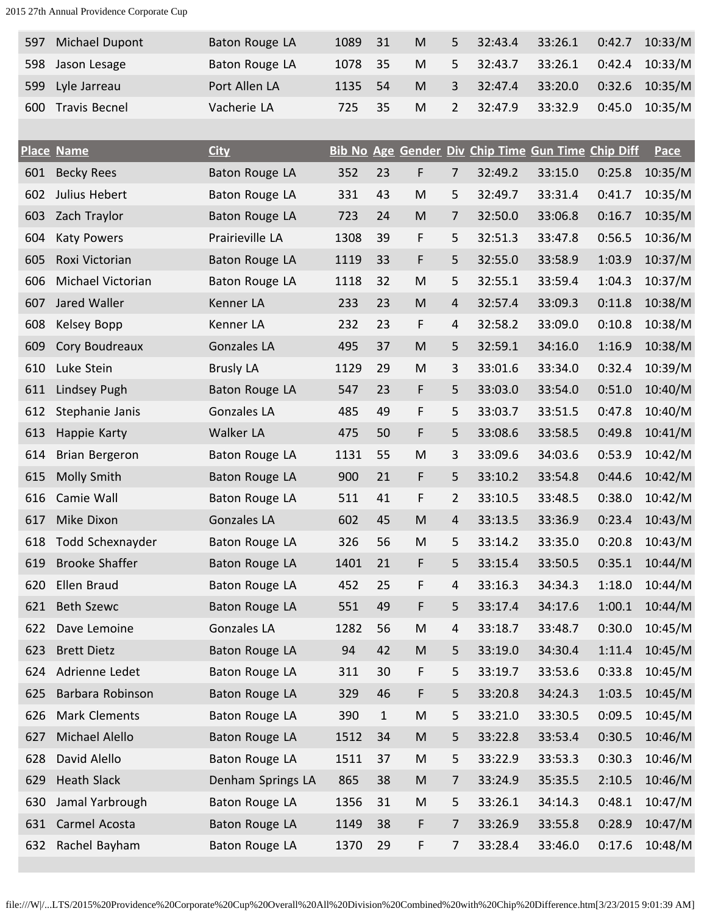| 597 | <b>Michael Dupont</b> | Baton Rouge LA | 1089    | -31 | M | 5.             | 32:43.4 | 33:26.1 | 0:42.7 | 10:33/M          |
|-----|-----------------------|----------------|---------|-----|---|----------------|---------|---------|--------|------------------|
|     | 598 Jason Lesage      | Baton Rouge LA | 1078    | -35 | M | 5.             | 32:43.7 | 33:26.1 |        | $0:42.4$ 10:33/M |
|     | 599 Lyle Jarreau      | Port Allen LA  | 1135 54 |     | M | $\overline{3}$ | 32:47.4 | 33:20.0 |        | $0:32.6$ 10:35/M |
| 600 | <b>Travis Becnel</b>  | Vacherie LA    | 725.    | 35  | M | 2              | 32:47.9 | 33:32.9 | 0:45.0 | 10:35/M          |

|     | <b>Place Name</b>     | <b>City</b>           |      |              |           |                |         | Bib No Age Gender Div Chip Time Gun Time Chip Diff |        | Pace    |
|-----|-----------------------|-----------------------|------|--------------|-----------|----------------|---------|----------------------------------------------------|--------|---------|
| 601 | <b>Becky Rees</b>     | Baton Rouge LA        | 352  | 23           | F         | $\overline{7}$ | 32:49.2 | 33:15.0                                            | 0:25.8 | 10:35/M |
| 602 | Julius Hebert         | Baton Rouge LA        | 331  | 43           | M         | 5              | 32:49.7 | 33:31.4                                            | 0:41.7 | 10:35/M |
| 603 | Zach Traylor          | <b>Baton Rouge LA</b> | 723  | 24           | M         | $\overline{7}$ | 32:50.0 | 33:06.8                                            | 0:16.7 | 10:35/M |
| 604 | <b>Katy Powers</b>    | Prairieville LA       | 1308 | 39           | F         | 5              | 32:51.3 | 33:47.8                                            | 0:56.5 | 10:36/M |
| 605 | Roxi Victorian        | Baton Rouge LA        | 1119 | 33           | F         | 5              | 32:55.0 | 33:58.9                                            | 1:03.9 | 10:37/M |
| 606 | Michael Victorian     | Baton Rouge LA        | 1118 | 32           | M         | 5              | 32:55.1 | 33:59.4                                            | 1:04.3 | 10:37/M |
| 607 | Jared Waller          | Kenner LA             | 233  | 23           | ${\sf M}$ | $\overline{4}$ | 32:57.4 | 33:09.3                                            | 0:11.8 | 10:38/M |
| 608 | Kelsey Bopp           | Kenner LA             | 232  | 23           | F         | 4              | 32:58.2 | 33:09.0                                            | 0:10.8 | 10:38/M |
| 609 | Cory Boudreaux        | <b>Gonzales LA</b>    | 495  | 37           | M         | 5              | 32:59.1 | 34:16.0                                            | 1:16.9 | 10:38/M |
| 610 | Luke Stein            | <b>Brusly LA</b>      | 1129 | 29           | ${\sf M}$ | 3              | 33:01.6 | 33:34.0                                            | 0:32.4 | 10:39/M |
| 611 | Lindsey Pugh          | Baton Rouge LA        | 547  | 23           | F         | 5              | 33:03.0 | 33:54.0                                            | 0:51.0 | 10:40/M |
| 612 | Stephanie Janis       | Gonzales LA           | 485  | 49           | F         | 5              | 33:03.7 | 33:51.5                                            | 0:47.8 | 10:40/M |
| 613 | Happie Karty          | Walker LA             | 475  | 50           | F         | 5              | 33:08.6 | 33:58.5                                            | 0:49.8 | 10:41/M |
| 614 | Brian Bergeron        | Baton Rouge LA        | 1131 | 55           | M         | 3              | 33:09.6 | 34:03.6                                            | 0:53.9 | 10:42/M |
| 615 | <b>Molly Smith</b>    | Baton Rouge LA        | 900  | 21           | F         | 5              | 33:10.2 | 33:54.8                                            | 0:44.6 | 10:42/M |
| 616 | Camie Wall            | Baton Rouge LA        | 511  | 41           | F         | 2              | 33:10.5 | 33:48.5                                            | 0:38.0 | 10:42/M |
| 617 | Mike Dixon            | <b>Gonzales LA</b>    | 602  | 45           | M         | $\overline{4}$ | 33:13.5 | 33:36.9                                            | 0:23.4 | 10:43/M |
| 618 | Todd Schexnayder      | Baton Rouge LA        | 326  | 56           | M         | 5              | 33:14.2 | 33:35.0                                            | 0:20.8 | 10:43/M |
| 619 | <b>Brooke Shaffer</b> | Baton Rouge LA        | 1401 | 21           | F         | 5              | 33:15.4 | 33:50.5                                            | 0:35.1 | 10:44/M |
| 620 | <b>Ellen Braud</b>    | Baton Rouge LA        | 452  | 25           | F         | $\overline{4}$ | 33:16.3 | 34:34.3                                            | 1:18.0 | 10:44/M |
| 621 | <b>Beth Szewc</b>     | Baton Rouge LA        | 551  | 49           | F         | 5              | 33:17.4 | 34:17.6                                            | 1:00.1 | 10:44/M |
| 622 | Dave Lemoine          | <b>Gonzales LA</b>    | 1282 | 56           | M         | 4              | 33:18.7 | 33:48.7                                            | 0:30.0 | 10:45/M |
| 623 | <b>Brett Dietz</b>    | Baton Rouge LA        | 94   | 42           | M         | 5              | 33:19.0 | 34:30.4                                            | 1:11.4 | 10:45/M |
| 624 | Adrienne Ledet        | Baton Rouge LA        | 311  | 30           | F         | 5              | 33:19.7 | 33:53.6                                            | 0:33.8 | 10:45/M |
| 625 | Barbara Robinson      | Baton Rouge LA        | 329  | 46           | F         | 5              | 33:20.8 | 34:24.3                                            | 1:03.5 | 10:45/M |
| 626 | Mark Clements         | Baton Rouge LA        | 390  | $\mathbf{1}$ | ${\sf M}$ | 5              | 33:21.0 | 33:30.5                                            | 0:09.5 | 10:45/M |
| 627 | Michael Alello        | Baton Rouge LA        | 1512 | 34           | ${\sf M}$ | 5              | 33:22.8 | 33:53.4                                            | 0:30.5 | 10:46/M |
| 628 | David Alello          | Baton Rouge LA        | 1511 | 37           | ${\sf M}$ | 5              | 33:22.9 | 33:53.3                                            | 0:30.3 | 10:46/M |
| 629 | <b>Heath Slack</b>    | Denham Springs LA     | 865  | 38           | ${\sf M}$ | 7              | 33:24.9 | 35:35.5                                            | 2:10.5 | 10:46/M |
| 630 | Jamal Yarbrough       | Baton Rouge LA        | 1356 | 31           | ${\sf M}$ | 5              | 33:26.1 | 34:14.3                                            | 0:48.1 | 10:47/M |
| 631 | Carmel Acosta         | <b>Baton Rouge LA</b> | 1149 | 38           | F         | 7              | 33:26.9 | 33:55.8                                            | 0:28.9 | 10:47/M |
| 632 | Rachel Bayham         | Baton Rouge LA        | 1370 | 29           | F         | $\overline{7}$ | 33:28.4 | 33:46.0                                            | 0:17.6 | 10:48/M |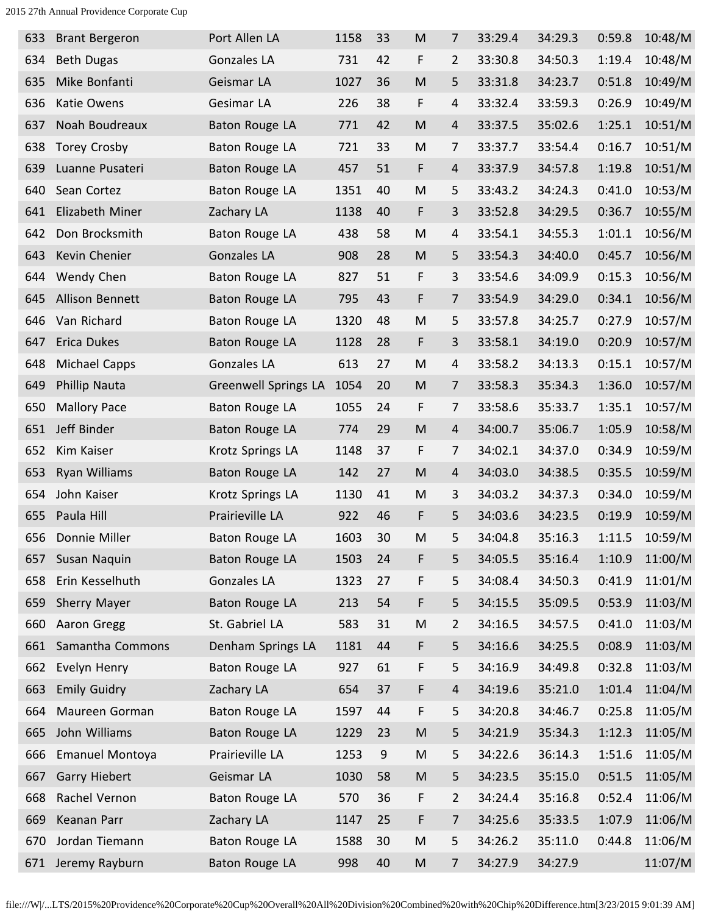| 633 | <b>Brant Bergeron</b>  | Port Allen LA               | 1158 | 33             | M                                                                                     | 7              | 33:29.4 | 34:29.3 | 0:59.8 | 10:48/M |
|-----|------------------------|-----------------------------|------|----------------|---------------------------------------------------------------------------------------|----------------|---------|---------|--------|---------|
| 634 | <b>Beth Dugas</b>      | <b>Gonzales LA</b>          | 731  | 42             | F                                                                                     | $\overline{2}$ | 33:30.8 | 34:50.3 | 1:19.4 | 10:48/M |
| 635 | Mike Bonfanti          | Geismar LA                  | 1027 | 36             | $\mathsf{M}% _{T}=\mathsf{M}_{T}\!\left( a,b\right) ,\ \mathsf{M}_{T}=\mathsf{M}_{T}$ | 5              | 33:31.8 | 34:23.7 | 0:51.8 | 10:49/M |
| 636 | Katie Owens            | Gesimar LA                  | 226  | 38             | F                                                                                     | $\overline{4}$ | 33:32.4 | 33:59.3 | 0:26.9 | 10:49/M |
| 637 | Noah Boudreaux         | Baton Rouge LA              | 771  | 42             | M                                                                                     | 4              | 33:37.5 | 35:02.6 | 1:25.1 | 10:51/M |
| 638 | <b>Torey Crosby</b>    | Baton Rouge LA              | 721  | 33             | M                                                                                     | 7              | 33:37.7 | 33:54.4 | 0:16.7 | 10:51/M |
| 639 | Luanne Pusateri        | <b>Baton Rouge LA</b>       | 457  | 51             | F                                                                                     | $\overline{4}$ | 33:37.9 | 34:57.8 | 1:19.8 | 10:51/M |
| 640 | Sean Cortez            | Baton Rouge LA              | 1351 | 40             | M                                                                                     | 5              | 33:43.2 | 34:24.3 | 0:41.0 | 10:53/M |
| 641 | Elizabeth Miner        | Zachary LA                  | 1138 | 40             | F                                                                                     | 3              | 33:52.8 | 34:29.5 | 0:36.7 | 10:55/M |
| 642 | Don Brocksmith         | Baton Rouge LA              | 438  | 58             | $\mathsf{M}% _{T}=\mathsf{M}_{T}\!\left( a,b\right) ,\ \mathsf{M}_{T}=\mathsf{M}_{T}$ | $\overline{4}$ | 33:54.1 | 34:55.3 | 1:01.1 | 10:56/M |
| 643 | Kevin Chenier          | <b>Gonzales LA</b>          | 908  | 28             | ${\sf M}$                                                                             | 5              | 33:54.3 | 34:40.0 | 0:45.7 | 10:56/M |
| 644 | Wendy Chen             | <b>Baton Rouge LA</b>       | 827  | 51             | F                                                                                     | 3              | 33:54.6 | 34:09.9 | 0:15.3 | 10:56/M |
| 645 | Allison Bennett        | Baton Rouge LA              | 795  | 43             | F                                                                                     | 7              | 33:54.9 | 34:29.0 | 0:34.1 | 10:56/M |
| 646 | Van Richard            | Baton Rouge LA              | 1320 | 48             | ${\sf M}$                                                                             | 5              | 33:57.8 | 34:25.7 | 0:27.9 | 10:57/M |
| 647 | <b>Erica Dukes</b>     | <b>Baton Rouge LA</b>       | 1128 | 28             | F                                                                                     | $\overline{3}$ | 33:58.1 | 34:19.0 | 0:20.9 | 10:57/M |
| 648 | <b>Michael Capps</b>   | <b>Gonzales LA</b>          | 613  | 27             | M                                                                                     | $\overline{4}$ | 33:58.2 | 34:13.3 | 0:15.1 | 10:57/M |
| 649 | <b>Phillip Nauta</b>   | <b>Greenwell Springs LA</b> | 1054 | 20             | ${\sf M}$                                                                             | 7              | 33:58.3 | 35:34.3 | 1:36.0 | 10:57/M |
| 650 | <b>Mallory Pace</b>    | Baton Rouge LA              | 1055 | 24             | F                                                                                     | $\overline{7}$ | 33:58.6 | 35:33.7 | 1:35.1 | 10:57/M |
| 651 | Jeff Binder            | Baton Rouge LA              | 774  | 29             | ${\sf M}$                                                                             | $\overline{4}$ | 34:00.7 | 35:06.7 | 1:05.9 | 10:58/M |
| 652 | Kim Kaiser             | Krotz Springs LA            | 1148 | 37             | F                                                                                     | 7              | 34:02.1 | 34:37.0 | 0:34.9 | 10:59/M |
| 653 | Ryan Williams          | Baton Rouge LA              | 142  | 27             | M                                                                                     | $\overline{4}$ | 34:03.0 | 34:38.5 | 0:35.5 | 10:59/M |
| 654 | John Kaiser            | Krotz Springs LA            | 1130 | 41             | M                                                                                     | 3              | 34:03.2 | 34:37.3 | 0:34.0 | 10:59/M |
| 655 | Paula Hill             | Prairieville LA             | 922  | 46             | F                                                                                     | 5              | 34:03.6 | 34:23.5 | 0:19.9 | 10:59/M |
| 656 | Donnie Miller          | Baton Rouge LA              | 1603 | 30             | M                                                                                     | 5              | 34:04.8 | 35:16.3 | 1:11.5 | 10:59/M |
| 657 | Susan Naquin           | <b>Baton Rouge LA</b>       | 1503 | 24             | F                                                                                     | 5              | 34:05.5 | 35:16.4 | 1:10.9 | 11:00/M |
| 658 | Erin Kesselhuth        | Gonzales LA                 | 1323 | 27             | F                                                                                     | 5              | 34:08.4 | 34:50.3 | 0:41.9 | 11:01/M |
| 659 | Sherry Mayer           | Baton Rouge LA              | 213  | 54             | F                                                                                     | 5              | 34:15.5 | 35:09.5 | 0:53.9 | 11:03/M |
| 660 | Aaron Gregg            | St. Gabriel LA              | 583  | 31             | M                                                                                     | $\overline{2}$ | 34:16.5 | 34:57.5 | 0:41.0 | 11:03/M |
| 661 | Samantha Commons       | Denham Springs LA           | 1181 | 44             | F                                                                                     | 5              | 34:16.6 | 34:25.5 | 0:08.9 | 11:03/M |
| 662 | Evelyn Henry           | Baton Rouge LA              | 927  | 61             | F                                                                                     | 5              | 34:16.9 | 34:49.8 | 0:32.8 | 11:03/M |
| 663 | <b>Emily Guidry</b>    | Zachary LA                  | 654  | 37             | F                                                                                     | $\overline{4}$ | 34:19.6 | 35:21.0 | 1:01.4 | 11:04/M |
| 664 | Maureen Gorman         | Baton Rouge LA              | 1597 | 44             | F                                                                                     | 5              | 34:20.8 | 34:46.7 | 0:25.8 | 11:05/M |
| 665 | John Williams          | Baton Rouge LA              | 1229 | 23             | ${\sf M}$                                                                             | 5              | 34:21.9 | 35:34.3 | 1:12.3 | 11:05/M |
| 666 | <b>Emanuel Montoya</b> | Prairieville LA             | 1253 | $\overline{9}$ | M                                                                                     | 5              | 34:22.6 | 36:14.3 | 1:51.6 | 11:05/M |
| 667 | Garry Hiebert          | Geismar LA                  | 1030 | 58             | M                                                                                     | 5              | 34:23.5 | 35:15.0 | 0:51.5 | 11:05/M |
| 668 | Rachel Vernon          | Baton Rouge LA              | 570  | 36             | F                                                                                     | $\overline{2}$ | 34:24.4 | 35:16.8 | 0:52.4 | 11:06/M |
| 669 | Keanan Parr            | Zachary LA                  | 1147 | 25             | F                                                                                     | 7              | 34:25.6 | 35:33.5 | 1:07.9 | 11:06/M |
| 670 | Jordan Tiemann         | Baton Rouge LA              | 1588 | 30             | M                                                                                     | 5              | 34:26.2 | 35:11.0 | 0:44.8 | 11:06/M |
| 671 | Jeremy Rayburn         | Baton Rouge LA              | 998  | 40             | ${\sf M}$                                                                             | 7              | 34:27.9 | 34:27.9 |        | 11:07/M |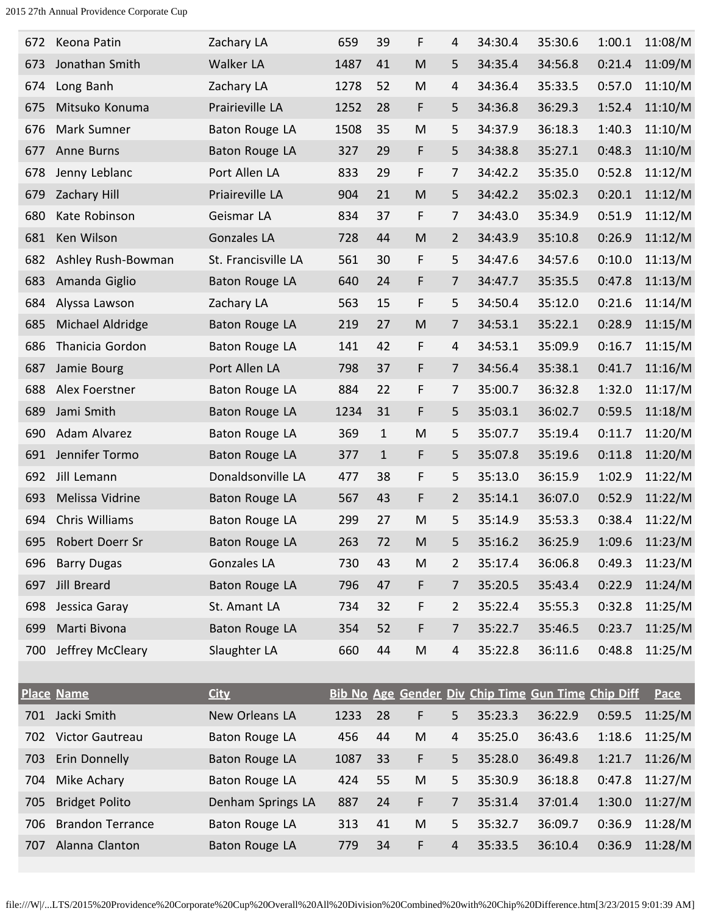| 672 | Keona Patin             | Zachary LA            | 659  | 39           | F         | 4              | 34:30.4 | 35:30.6                                            | 1:00.1 | 11:08/M     |
|-----|-------------------------|-----------------------|------|--------------|-----------|----------------|---------|----------------------------------------------------|--------|-------------|
| 673 | Jonathan Smith          | Walker LA             | 1487 | 41           | M         | 5              | 34:35.4 | 34:56.8                                            | 0:21.4 | 11:09/M     |
| 674 | Long Banh               | Zachary LA            | 1278 | 52           | M         | 4              | 34:36.4 | 35:33.5                                            | 0:57.0 | 11:10/M     |
| 675 | Mitsuko Konuma          | Prairieville LA       | 1252 | 28           | F         | 5              | 34:36.8 | 36:29.3                                            | 1:52.4 | 11:10/M     |
| 676 | Mark Sumner             | Baton Rouge LA        | 1508 | 35           | M         | 5              | 34:37.9 | 36:18.3                                            | 1:40.3 | 11:10/M     |
| 677 | Anne Burns              | <b>Baton Rouge LA</b> | 327  | 29           | F         | 5              | 34:38.8 | 35:27.1                                            | 0:48.3 | 11:10/M     |
| 678 | Jenny Leblanc           | Port Allen LA         | 833  | 29           | F         | 7              | 34:42.2 | 35:35.0                                            | 0:52.8 | 11:12/M     |
| 679 | Zachary Hill            | Priaireville LA       | 904  | 21           | M         | 5              | 34:42.2 | 35:02.3                                            | 0:20.1 | 11:12/M     |
| 680 | Kate Robinson           | Geismar LA            | 834  | 37           | F         | 7              | 34:43.0 | 35:34.9                                            | 0:51.9 | 11:12/M     |
| 681 | Ken Wilson              | <b>Gonzales LA</b>    | 728  | 44           | M         | 2              | 34:43.9 | 35:10.8                                            | 0:26.9 | 11:12/M     |
| 682 | Ashley Rush-Bowman      | St. Francisville LA   | 561  | 30           | F         | 5              | 34:47.6 | 34:57.6                                            | 0:10.0 | 11:13/M     |
| 683 | Amanda Giglio           | Baton Rouge LA        | 640  | 24           | F         | $\overline{7}$ | 34:47.7 | 35:35.5                                            | 0:47.8 | 11:13/M     |
| 684 | Alyssa Lawson           | Zachary LA            | 563  | 15           | F         | 5              | 34:50.4 | 35:12.0                                            | 0:21.6 | 11:14/M     |
| 685 | Michael Aldridge        | Baton Rouge LA        | 219  | 27           | M         | 7              | 34:53.1 | 35:22.1                                            | 0:28.9 | 11:15/M     |
| 686 | Thanicia Gordon         | Baton Rouge LA        | 141  | 42           | F         | 4              | 34:53.1 | 35:09.9                                            | 0:16.7 | 11:15/M     |
| 687 | Jamie Bourg             | Port Allen LA         | 798  | 37           | F         | $\overline{7}$ | 34:56.4 | 35:38.1                                            | 0:41.7 | 11:16/M     |
| 688 | Alex Foerstner          | Baton Rouge LA        | 884  | 22           | F         | 7              | 35:00.7 | 36:32.8                                            | 1:32.0 | 11:17/M     |
| 689 | Jami Smith              | Baton Rouge LA        | 1234 | 31           | F         | 5              | 35:03.1 | 36:02.7                                            | 0:59.5 | 11:18/M     |
| 690 | Adam Alvarez            | Baton Rouge LA        | 369  | $\mathbf{1}$ | M         | 5              | 35:07.7 | 35:19.4                                            | 0:11.7 | 11:20/M     |
| 691 | Jennifer Tormo          | Baton Rouge LA        | 377  | $\mathbf{1}$ | F         | 5              | 35:07.8 | 35:19.6                                            | 0:11.8 | 11:20/M     |
| 692 | Jill Lemann             | Donaldsonville LA     | 477  | 38           | F         | 5              | 35:13.0 | 36:15.9                                            | 1:02.9 | 11:22/M     |
| 693 | Melissa Vidrine         | Baton Rouge LA        | 567  | 43           | F         | $\overline{2}$ | 35:14.1 | 36:07.0                                            | 0:52.9 | 11:22/M     |
| 694 | Chris Williams          | Baton Rouge LA        | 299  | 27           | M         | 5              | 35:14.9 | 35:53.3                                            | 0:38.4 | 11:22/M     |
| 695 | Robert Doerr Sr         | Baton Rouge LA        | 263  | 72           | M         | 5              | 35:16.2 | 36:25.9                                            | 1:09.6 | 11:23/M     |
| 696 | <b>Barry Dugas</b>      | Gonzales LA           | 730  | 43           | M         | 2              | 35:17.4 | 36:06.8                                            | 0:49.3 | 11:23/M     |
| 697 | <b>Jill Breard</b>      | Baton Rouge LA        | 796  | 47           | F         | 7              | 35:20.5 | 35:43.4                                            | 0:22.9 | 11:24/M     |
| 698 | Jessica Garay           | St. Amant LA          | 734  | 32           | F         | $\overline{2}$ | 35:22.4 | 35:55.3                                            | 0:32.8 | 11:25/M     |
| 699 | Marti Bivona            | Baton Rouge LA        | 354  | 52           | F         | 7              | 35:22.7 | 35:46.5                                            | 0:23.7 | 11:25/M     |
| 700 | Jeffrey McCleary        | Slaughter LA          | 660  | 44           | M         | 4              | 35:22.8 | 36:11.6                                            | 0:48.8 | 11:25/M     |
|     |                         |                       |      |              |           |                |         |                                                    |        |             |
|     | <b>Place Name</b>       | <b>City</b>           |      |              |           |                |         | Bib No Age Gender Div Chip Time Gun Time Chip Diff |        | <b>Pace</b> |
| 701 | Jacki Smith             | New Orleans LA        | 1233 | 28           | F         | 5              | 35:23.3 | 36:22.9                                            | 0:59.5 | 11:25/M     |
| 702 | Victor Gautreau         | Baton Rouge LA        | 456  | 44           | ${\sf M}$ | 4              | 35:25.0 | 36:43.6                                            | 1:18.6 | 11:25/M     |
| 703 | Erin Donnelly           | Baton Rouge LA        | 1087 | 33           | F         | 5              | 35:28.0 | 36:49.8                                            | 1:21.7 | 11:26/M     |
| 704 | Mike Achary             | Baton Rouge LA        | 424  | 55           | ${\sf M}$ | 5              | 35:30.9 | 36:18.8                                            | 0:47.8 | 11:27/M     |
| 705 | <b>Bridget Polito</b>   | Denham Springs LA     | 887  | 24           | F         | $\overline{7}$ | 35:31.4 | 37:01.4                                            | 1:30.0 | 11:27/M     |
| 706 | <b>Brandon Terrance</b> | Baton Rouge LA        | 313  | 41           | ${\sf M}$ | 5              | 35:32.7 | 36:09.7                                            | 0:36.9 | 11:28/M     |
| 707 | Alanna Clanton          | <b>Baton Rouge LA</b> | 779  | 34           | F         | $\overline{4}$ | 35:33.5 | 36:10.4                                            | 0:36.9 | 11:28/M     |
|     |                         |                       |      |              |           |                |         |                                                    |        |             |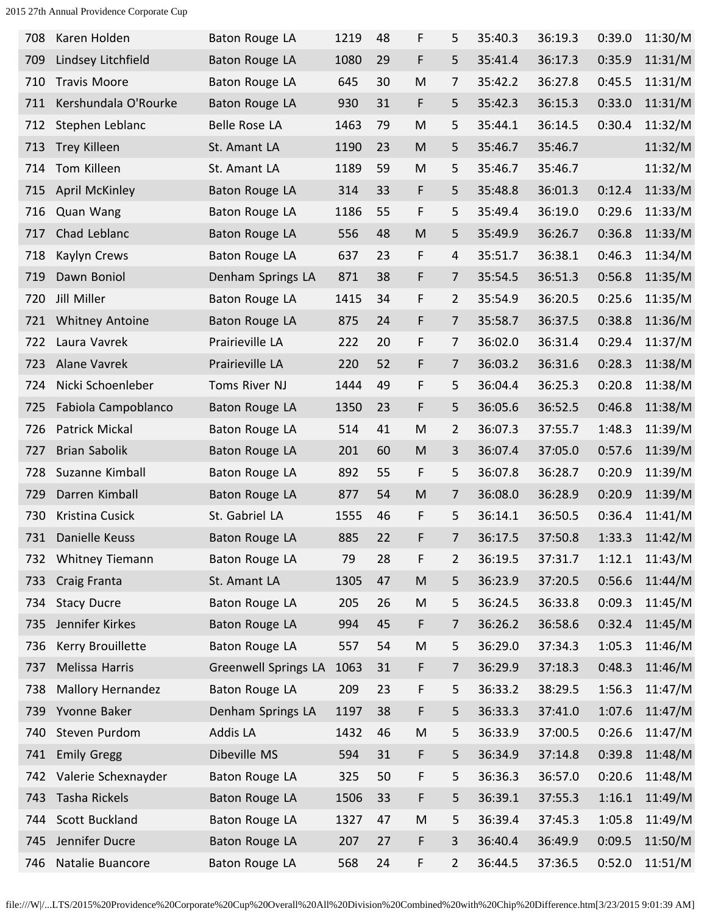| 708 | Karen Holden             | Baton Rouge LA              | 1219 | 48 | F         | 5              | 35:40.3 | 36:19.3 | 0:39.0 | 11:30/M |
|-----|--------------------------|-----------------------------|------|----|-----------|----------------|---------|---------|--------|---------|
| 709 | Lindsey Litchfield       | Baton Rouge LA              | 1080 | 29 | F         | 5              | 35:41.4 | 36:17.3 | 0:35.9 | 11:31/M |
| 710 | <b>Travis Moore</b>      | Baton Rouge LA              | 645  | 30 | ${\sf M}$ | 7              | 35:42.2 | 36:27.8 | 0:45.5 | 11:31/M |
| 711 | Kershundala O'Rourke     | Baton Rouge LA              | 930  | 31 | F         | 5              | 35:42.3 | 36:15.3 | 0:33.0 | 11:31/M |
| 712 | Stephen Leblanc          | <b>Belle Rose LA</b>        | 1463 | 79 | M         | 5              | 35:44.1 | 36:14.5 | 0:30.4 | 11:32/M |
| 713 | <b>Trey Killeen</b>      | St. Amant LA                | 1190 | 23 | M         | 5              | 35:46.7 | 35:46.7 |        | 11:32/M |
| 714 | Tom Killeen              | St. Amant LA                | 1189 | 59 | ${\sf M}$ | 5              | 35:46.7 | 35:46.7 |        | 11:32/M |
| 715 | <b>April McKinley</b>    | Baton Rouge LA              | 314  | 33 | F         | 5              | 35:48.8 | 36:01.3 | 0:12.4 | 11:33/M |
| 716 | Quan Wang                | Baton Rouge LA              | 1186 | 55 | F         | 5              | 35:49.4 | 36:19.0 | 0:29.6 | 11:33/M |
| 717 | Chad Leblanc             | Baton Rouge LA              | 556  | 48 | ${\sf M}$ | 5              | 35:49.9 | 36:26.7 | 0:36.8 | 11:33/M |
| 718 | Kaylyn Crews             | <b>Baton Rouge LA</b>       | 637  | 23 | F         | $\overline{4}$ | 35:51.7 | 36:38.1 | 0:46.3 | 11:34/M |
| 719 | Dawn Boniol              | Denham Springs LA           | 871  | 38 | F         | 7              | 35:54.5 | 36:51.3 | 0:56.8 | 11:35/M |
| 720 | Jill Miller              | Baton Rouge LA              | 1415 | 34 | F         | $\overline{2}$ | 35:54.9 | 36:20.5 | 0:25.6 | 11:35/M |
| 721 | <b>Whitney Antoine</b>   | <b>Baton Rouge LA</b>       | 875  | 24 | F         | $\overline{7}$ | 35:58.7 | 36:37.5 | 0:38.8 | 11:36/M |
| 722 | Laura Vavrek             | Prairieville LA             | 222  | 20 | F         | 7              | 36:02.0 | 36:31.4 | 0:29.4 | 11:37/M |
| 723 | <b>Alane Vavrek</b>      | Prairieville LA             | 220  | 52 | F         | $\overline{7}$ | 36:03.2 | 36:31.6 | 0:28.3 | 11:38/M |
| 724 | Nicki Schoenleber        | Toms River NJ               | 1444 | 49 | F         | 5              | 36:04.4 | 36:25.3 | 0:20.8 | 11:38/M |
| 725 | Fabiola Campoblanco      | Baton Rouge LA              | 1350 | 23 | F         | 5              | 36:05.6 | 36:52.5 | 0:46.8 | 11:38/M |
| 726 | Patrick Mickal           | Baton Rouge LA              | 514  | 41 | M         | 2              | 36:07.3 | 37:55.7 | 1:48.3 | 11:39/M |
| 727 | <b>Brian Sabolik</b>     | <b>Baton Rouge LA</b>       | 201  | 60 | ${\sf M}$ | 3              | 36:07.4 | 37:05.0 | 0:57.6 | 11:39/M |
| 728 | Suzanne Kimball          | Baton Rouge LA              | 892  | 55 | F         | 5              | 36:07.8 | 36:28.7 | 0:20.9 | 11:39/M |
| 729 | Darren Kimball           | <b>Baton Rouge LA</b>       | 877  | 54 | M         | 7              | 36:08.0 | 36:28.9 | 0:20.9 | 11:39/M |
| 730 | Kristina Cusick          | St. Gabriel LA              | 1555 | 46 | F         | 5              | 36:14.1 | 36:50.5 | 0:36.4 | 11:41/M |
| 731 | Danielle Keuss           | Baton Rouge LA              | 885  | 22 | F         | 7              | 36:17.5 | 37:50.8 | 1:33.3 | 11:42/M |
| 732 | Whitney Tiemann          | Baton Rouge LA              | 79   | 28 | F         | $\overline{2}$ | 36:19.5 | 37:31.7 | 1:12.1 | 11:43/M |
| 733 | Craig Franta             | St. Amant LA                | 1305 | 47 | ${\sf M}$ | 5              | 36:23.9 | 37:20.5 | 0:56.6 | 11:44/M |
| 734 | <b>Stacy Ducre</b>       | <b>Baton Rouge LA</b>       | 205  | 26 | M         | 5              | 36:24.5 | 36:33.8 | 0:09.3 | 11:45/M |
| 735 | Jennifer Kirkes          | Baton Rouge LA              | 994  | 45 | F         | 7              | 36:26.2 | 36:58.6 | 0:32.4 | 11:45/M |
| 736 | Kerry Brouillette        | <b>Baton Rouge LA</b>       | 557  | 54 | M         | 5              | 36:29.0 | 37:34.3 | 1:05.3 | 11:46/M |
| 737 | Melissa Harris           | <b>Greenwell Springs LA</b> | 1063 | 31 | F         | 7              | 36:29.9 | 37:18.3 | 0:48.3 | 11:46/M |
| 738 | <b>Mallory Hernandez</b> | Baton Rouge LA              | 209  | 23 | F         | 5              | 36:33.2 | 38:29.5 | 1:56.3 | 11:47/M |
| 739 | Yvonne Baker             | Denham Springs LA           | 1197 | 38 | F         | 5              | 36:33.3 | 37:41.0 | 1:07.6 | 11:47/M |
| 740 | Steven Purdom            | Addis LA                    | 1432 | 46 | M         | 5              | 36:33.9 | 37:00.5 | 0:26.6 | 11:47/M |
| 741 | <b>Emily Gregg</b>       | Dibeville MS                | 594  | 31 | F         | 5              | 36:34.9 | 37:14.8 | 0:39.8 | 11:48/M |
| 742 | Valerie Schexnayder      | Baton Rouge LA              | 325  | 50 | F         | 5              | 36:36.3 | 36:57.0 | 0:20.6 | 11:48/M |
| 743 | Tasha Rickels            | Baton Rouge LA              | 1506 | 33 | F         | 5              | 36:39.1 | 37:55.3 | 1:16.1 | 11:49/M |
| 744 | Scott Buckland           | Baton Rouge LA              | 1327 | 47 | M         | 5              | 36:39.4 | 37:45.3 | 1:05.8 | 11:49/M |
| 745 | Jennifer Ducre           | Baton Rouge LA              | 207  | 27 | F         | $\overline{3}$ | 36:40.4 | 36:49.9 | 0:09.5 | 11:50/M |
| 746 | Natalie Buancore         | Baton Rouge LA              | 568  | 24 | F         | $\overline{2}$ | 36:44.5 | 37:36.5 | 0:52.0 | 11:51/M |
|     |                          |                             |      |    |           |                |         |         |        |         |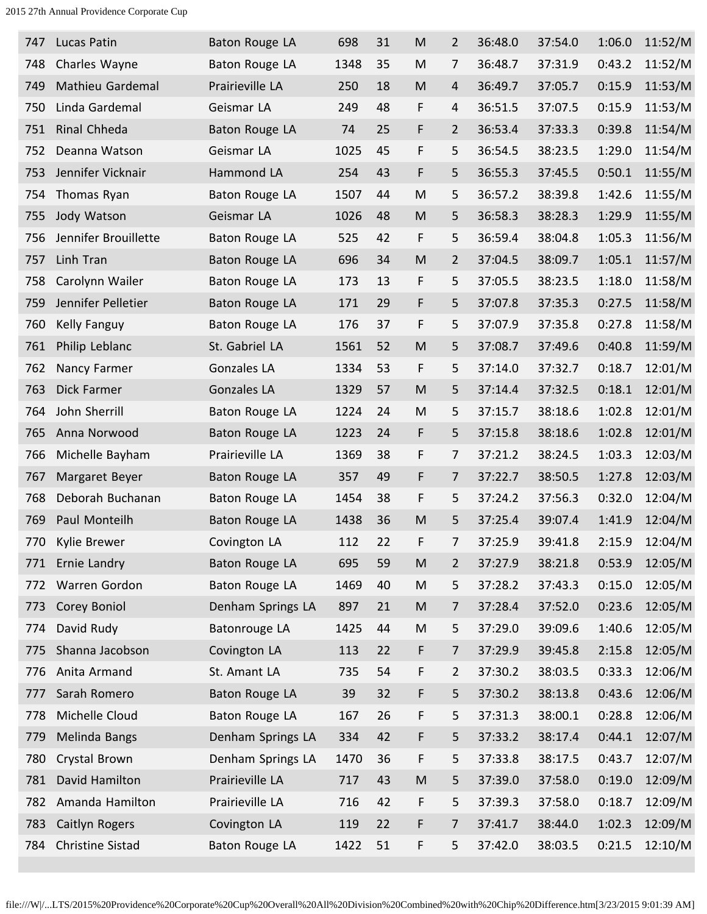| 747 | Lucas Patin             | Baton Rouge LA        | 698  | 31 | M                                                                                     | 2              | 36:48.0 | 37:54.0 | 1:06.0 | 11:52/M |
|-----|-------------------------|-----------------------|------|----|---------------------------------------------------------------------------------------|----------------|---------|---------|--------|---------|
| 748 | Charles Wayne           | Baton Rouge LA        | 1348 | 35 | M                                                                                     | 7              | 36:48.7 | 37:31.9 | 0:43.2 | 11:52/M |
| 749 | Mathieu Gardemal        | Prairieville LA       | 250  | 18 | ${\sf M}$                                                                             | 4              | 36:49.7 | 37:05.7 | 0:15.9 | 11:53/M |
| 750 | Linda Gardemal          | Geismar LA            | 249  | 48 | F                                                                                     | 4              | 36:51.5 | 37:07.5 | 0:15.9 | 11:53/M |
| 751 | Rinal Chheda            | Baton Rouge LA        | 74   | 25 | F                                                                                     | $\overline{2}$ | 36:53.4 | 37:33.3 | 0:39.8 | 11:54/M |
| 752 | Deanna Watson           | Geismar LA            | 1025 | 45 | F                                                                                     | 5              | 36:54.5 | 38:23.5 | 1:29.0 | 11:54/M |
| 753 | Jennifer Vicknair       | Hammond LA            | 254  | 43 | F                                                                                     | 5              | 36:55.3 | 37:45.5 | 0:50.1 | 11:55/M |
| 754 | Thomas Ryan             | <b>Baton Rouge LA</b> | 1507 | 44 | M                                                                                     | 5              | 36:57.2 | 38:39.8 | 1:42.6 | 11:55/M |
| 755 | Jody Watson             | Geismar LA            | 1026 | 48 | M                                                                                     | 5              | 36:58.3 | 38:28.3 | 1:29.9 | 11:55/M |
| 756 | Jennifer Brouillette    | Baton Rouge LA        | 525  | 42 | F                                                                                     | 5              | 36:59.4 | 38:04.8 | 1:05.3 | 11:56/M |
| 757 | Linh Tran               | Baton Rouge LA        | 696  | 34 | M                                                                                     | 2              | 37:04.5 | 38:09.7 | 1:05.1 | 11:57/M |
| 758 | Carolynn Wailer         | Baton Rouge LA        | 173  | 13 | F                                                                                     | 5              | 37:05.5 | 38:23.5 | 1:18.0 | 11:58/M |
| 759 | Jennifer Pelletier      | Baton Rouge LA        | 171  | 29 | F                                                                                     | 5              | 37:07.8 | 37:35.3 | 0:27.5 | 11:58/M |
| 760 | Kelly Fanguy            | Baton Rouge LA        | 176  | 37 | F                                                                                     | 5              | 37:07.9 | 37:35.8 | 0:27.8 | 11:58/M |
| 761 | Philip Leblanc          | St. Gabriel LA        | 1561 | 52 | M                                                                                     | 5              | 37:08.7 | 37:49.6 | 0:40.8 | 11:59/M |
| 762 | Nancy Farmer            | Gonzales LA           | 1334 | 53 | F                                                                                     | 5              | 37:14.0 | 37:32.7 | 0:18.7 | 12:01/M |
| 763 | <b>Dick Farmer</b>      | <b>Gonzales LA</b>    | 1329 | 57 | M                                                                                     | 5              | 37:14.4 | 37:32.5 | 0:18.1 | 12:01/M |
| 764 | John Sherrill           | Baton Rouge LA        | 1224 | 24 | M                                                                                     | 5              | 37:15.7 | 38:18.6 | 1:02.8 | 12:01/M |
| 765 | Anna Norwood            | Baton Rouge LA        | 1223 | 24 | F                                                                                     | 5              | 37:15.8 | 38:18.6 | 1:02.8 | 12:01/M |
| 766 | Michelle Bayham         | Prairieville LA       | 1369 | 38 | F                                                                                     | 7              | 37:21.2 | 38:24.5 | 1:03.3 | 12:03/M |
| 767 | Margaret Beyer          | <b>Baton Rouge LA</b> | 357  | 49 | F                                                                                     | $\overline{7}$ | 37:22.7 | 38:50.5 | 1:27.8 | 12:03/M |
| 768 | Deborah Buchanan        | Baton Rouge LA        | 1454 | 38 | F                                                                                     | 5              | 37:24.2 | 37:56.3 | 0:32.0 | 12:04/M |
| 769 | Paul Monteilh           | Baton Rouge LA        | 1438 | 36 | M                                                                                     | 5              | 37:25.4 | 39:07.4 | 1:41.9 | 12:04/M |
| 770 | Kylie Brewer            | Covington LA          | 112  | 22 | F                                                                                     | $\overline{7}$ | 37:25.9 | 39:41.8 | 2:15.9 | 12:04/M |
| 771 | Ernie Landry            | Baton Rouge LA        | 695  | 59 | $\mathsf{M}% _{T}=\mathsf{M}_{T}\!\left( a,b\right) ,\ \mathsf{M}_{T}=\mathsf{M}_{T}$ | $\overline{2}$ | 37:27.9 | 38:21.8 | 0:53.9 | 12:05/M |
| 772 | Warren Gordon           | Baton Rouge LA        | 1469 | 40 | M                                                                                     | 5              | 37:28.2 | 37:43.3 | 0:15.0 | 12:05/M |
| 773 | Corey Boniol            | Denham Springs LA     | 897  | 21 | M                                                                                     | 7              | 37:28.4 | 37:52.0 | 0:23.6 | 12:05/M |
| 774 | David Rudy              | Batonrouge LA         | 1425 | 44 | M                                                                                     | 5              | 37:29.0 | 39:09.6 | 1:40.6 | 12:05/M |
| 775 | Shanna Jacobson         | Covington LA          | 113  | 22 | F                                                                                     | 7              | 37:29.9 | 39:45.8 | 2:15.8 | 12:05/M |
| 776 | Anita Armand            | St. Amant LA          | 735  | 54 | F                                                                                     | $\overline{2}$ | 37:30.2 | 38:03.5 | 0:33.3 | 12:06/M |
| 777 | Sarah Romero            | <b>Baton Rouge LA</b> | 39   | 32 | F                                                                                     | 5              | 37:30.2 | 38:13.8 | 0:43.6 | 12:06/M |
| 778 | Michelle Cloud          | Baton Rouge LA        | 167  | 26 | F                                                                                     | 5              | 37:31.3 | 38:00.1 | 0:28.8 | 12:06/M |
| 779 | Melinda Bangs           | Denham Springs LA     | 334  | 42 | F                                                                                     | 5              | 37:33.2 | 38:17.4 | 0:44.1 | 12:07/M |
| 780 | Crystal Brown           | Denham Springs LA     | 1470 | 36 | F                                                                                     | 5              | 37:33.8 | 38:17.5 | 0:43.7 | 12:07/M |
| 781 | David Hamilton          | Prairieville LA       | 717  | 43 | M                                                                                     | 5              | 37:39.0 | 37:58.0 | 0:19.0 | 12:09/M |
| 782 | Amanda Hamilton         | Prairieville LA       | 716  | 42 | F                                                                                     | 5              | 37:39.3 | 37:58.0 | 0:18.7 | 12:09/M |
| 783 | Caitlyn Rogers          | Covington LA          | 119  | 22 | F                                                                                     | 7              | 37:41.7 | 38:44.0 | 1:02.3 | 12:09/M |
| 784 | <b>Christine Sistad</b> | Baton Rouge LA        | 1422 | 51 | F                                                                                     | 5              | 37:42.0 | 38:03.5 | 0:21.5 | 12:10/M |
|     |                         |                       |      |    |                                                                                       |                |         |         |        |         |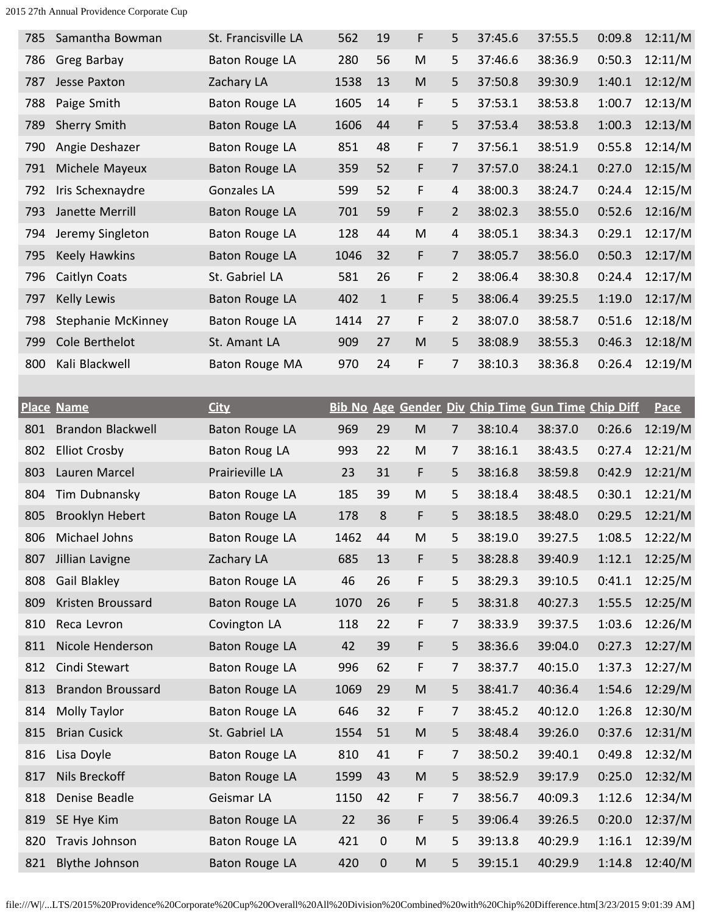| 785 | Samantha Bowman      | St. Francisville LA   | 562  | 19           | F | 5              | 37:45.6 | 37:55.5 | 0:09.8 | 12:11/M |
|-----|----------------------|-----------------------|------|--------------|---|----------------|---------|---------|--------|---------|
| 786 | Greg Barbay          | <b>Baton Rouge LA</b> | 280  | 56           | M | 5              | 37:46.6 | 38:36.9 | 0:50.3 | 12:11/M |
| 787 | Jesse Paxton         | Zachary LA            | 1538 | 13           | M | 5              | 37:50.8 | 39:30.9 | 1:40.1 | 12:12/M |
| 788 | Paige Smith          | Baton Rouge LA        | 1605 | 14           | F | 5              | 37:53.1 | 38:53.8 | 1:00.7 | 12:13/M |
| 789 | <b>Sherry Smith</b>  | Baton Rouge LA        | 1606 | 44           | F | 5              | 37:53.4 | 38:53.8 | 1:00.3 | 12:13/M |
| 790 | Angie Deshazer       | Baton Rouge LA        | 851  | 48           | F | $\overline{7}$ | 37:56.1 | 38:51.9 | 0:55.8 | 12:14/M |
| 791 | Michele Mayeux       | Baton Rouge LA        | 359  | 52           | F | $\overline{7}$ | 37:57.0 | 38:24.1 | 0:27.0 | 12:15/M |
| 792 | Iris Schexnaydre     | Gonzales LA           | 599  | 52           | F | $\overline{4}$ | 38:00.3 | 38:24.7 | 0:24.4 | 12:15/M |
| 793 | Janette Merrill      | Baton Rouge LA        | 701  | 59           | F | $\overline{2}$ | 38:02.3 | 38:55.0 | 0:52.6 | 12:16/M |
| 794 | Jeremy Singleton     | Baton Rouge LA        | 128  | 44           | M | $\overline{4}$ | 38:05.1 | 38:34.3 | 0:29.1 | 12:17/M |
| 795 | <b>Keely Hawkins</b> | Baton Rouge LA        | 1046 | 32           | F | $\overline{7}$ | 38:05.7 | 38:56.0 | 0:50.3 | 12:17/M |
| 796 | Caitlyn Coats        | St. Gabriel LA        | 581  | 26           | F | $\overline{2}$ | 38:06.4 | 38:30.8 | 0:24.4 | 12:17/M |
| 797 | <b>Kelly Lewis</b>   | Baton Rouge LA        | 402  | $\mathbf{1}$ | F | 5              | 38:06.4 | 39:25.5 | 1:19.0 | 12:17/M |
| 798 | Stephanie McKinney   | Baton Rouge LA        | 1414 | 27           | F | $\overline{2}$ | 38:07.0 | 38:58.7 | 0:51.6 | 12:18/M |
| 799 | Cole Berthelot       | St. Amant LA          | 909  | 27           | M | 5              | 38:08.9 | 38:55.3 | 0:46.3 | 12:18/M |
| 800 | Kali Blackwell       | Baton Rouge MA        | 970  | 24           | F | 7              | 38:10.3 | 38:36.8 | 0:26.4 | 12:19/M |
|     |                      |                       |      |              |   |                |         |         |        |         |

|     | <b>Place Name</b>        | <b>City</b>           |      |             |           |                | Bib No Age Gender Div Chip Time Gun Time Chip Diff |         |        | Pace    |
|-----|--------------------------|-----------------------|------|-------------|-----------|----------------|----------------------------------------------------|---------|--------|---------|
| 801 | <b>Brandon Blackwell</b> | <b>Baton Rouge LA</b> | 969  | 29          | M         | $\overline{7}$ | 38:10.4                                            | 38:37.0 | 0:26.6 | 12:19/M |
| 802 | <b>Elliot Crosby</b>     | <b>Baton Roug LA</b>  | 993  | 22          | M         | 7              | 38:16.1                                            | 38:43.5 | 0:27.4 | 12:21/M |
| 803 | Lauren Marcel            | Prairieville LA       | 23   | 31          | F         | 5              | 38:16.8                                            | 38:59.8 | 0:42.9 | 12:21/M |
| 804 | Tim Dubnansky            | <b>Baton Rouge LA</b> | 185  | 39          | ${\sf M}$ | 5              | 38:18.4                                            | 38:48.5 | 0:30.1 | 12:21/M |
| 805 | Brooklyn Hebert          | Baton Rouge LA        | 178  | 8           | F         | 5              | 38:18.5                                            | 38:48.0 | 0:29.5 | 12:21/M |
| 806 | Michael Johns            | Baton Rouge LA        | 1462 | 44          | M         | 5              | 38:19.0                                            | 39:27.5 | 1:08.5 | 12:22/M |
| 807 | Jillian Lavigne          | Zachary LA            | 685  | 13          | F         | 5              | 38:28.8                                            | 39:40.9 | 1:12.1 | 12:25/M |
| 808 | Gail Blakley             | Baton Rouge LA        | 46   | 26          | F         | 5              | 38:29.3                                            | 39:10.5 | 0:41.1 | 12:25/M |
| 809 | Kristen Broussard        | <b>Baton Rouge LA</b> | 1070 | 26          | F         | 5              | 38:31.8                                            | 40:27.3 | 1:55.5 | 12:25/M |
| 810 | Reca Levron              | Covington LA          | 118  | 22          | F         | 7              | 38:33.9                                            | 39:37.5 | 1:03.6 | 12:26/M |
| 811 | Nicole Henderson         | Baton Rouge LA        | 42   | 39          | F         | 5              | 38:36.6                                            | 39:04.0 | 0:27.3 | 12:27/M |
| 812 | Cindi Stewart            | Baton Rouge LA        | 996  | 62          | F         | 7              | 38:37.7                                            | 40:15.0 | 1:37.3 | 12:27/M |
| 813 | <b>Brandon Broussard</b> | Baton Rouge LA        | 1069 | 29          | M         | 5              | 38:41.7                                            | 40:36.4 | 1:54.6 | 12:29/M |
| 814 | Molly Taylor             | Baton Rouge LA        | 646  | 32          | F         | 7              | 38:45.2                                            | 40:12.0 | 1:26.8 | 12:30/M |
| 815 | <b>Brian Cusick</b>      | St. Gabriel LA        | 1554 | 51          | M         | 5              | 38:48.4                                            | 39:26.0 | 0:37.6 | 12:31/M |
| 816 | Lisa Doyle               | Baton Rouge LA        | 810  | 41          | F         | 7              | 38:50.2                                            | 39:40.1 | 0:49.8 | 12:32/M |
| 817 | Nils Breckoff            | Baton Rouge LA        | 1599 | 43          | M         | 5              | 38:52.9                                            | 39:17.9 | 0:25.0 | 12:32/M |
| 818 | Denise Beadle            | Geismar LA            | 1150 | 42          | F         | 7              | 38:56.7                                            | 40:09.3 | 1:12.6 | 12:34/M |
| 819 | SE Hye Kim               | Baton Rouge LA        | 22   | 36          | F         | 5              | 39:06.4                                            | 39:26.5 | 0:20.0 | 12:37/M |
| 820 | Travis Johnson           | Baton Rouge LA        | 421  | $\mathbf 0$ | M         | 5              | 39:13.8                                            | 40:29.9 | 1:16.1 | 12:39/M |
| 821 | <b>Blythe Johnson</b>    | <b>Baton Rouge LA</b> | 420  | $\mathbf 0$ | M         | 5              | 39:15.1                                            | 40:29.9 | 1:14.8 | 12:40/M |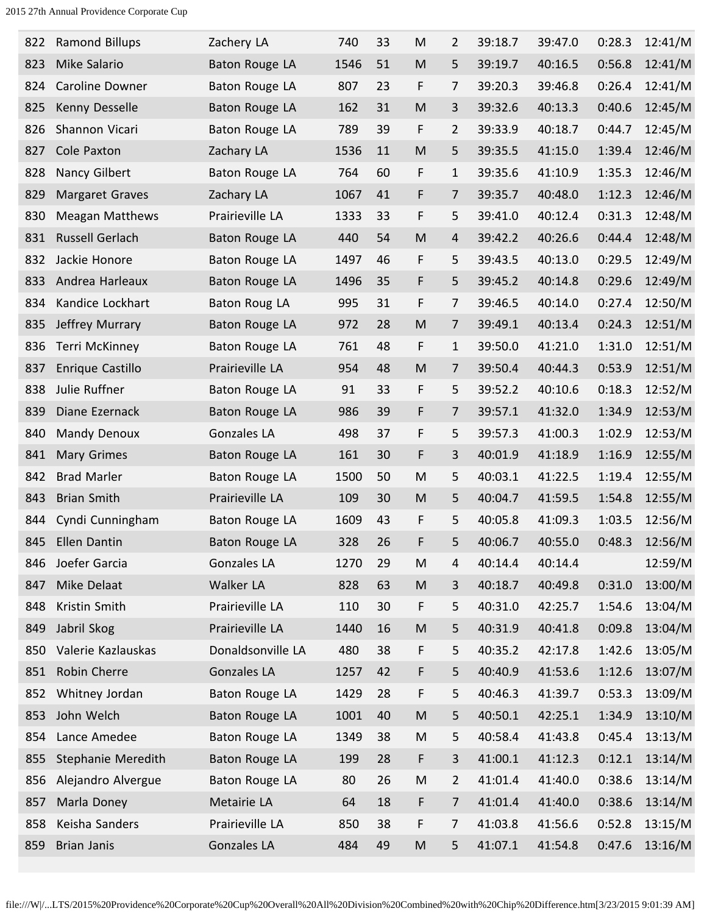| 822 | <b>Ramond Billups</b>  | Zachery LA            | 740  | 33 | M         | 2              | 39:18.7 | 39:47.0 | 0:28.3 | 12:41/M |
|-----|------------------------|-----------------------|------|----|-----------|----------------|---------|---------|--------|---------|
| 823 | Mike Salario           | Baton Rouge LA        | 1546 | 51 | M         | 5              | 39:19.7 | 40:16.5 | 0:56.8 | 12:41/M |
| 824 | <b>Caroline Downer</b> | Baton Rouge LA        | 807  | 23 | F         | 7              | 39:20.3 | 39:46.8 | 0:26.4 | 12:41/M |
| 825 | Kenny Desselle         | Baton Rouge LA        | 162  | 31 | ${\sf M}$ | 3              | 39:32.6 | 40:13.3 | 0:40.6 | 12:45/M |
| 826 | Shannon Vicari         | Baton Rouge LA        | 789  | 39 | F         | $\overline{2}$ | 39:33.9 | 40:18.7 | 0:44.7 | 12:45/M |
| 827 | Cole Paxton            | Zachary LA            | 1536 | 11 | ${\sf M}$ | 5              | 39:35.5 | 41:15.0 | 1:39.4 | 12:46/M |
| 828 | Nancy Gilbert          | Baton Rouge LA        | 764  | 60 | F         | $\mathbf{1}$   | 39:35.6 | 41:10.9 | 1:35.3 | 12:46/M |
| 829 | <b>Margaret Graves</b> | Zachary LA            | 1067 | 41 | F         | 7              | 39:35.7 | 40:48.0 | 1:12.3 | 12:46/M |
| 830 | <b>Meagan Matthews</b> | Prairieville LA       | 1333 | 33 | F         | 5              | 39:41.0 | 40:12.4 | 0:31.3 | 12:48/M |
| 831 | <b>Russell Gerlach</b> | <b>Baton Rouge LA</b> | 440  | 54 | ${\sf M}$ | 4              | 39:42.2 | 40:26.6 | 0:44.4 | 12:48/M |
| 832 | Jackie Honore          | Baton Rouge LA        | 1497 | 46 | F         | 5              | 39:43.5 | 40:13.0 | 0:29.5 | 12:49/M |
| 833 | Andrea Harleaux        | <b>Baton Rouge LA</b> | 1496 | 35 | F         | 5              | 39:45.2 | 40:14.8 | 0:29.6 | 12:49/M |
| 834 | Kandice Lockhart       | Baton Roug LA         | 995  | 31 | F         | 7              | 39:46.5 | 40:14.0 | 0:27.4 | 12:50/M |
| 835 | Jeffrey Murrary        | <b>Baton Rouge LA</b> | 972  | 28 | M         | 7              | 39:49.1 | 40:13.4 | 0:24.3 | 12:51/M |
| 836 | Terri McKinney         | Baton Rouge LA        | 761  | 48 | F         | $\mathbf{1}$   | 39:50.0 | 41:21.0 | 1:31.0 | 12:51/M |
| 837 | Enrique Castillo       | Prairieville LA       | 954  | 48 | M         | 7              | 39:50.4 | 40:44.3 | 0:53.9 | 12:51/M |
| 838 | Julie Ruffner          | Baton Rouge LA        | 91   | 33 | F         | 5              | 39:52.2 | 40:10.6 | 0:18.3 | 12:52/M |
| 839 | Diane Ezernack         | Baton Rouge LA        | 986  | 39 | F         | 7              | 39:57.1 | 41:32.0 | 1:34.9 | 12:53/M |
| 840 | Mandy Denoux           | <b>Gonzales LA</b>    | 498  | 37 | F         | 5              | 39:57.3 | 41:00.3 | 1:02.9 | 12:53/M |
| 841 | <b>Mary Grimes</b>     | <b>Baton Rouge LA</b> | 161  | 30 | F         | 3              | 40:01.9 | 41:18.9 | 1:16.9 | 12:55/M |
| 842 | <b>Brad Marler</b>     | <b>Baton Rouge LA</b> | 1500 | 50 | M         | 5              | 40:03.1 | 41:22.5 | 1:19.4 | 12:55/M |
| 843 | <b>Brian Smith</b>     | Prairieville LA       | 109  | 30 | M         | 5              | 40:04.7 | 41:59.5 | 1:54.8 | 12:55/M |
| 844 | Cyndi Cunningham       | <b>Baton Rouge LA</b> | 1609 | 43 | F         | 5              | 40:05.8 | 41:09.3 | 1:03.5 | 12:56/M |
| 845 | Ellen Dantin           | <b>Baton Rouge LA</b> | 328  | 26 | F         | 5              | 40:06.7 | 40:55.0 | 0:48.3 | 12:56/M |
| 846 | Joefer Garcia          | Gonzales LA           | 1270 | 29 | M         | 4              | 40:14.4 | 40:14.4 |        | 12:59/M |
| 847 | Mike Delaat            | Walker LA             | 828  | 63 | M         | 3              | 40:18.7 | 40:49.8 | 0:31.0 | 13:00/M |
| 848 | Kristin Smith          | Prairieville LA       | 110  | 30 | F         | 5              | 40:31.0 | 42:25.7 | 1:54.6 | 13:04/M |
| 849 | Jabril Skog            | Prairieville LA       | 1440 | 16 | M         | 5              | 40:31.9 | 40:41.8 | 0:09.8 | 13:04/M |
| 850 | Valerie Kazlauskas     | Donaldsonville LA     | 480  | 38 | F         | 5              | 40:35.2 | 42:17.8 | 1:42.6 | 13:05/M |
| 851 | Robin Cherre           | Gonzales LA           | 1257 | 42 | F         | 5              | 40:40.9 | 41:53.6 | 1:12.6 | 13:07/M |
| 852 | Whitney Jordan         | Baton Rouge LA        | 1429 | 28 | F         | 5              | 40:46.3 | 41:39.7 | 0:53.3 | 13:09/M |
| 853 | John Welch             | Baton Rouge LA        | 1001 | 40 | M         | 5              | 40:50.1 | 42:25.1 | 1:34.9 | 13:10/M |
| 854 | Lance Amedee           | Baton Rouge LA        | 1349 | 38 | M         | 5              | 40:58.4 | 41:43.8 | 0:45.4 | 13:13/M |
| 855 | Stephanie Meredith     | <b>Baton Rouge LA</b> | 199  | 28 | F         | 3              | 41:00.1 | 41:12.3 | 0:12.1 | 13:14/M |
| 856 | Alejandro Alvergue     | Baton Rouge LA        | 80   | 26 | M         | $\overline{2}$ | 41:01.4 | 41:40.0 | 0:38.6 | 13:14/M |
| 857 | Marla Doney            | Metairie LA           | 64   | 18 | F         | $\overline{7}$ | 41:01.4 | 41:40.0 | 0:38.6 | 13:14/M |
| 858 | Keisha Sanders         | Prairieville LA       | 850  | 38 | F         | 7              | 41:03.8 | 41:56.6 | 0:52.8 | 13:15/M |
| 859 | Brian Janis            | <b>Gonzales LA</b>    | 484  | 49 | ${\sf M}$ | 5              | 41:07.1 | 41:54.8 | 0:47.6 | 13:16/M |
|     |                        |                       |      |    |           |                |         |         |        |         |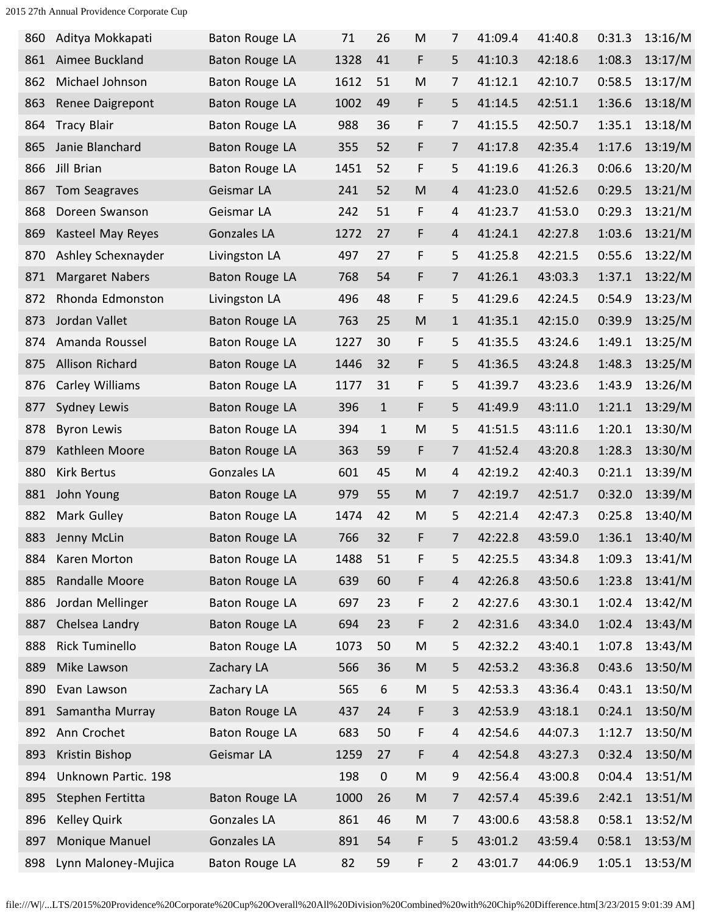| 860 | Aditya Mokkapati       | Baton Rouge LA        | 71   | 26           | ${\sf M}$ | $\overline{7}$ | 41:09.4 | 41:40.8 | 0:31.3 | 13:16/M |
|-----|------------------------|-----------------------|------|--------------|-----------|----------------|---------|---------|--------|---------|
| 861 | Aimee Buckland         | <b>Baton Rouge LA</b> | 1328 | 41           | F         | 5              | 41:10.3 | 42:18.6 | 1:08.3 | 13:17/M |
| 862 | Michael Johnson        | <b>Baton Rouge LA</b> | 1612 | 51           | M         | 7              | 41:12.1 | 42:10.7 | 0:58.5 | 13:17/M |
| 863 | Renee Daigrepont       | Baton Rouge LA        | 1002 | 49           | F         | 5              | 41:14.5 | 42:51.1 | 1:36.6 | 13:18/M |
| 864 | <b>Tracy Blair</b>     | Baton Rouge LA        | 988  | 36           | F         | 7              | 41:15.5 | 42:50.7 | 1:35.1 | 13:18/M |
| 865 | Janie Blanchard        | Baton Rouge LA        | 355  | 52           | F         | $\overline{7}$ | 41:17.8 | 42:35.4 | 1:17.6 | 13:19/M |
| 866 | Jill Brian             | Baton Rouge LA        | 1451 | 52           | F         | 5              | 41:19.6 | 41:26.3 | 0:06.6 | 13:20/M |
| 867 | Tom Seagraves          | Geismar LA            | 241  | 52           | ${\sf M}$ | $\overline{4}$ | 41:23.0 | 41:52.6 | 0:29.5 | 13:21/M |
| 868 | Doreen Swanson         | Geismar LA            | 242  | 51           | F         | $\overline{4}$ | 41:23.7 | 41:53.0 | 0:29.3 | 13:21/M |
| 869 | Kasteel May Reyes      | <b>Gonzales LA</b>    | 1272 | 27           | F         | $\overline{4}$ | 41:24.1 | 42:27.8 | 1:03.6 | 13:21/M |
| 870 | Ashley Schexnayder     | Livingston LA         | 497  | 27           | F         | 5              | 41:25.8 | 42:21.5 | 0:55.6 | 13:22/M |
| 871 | <b>Margaret Nabers</b> | Baton Rouge LA        | 768  | 54           | F         | 7              | 41:26.1 | 43:03.3 | 1:37.1 | 13:22/M |
| 872 | Rhonda Edmonston       | Livingston LA         | 496  | 48           | F         | 5              | 41:29.6 | 42:24.5 | 0:54.9 | 13:23/M |
| 873 | Jordan Vallet          | Baton Rouge LA        | 763  | 25           | M         | $\mathbf{1}$   | 41:35.1 | 42:15.0 | 0:39.9 | 13:25/M |
| 874 | Amanda Roussel         | Baton Rouge LA        | 1227 | 30           | F         | 5              | 41:35.5 | 43:24.6 | 1:49.1 | 13:25/M |
| 875 | Allison Richard        | Baton Rouge LA        | 1446 | 32           | F         | 5              | 41:36.5 | 43:24.8 | 1:48.3 | 13:25/M |
| 876 | Carley Williams        | Baton Rouge LA        | 1177 | 31           | F         | 5              | 41:39.7 | 43:23.6 | 1:43.9 | 13:26/M |
| 877 | <b>Sydney Lewis</b>    | Baton Rouge LA        | 396  | $\mathbf{1}$ | F         | 5              | 41:49.9 | 43:11.0 | 1:21.1 | 13:29/M |
| 878 | <b>Byron Lewis</b>     | Baton Rouge LA        | 394  | $\mathbf{1}$ | ${\sf M}$ | 5              | 41:51.5 | 43:11.6 | 1:20.1 | 13:30/M |
| 879 | Kathleen Moore         | <b>Baton Rouge LA</b> | 363  | 59           | F         | 7              | 41:52.4 | 43:20.8 | 1:28.3 | 13:30/M |
| 880 | <b>Kirk Bertus</b>     | <b>Gonzales LA</b>    | 601  | 45           | M         | 4              | 42:19.2 | 42:40.3 | 0:21.1 | 13:39/M |
| 881 | John Young             | Baton Rouge LA        | 979  | 55           | M         | $\overline{7}$ | 42:19.7 | 42:51.7 | 0:32.0 | 13:39/M |
| 882 | Mark Gulley            | Baton Rouge LA        | 1474 | 42           | M         | 5              | 42:21.4 | 42:47.3 | 0:25.8 | 13:40/M |
| 883 | Jenny McLin            | Baton Rouge LA        | 766  | 32           | F         | 7              | 42:22.8 | 43:59.0 | 1:36.1 | 13:40/M |
| 884 | Karen Morton           | Baton Rouge LA        | 1488 | 51           | F         | 5              | 42:25.5 | 43:34.8 | 1:09.3 | 13:41/M |
| 885 | Randalle Moore         | Baton Rouge LA        | 639  | 60           | F         | $\overline{4}$ | 42:26.8 | 43:50.6 | 1:23.8 | 13:41/M |
| 886 | Jordan Mellinger       | Baton Rouge LA        | 697  | 23           | F         | 2              | 42:27.6 | 43:30.1 | 1:02.4 | 13:42/M |
| 887 | Chelsea Landry         | <b>Baton Rouge LA</b> | 694  | 23           | F         | $\overline{2}$ | 42:31.6 | 43:34.0 | 1:02.4 | 13:43/M |
| 888 | <b>Rick Tuminello</b>  | Baton Rouge LA        | 1073 | 50           | M         | 5              | 42:32.2 | 43:40.1 | 1:07.8 | 13:43/M |
| 889 | Mike Lawson            | Zachary LA            | 566  | 36           | ${\sf M}$ | 5              | 42:53.2 | 43:36.8 | 0:43.6 | 13:50/M |
| 890 | Evan Lawson            | Zachary LA            | 565  | 6            | M         | 5              | 42:53.3 | 43:36.4 | 0:43.1 | 13:50/M |
| 891 | Samantha Murray        | Baton Rouge LA        | 437  | 24           | F         | 3              | 42:53.9 | 43:18.1 | 0:24.1 | 13:50/M |
| 892 | Ann Crochet            | Baton Rouge LA        | 683  | 50           | F         | 4              | 42:54.6 | 44:07.3 | 1:12.7 | 13:50/M |
| 893 | Kristin Bishop         | Geismar LA            | 1259 | 27           | F         | 4              | 42:54.8 | 43:27.3 | 0:32.4 | 13:50/M |
| 894 | Unknown Partic. 198    |                       | 198  | $\mathbf 0$  | M         | 9              | 42:56.4 | 43:00.8 | 0:04.4 | 13:51/M |
| 895 | Stephen Fertitta       | Baton Rouge LA        | 1000 | 26           | M         | 7              | 42:57.4 | 45:39.6 | 2:42.1 | 13:51/M |
| 896 | <b>Kelley Quirk</b>    | <b>Gonzales LA</b>    | 861  | 46           | M         | 7              | 43:00.6 | 43:58.8 | 0:58.1 | 13:52/M |
| 897 | Monique Manuel         | <b>Gonzales LA</b>    | 891  | 54           | F         | 5              | 43:01.2 | 43:59.4 | 0:58.1 | 13:53/M |
| 898 | Lynn Maloney-Mujica    | Baton Rouge LA        | 82   | 59           | F         | $\overline{2}$ | 43:01.7 | 44:06.9 | 1:05.1 | 13:53/M |
|     |                        |                       |      |              |           |                |         |         |        |         |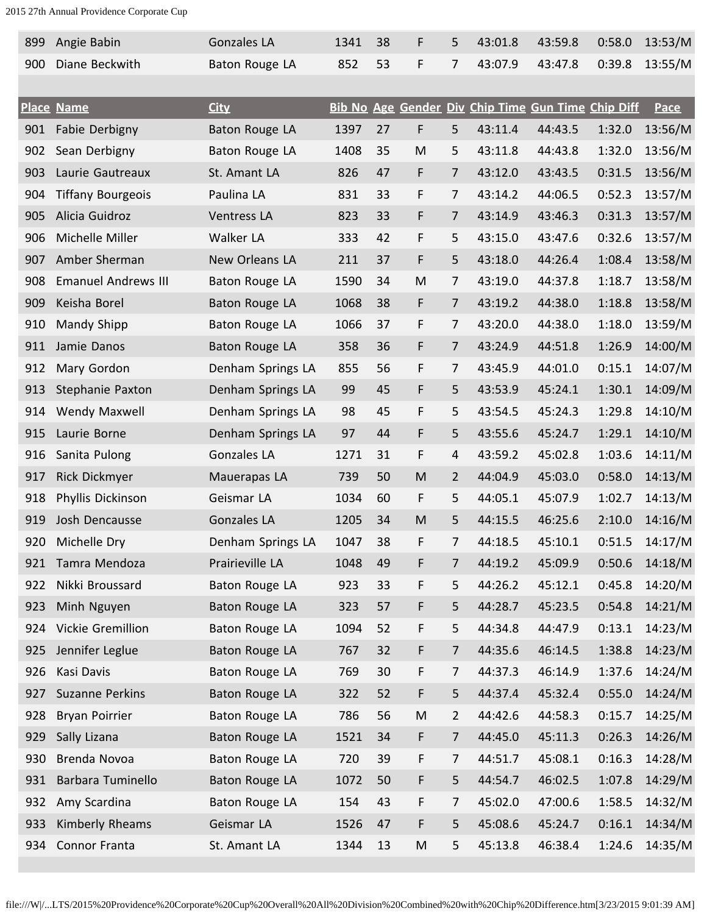| 899 | Angie Babin                | <b>Gonzales LA</b>    | 1341 | 38 | F         | 5              | 43:01.8                                            | 43:59.8 | 0:58.0 | 13:53/M |
|-----|----------------------------|-----------------------|------|----|-----------|----------------|----------------------------------------------------|---------|--------|---------|
| 900 | Diane Beckwith             | Baton Rouge LA        | 852  | 53 | F         | $\overline{7}$ | 43:07.9                                            | 43:47.8 | 0:39.8 | 13:55/M |
|     |                            |                       |      |    |           |                |                                                    |         |        |         |
|     | <b>Place Name</b>          | <b>City</b>           |      |    |           |                | Bib No Age Gender Div Chip Time Gun Time Chip Diff |         |        | Pace    |
| 901 | Fabie Derbigny             | <b>Baton Rouge LA</b> | 1397 | 27 | F         | 5              | 43:11.4                                            | 44:43.5 | 1:32.0 | 13:56/M |
| 902 | Sean Derbigny              | Baton Rouge LA        | 1408 | 35 | ${\sf M}$ | 5              | 43:11.8                                            | 44:43.8 | 1:32.0 | 13:56/M |
| 903 | Laurie Gautreaux           | St. Amant LA          | 826  | 47 | F         | $\overline{7}$ | 43:12.0                                            | 43:43.5 | 0:31.5 | 13:56/M |
| 904 | <b>Tiffany Bourgeois</b>   | Paulina LA            | 831  | 33 | F         | 7              | 43:14.2                                            | 44:06.5 | 0:52.3 | 13:57/M |
| 905 | Alicia Guidroz             | Ventress LA           | 823  | 33 | F         | 7              | 43:14.9                                            | 43:46.3 | 0:31.3 | 13:57/M |
| 906 | Michelle Miller            | Walker LA             | 333  | 42 | F         | 5              | 43:15.0                                            | 43:47.6 | 0:32.6 | 13:57/M |
| 907 | Amber Sherman              | New Orleans LA        | 211  | 37 | F         | 5              | 43:18.0                                            | 44:26.4 | 1:08.4 | 13:58/M |
| 908 | <b>Emanuel Andrews III</b> | <b>Baton Rouge LA</b> | 1590 | 34 | M         | 7              | 43:19.0                                            | 44:37.8 | 1:18.7 | 13:58/M |
| 909 | Keisha Borel               | <b>Baton Rouge LA</b> | 1068 | 38 | F         | $\overline{7}$ | 43:19.2                                            | 44:38.0 | 1:18.8 | 13:58/M |
| 910 | Mandy Shipp                | Baton Rouge LA        | 1066 | 37 | F         | $\overline{7}$ | 43:20.0                                            | 44:38.0 | 1:18.0 | 13:59/M |
| 911 | Jamie Danos                | <b>Baton Rouge LA</b> | 358  | 36 | F         | 7              | 43:24.9                                            | 44:51.8 | 1:26.9 | 14:00/M |
| 912 | Mary Gordon                | Denham Springs LA     | 855  | 56 | F         | 7              | 43:45.9                                            | 44:01.0 | 0:15.1 | 14:07/M |
| 913 | Stephanie Paxton           | Denham Springs LA     | 99   | 45 | F         | 5              | 43:53.9                                            | 45:24.1 | 1:30.1 | 14:09/M |
| 914 | Wendy Maxwell              | Denham Springs LA     | 98   | 45 | F         | 5              | 43:54.5                                            | 45:24.3 | 1:29.8 | 14:10/M |
| 915 | Laurie Borne               | Denham Springs LA     | 97   | 44 | F         | 5              | 43:55.6                                            | 45:24.7 | 1:29.1 | 14:10/M |
| 916 | Sanita Pulong              | Gonzales LA           | 1271 | 31 | F         | 4              | 43:59.2                                            | 45:02.8 | 1:03.6 | 14:11/M |
| 917 | <b>Rick Dickmyer</b>       | Mauerapas LA          | 739  | 50 | M         | $\overline{2}$ | 44:04.9                                            | 45:03.0 | 0:58.0 | 14:13/M |
| 918 | Phyllis Dickinson          | Geismar LA            | 1034 | 60 | F         | 5              | 44:05.1                                            | 45:07.9 | 1:02.7 | 14:13/M |
| 919 | Josh Dencausse             | <b>Gonzales LA</b>    | 1205 | 34 | M         | 5              | 44:15.5                                            | 46:25.6 | 2:10.0 | 14:16/M |
| 920 | Michelle Dry               | Denham Springs LA     | 1047 | 38 | F         | 7              | 44:18.5                                            | 45:10.1 | 0:51.5 | 14:17/M |
|     | Tamra Mendoza<br>921       | Prairieville LA       | 1048 | 49 | F         | $\overline{7}$ | 44:19.2                                            | 45:09.9 | 0:50.6 | 14:18/M |
|     | Nikki Broussard<br>922     | Baton Rouge LA        | 923  | 33 | F         | 5              | 44:26.2                                            | 45:12.1 | 0:45.8 | 14:20/M |
| 923 | Minh Nguyen                | Baton Rouge LA        | 323  | 57 | F         | 5              | 44:28.7                                            | 45:23.5 | 0:54.8 | 14:21/M |
| 924 | Vickie Gremillion          | Baton Rouge LA        | 1094 | 52 | F         | 5              | 44:34.8                                            | 44:47.9 | 0:13.1 | 14:23/M |
| 925 | Jennifer Leglue            | Baton Rouge LA        | 767  | 32 | F         | $\overline{7}$ | 44:35.6                                            | 46:14.5 | 1:38.8 | 14:23/M |
| 926 | Kasi Davis                 | Baton Rouge LA        | 769  | 30 | F         | 7              | 44:37.3                                            | 46:14.9 | 1:37.6 | 14:24/M |
| 927 | <b>Suzanne Perkins</b>     | Baton Rouge LA        | 322  | 52 | F         | 5              | 44:37.4                                            | 45:32.4 | 0:55.0 | 14:24/M |
| 928 | <b>Bryan Poirrier</b>      | <b>Baton Rouge LA</b> | 786  | 56 | M         | $\overline{2}$ | 44:42.6                                            | 44:58.3 | 0:15.7 | 14:25/M |
| 929 | Sally Lizana               | Baton Rouge LA        | 1521 | 34 | F         | $\overline{7}$ | 44:45.0                                            | 45:11.3 | 0:26.3 | 14:26/M |
| 930 | Brenda Novoa               | Baton Rouge LA        | 720  | 39 | F         | $\overline{7}$ | 44:51.7                                            | 45:08.1 | 0:16.3 | 14:28/M |
| 931 | Barbara Tuminello          | Baton Rouge LA        | 1072 | 50 | F         | 5              | 44:54.7                                            | 46:02.5 | 1:07.8 | 14:29/M |
| 932 | Amy Scardina               | Baton Rouge LA        | 154  | 43 | F         | $\overline{7}$ | 45:02.0                                            | 47:00.6 | 1:58.5 | 14:32/M |
| 933 | Kimberly Rheams            | Geismar LA            | 1526 | 47 | F         | 5              | 45:08.6                                            | 45:24.7 | 0:16.1 | 14:34/M |
|     | Connor Franta<br>934       | St. Amant LA          | 1344 | 13 | M         | 5              | 45:13.8                                            | 46:38.4 | 1:24.6 | 14:35/M |
|     |                            |                       |      |    |           |                |                                                    |         |        |         |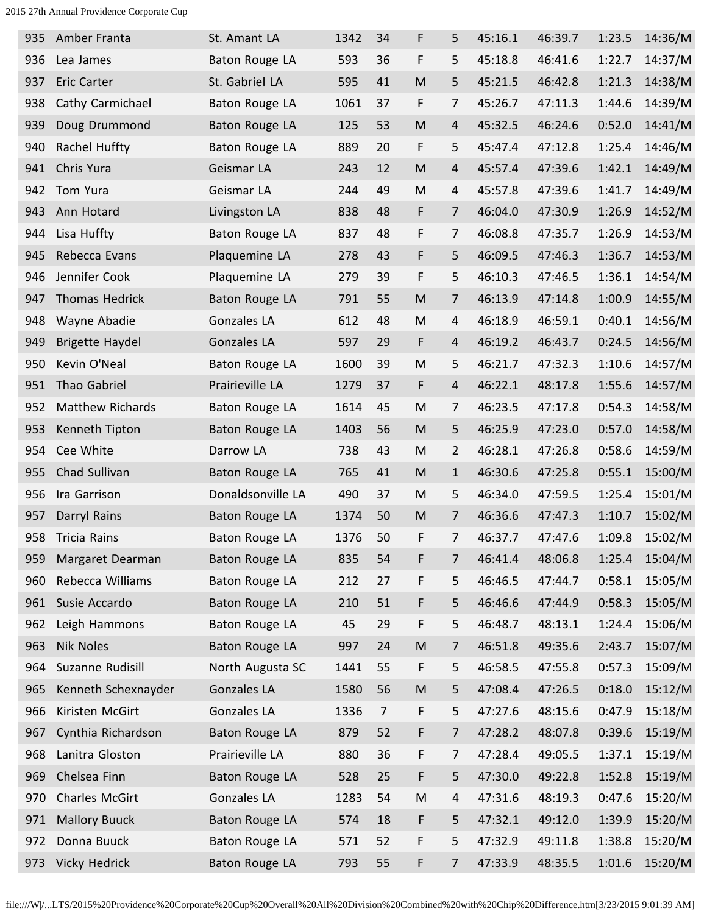| 935 | Amber Franta            | St. Amant LA          | 1342 | 34             | F                                                                                     | 5              | 45:16.1 | 46:39.7 | 1:23.5 | 14:36/M |
|-----|-------------------------|-----------------------|------|----------------|---------------------------------------------------------------------------------------|----------------|---------|---------|--------|---------|
| 936 | Lea James               | Baton Rouge LA        | 593  | 36             | F                                                                                     | 5              | 45:18.8 | 46:41.6 | 1:22.7 | 14:37/M |
| 937 | <b>Eric Carter</b>      | St. Gabriel LA        | 595  | 41             | $\mathsf{M}% _{T}=\mathsf{M}_{T}\!\left( a,b\right) ,\ \mathsf{M}_{T}=\mathsf{M}_{T}$ | 5              | 45:21.5 | 46:42.8 | 1:21.3 | 14:38/M |
| 938 | Cathy Carmichael        | Baton Rouge LA        | 1061 | 37             | F                                                                                     | 7              | 45:26.7 | 47:11.3 | 1:44.6 | 14:39/M |
| 939 | Doug Drummond           | <b>Baton Rouge LA</b> | 125  | 53             | M                                                                                     | $\overline{4}$ | 45:32.5 | 46:24.6 | 0:52.0 | 14:41/M |
| 940 | Rachel Huffty           | Baton Rouge LA        | 889  | 20             | F                                                                                     | 5              | 45:47.4 | 47:12.8 | 1:25.4 | 14:46/M |
| 941 | Chris Yura              | Geismar LA            | 243  | 12             | ${\sf M}$                                                                             | 4              | 45:57.4 | 47:39.6 | 1:42.1 | 14:49/M |
| 942 | Tom Yura                | Geismar LA            | 244  | 49             | M                                                                                     | 4              | 45:57.8 | 47:39.6 | 1:41.7 | 14:49/M |
| 943 | Ann Hotard              | Livingston LA         | 838  | 48             | F                                                                                     | $\overline{7}$ | 46:04.0 | 47:30.9 | 1:26.9 | 14:52/M |
| 944 | Lisa Huffty             | <b>Baton Rouge LA</b> | 837  | 48             | F                                                                                     | 7              | 46:08.8 | 47:35.7 | 1:26.9 | 14:53/M |
| 945 | Rebecca Evans           | Plaquemine LA         | 278  | 43             | F                                                                                     | 5              | 46:09.5 | 47:46.3 | 1:36.7 | 14:53/M |
| 946 | Jennifer Cook           | Plaquemine LA         | 279  | 39             | F                                                                                     | 5              | 46:10.3 | 47:46.5 | 1:36.1 | 14:54/M |
| 947 | <b>Thomas Hedrick</b>   | Baton Rouge LA        | 791  | 55             | M                                                                                     | $\overline{7}$ | 46:13.9 | 47:14.8 | 1:00.9 | 14:55/M |
| 948 | Wayne Abadie            | <b>Gonzales LA</b>    | 612  | 48             | ${\sf M}$                                                                             | 4              | 46:18.9 | 46:59.1 | 0:40.1 | 14:56/M |
| 949 | <b>Brigette Haydel</b>  | <b>Gonzales LA</b>    | 597  | 29             | F                                                                                     | $\overline{4}$ | 46:19.2 | 46:43.7 | 0:24.5 | 14:56/M |
| 950 | Kevin O'Neal            | Baton Rouge LA        | 1600 | 39             | ${\sf M}$                                                                             | 5              | 46:21.7 | 47:32.3 | 1:10.6 | 14:57/M |
| 951 | Thao Gabriel            | Prairieville LA       | 1279 | 37             | F                                                                                     | $\overline{4}$ | 46:22.1 | 48:17.8 | 1:55.6 | 14:57/M |
| 952 | <b>Matthew Richards</b> | Baton Rouge LA        | 1614 | 45             | M                                                                                     | $\overline{7}$ | 46:23.5 | 47:17.8 | 0:54.3 | 14:58/M |
| 953 | Kenneth Tipton          | Baton Rouge LA        | 1403 | 56             | ${\sf M}$                                                                             | 5              | 46:25.9 | 47:23.0 | 0:57.0 | 14:58/M |
| 954 | Cee White               | Darrow LA             | 738  | 43             | M                                                                                     | $\overline{2}$ | 46:28.1 | 47:26.8 | 0:58.6 | 14:59/M |
| 955 | Chad Sullivan           | <b>Baton Rouge LA</b> | 765  | 41             | ${\sf M}$                                                                             | $\mathbf{1}$   | 46:30.6 | 47:25.8 | 0:55.1 | 15:00/M |
| 956 | Ira Garrison            | Donaldsonville LA     | 490  | 37             | M                                                                                     | 5              | 46:34.0 | 47:59.5 | 1:25.4 | 15:01/M |
| 957 | Darryl Rains            | <b>Baton Rouge LA</b> | 1374 | 50             | ${\sf M}$                                                                             | $\overline{7}$ | 46:36.6 | 47:47.3 | 1:10.7 | 15:02/M |
| 958 | <b>Tricia Rains</b>     | Baton Rouge LA        | 1376 | 50             | F                                                                                     | 7              | 46:37.7 | 47:47.6 | 1:09.8 | 15:02/M |
| 959 | Margaret Dearman        | Baton Rouge LA        | 835  | 54             | F                                                                                     | $\overline{7}$ | 46:41.4 | 48:06.8 | 1:25.4 | 15:04/M |
| 960 | Rebecca Williams        | Baton Rouge LA        | 212  | 27             | F                                                                                     | 5              | 46:46.5 | 47:44.7 | 0:58.1 | 15:05/M |
| 961 | Susie Accardo           | Baton Rouge LA        | 210  | 51             | F                                                                                     | 5              | 46:46.6 | 47:44.9 | 0:58.3 | 15:05/M |
| 962 | Leigh Hammons           | Baton Rouge LA        | 45   | 29             | F                                                                                     | 5              | 46:48.7 | 48:13.1 | 1:24.4 | 15:06/M |
| 963 | <b>Nik Noles</b>        | <b>Baton Rouge LA</b> | 997  | 24             | ${\sf M}$                                                                             | 7              | 46:51.8 | 49:35.6 | 2:43.7 | 15:07/M |
| 964 | Suzanne Rudisill        | North Augusta SC      | 1441 | 55             | F                                                                                     | 5              | 46:58.5 | 47:55.8 | 0:57.3 | 15:09/M |
| 965 | Kenneth Schexnayder     | <b>Gonzales LA</b>    | 1580 | 56             | ${\sf M}$                                                                             | 5              | 47:08.4 | 47:26.5 | 0:18.0 | 15:12/M |
| 966 | Kiristen McGirt         | <b>Gonzales LA</b>    | 1336 | $\overline{7}$ | F                                                                                     | 5              | 47:27.6 | 48:15.6 | 0:47.9 | 15:18/M |
| 967 | Cynthia Richardson      | Baton Rouge LA        | 879  | 52             | F                                                                                     | $\overline{7}$ | 47:28.2 | 48:07.8 | 0:39.6 | 15:19/M |
| 968 | Lanitra Gloston         | Prairieville LA       | 880  | 36             | F                                                                                     | 7              | 47:28.4 | 49:05.5 | 1:37.1 | 15:19/M |
| 969 | Chelsea Finn            | Baton Rouge LA        | 528  | 25             | F                                                                                     | 5              | 47:30.0 | 49:22.8 | 1:52.8 | 15:19/M |
| 970 | <b>Charles McGirt</b>   | Gonzales LA           | 1283 | 54             | M                                                                                     | 4              | 47:31.6 | 48:19.3 | 0:47.6 | 15:20/M |
| 971 | <b>Mallory Buuck</b>    | <b>Baton Rouge LA</b> | 574  | 18             | F                                                                                     | 5              | 47:32.1 | 49:12.0 | 1:39.9 | 15:20/M |
| 972 | Donna Buuck             | Baton Rouge LA        | 571  | 52             | F                                                                                     | 5              | 47:32.9 | 49:11.8 | 1:38.8 | 15:20/M |
| 973 | Vicky Hedrick           | <b>Baton Rouge LA</b> | 793  | 55             | F                                                                                     | 7              | 47:33.9 | 48:35.5 | 1:01.6 | 15:20/M |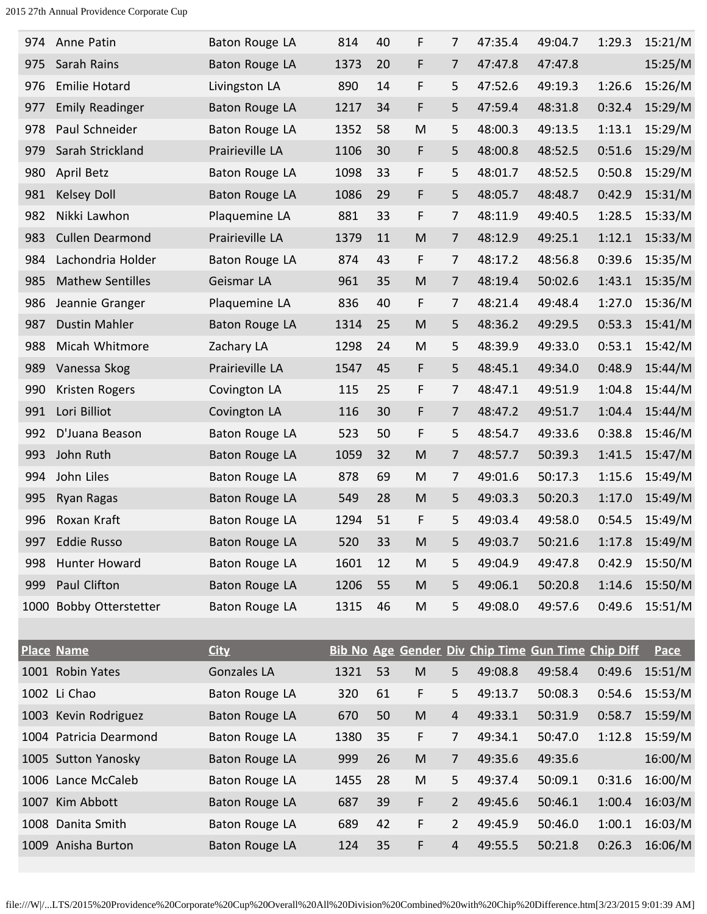| 974 | Anne Patin              | Baton Rouge LA        | 814  | 40 | F         | 7                       | 47:35.4 | 49:04.7                                            | 1:29.3 | 15:21/M     |
|-----|-------------------------|-----------------------|------|----|-----------|-------------------------|---------|----------------------------------------------------|--------|-------------|
| 975 | Sarah Rains             | Baton Rouge LA        | 1373 | 20 | F         | 7                       | 47:47.8 | 47:47.8                                            |        | 15:25/M     |
| 976 | <b>Emilie Hotard</b>    | Livingston LA         | 890  | 14 | F         | 5                       | 47:52.6 | 49:19.3                                            | 1:26.6 | 15:26/M     |
| 977 | <b>Emily Readinger</b>  | Baton Rouge LA        | 1217 | 34 | F         | 5                       | 47:59.4 | 48:31.8                                            | 0:32.4 | 15:29/M     |
| 978 | Paul Schneider          | Baton Rouge LA        | 1352 | 58 | M         | 5                       | 48:00.3 | 49:13.5                                            | 1:13.1 | 15:29/M     |
| 979 | Sarah Strickland        | Prairieville LA       | 1106 | 30 | F         | 5                       | 48:00.8 | 48:52.5                                            | 0:51.6 | 15:29/M     |
| 980 | April Betz              | Baton Rouge LA        | 1098 | 33 | F         | 5                       | 48:01.7 | 48:52.5                                            | 0:50.8 | 15:29/M     |
| 981 | <b>Kelsey Doll</b>      | Baton Rouge LA        | 1086 | 29 | F         | 5                       | 48:05.7 | 48:48.7                                            | 0:42.9 | 15:31/M     |
| 982 | Nikki Lawhon            | Plaquemine LA         | 881  | 33 | F         | 7                       | 48:11.9 | 49:40.5                                            | 1:28.5 | 15:33/M     |
| 983 | <b>Cullen Dearmond</b>  | Prairieville LA       | 1379 | 11 | M         | 7                       | 48:12.9 | 49:25.1                                            | 1:12.1 | 15:33/M     |
| 984 | Lachondria Holder       | Baton Rouge LA        | 874  | 43 | F         | $\overline{7}$          | 48:17.2 | 48:56.8                                            | 0:39.6 | 15:35/M     |
| 985 | <b>Mathew Sentilles</b> | Geismar LA            | 961  | 35 | M         | 7                       | 48:19.4 | 50:02.6                                            | 1:43.1 | 15:35/M     |
| 986 | Jeannie Granger         | Plaquemine LA         | 836  | 40 | F         | 7                       | 48:21.4 | 49:48.4                                            | 1:27.0 | 15:36/M     |
| 987 | <b>Dustin Mahler</b>    | Baton Rouge LA        | 1314 | 25 | M         | 5                       | 48:36.2 | 49:29.5                                            | 0:53.3 | 15:41/M     |
| 988 | Micah Whitmore          | Zachary LA            | 1298 | 24 | M         | 5                       | 48:39.9 | 49:33.0                                            | 0:53.1 | 15:42/M     |
| 989 | Vanessa Skog            | Prairieville LA       | 1547 | 45 | F         | 5                       | 48:45.1 | 49:34.0                                            | 0:48.9 | 15:44/M     |
| 990 | Kristen Rogers          | Covington LA          | 115  | 25 | F         | 7                       | 48:47.1 | 49:51.9                                            | 1:04.8 | 15:44/M     |
| 991 | Lori Billiot            | Covington LA          | 116  | 30 | F         | 7                       | 48:47.2 | 49:51.7                                            | 1:04.4 | 15:44/M     |
| 992 | D'Juana Beason          | Baton Rouge LA        | 523  | 50 | F         | 5                       | 48:54.7 | 49:33.6                                            | 0:38.8 | 15:46/M     |
| 993 | John Ruth               | Baton Rouge LA        | 1059 | 32 | M         | 7                       | 48:57.7 | 50:39.3                                            | 1:41.5 | 15:47/M     |
| 994 | John Liles              | Baton Rouge LA        | 878  | 69 | M         | 7                       | 49:01.6 | 50:17.3                                            | 1:15.6 | 15:49/M     |
| 995 | <b>Ryan Ragas</b>       | Baton Rouge LA        | 549  | 28 | M         | 5                       | 49:03.3 | 50:20.3                                            | 1:17.0 | 15:49/M     |
| 996 | Roxan Kraft             | Baton Rouge LA        | 1294 | 51 | F         | 5                       | 49:03.4 | 49:58.0                                            | 0:54.5 | 15:49/M     |
| 997 | <b>Eddie Russo</b>      | <b>Baton Rouge LA</b> | 520  | 33 | M         | 5                       | 49:03.7 | 50:21.6                                            | 1:17.8 | 15:49/M     |
| 998 | Hunter Howard           | Baton Rouge LA        | 1601 | 12 | M         | 5                       | 49:04.9 | 49:47.8                                            | 0:42.9 | 15:50/M     |
| 999 | Paul Clifton            | <b>Baton Rouge LA</b> | 1206 | 55 | M         | 5                       | 49:06.1 | 50:20.8                                            | 1:14.6 | 15:50/M     |
|     | 1000 Bobby Otterstetter | Baton Rouge LA        | 1315 | 46 | ${\sf M}$ | 5                       | 49:08.0 | 49:57.6                                            | 0:49.6 | 15:51/M     |
|     |                         |                       |      |    |           |                         |         |                                                    |        |             |
|     | <b>Place Name</b>       | <b>City</b>           |      |    |           |                         |         | Bib No Age Gender Div Chip Time Gun Time Chip Diff |        | <b>Pace</b> |
|     | 1001 Robin Yates        | <b>Gonzales LA</b>    | 1321 | 53 | ${\sf M}$ | 5                       | 49:08.8 | 49:58.4                                            | 0:49.6 | 15:51/M     |
|     | 1002 Li Chao            | Baton Rouge LA        | 320  | 61 | F         | 5                       | 49:13.7 | 50:08.3                                            | 0:54.6 | 15:53/M     |
|     | 1003 Kevin Rodriguez    | Baton Rouge LA        | 670  | 50 | ${\sf M}$ | 4                       | 49:33.1 | 50:31.9                                            | 0:58.7 | 15:59/M     |
|     | 1004 Patricia Dearmond  | Baton Rouge LA        | 1380 | 35 | F         | 7                       | 49:34.1 | 50:47.0                                            | 1:12.8 | 15:59/M     |
|     | 1005 Sutton Yanosky     | Baton Rouge LA        | 999  | 26 | ${\sf M}$ | 7                       | 49:35.6 | 49:35.6                                            |        | 16:00/M     |
|     | 1006 Lance McCaleb      | Baton Rouge LA        | 1455 | 28 | M         | 5                       | 49:37.4 | 50:09.1                                            | 0:31.6 | 16:00/M     |
|     | 1007 Kim Abbott         | Baton Rouge LA        | 687  | 39 | F         | $\overline{2}$          | 49:45.6 | 50:46.1                                            | 1:00.4 | 16:03/M     |
|     | 1008 Danita Smith       | Baton Rouge LA        | 689  | 42 | F         | 2                       | 49:45.9 | 50:46.0                                            | 1:00.1 | 16:03/M     |
|     | 1009 Anisha Burton      | Baton Rouge LA        | 124  | 35 | F         | $\overline{\mathbf{r}}$ | 49:55.5 | 50:21.8                                            | 0:26.3 | 16:06/M     |
|     |                         |                       |      |    |           |                         |         |                                                    |        |             |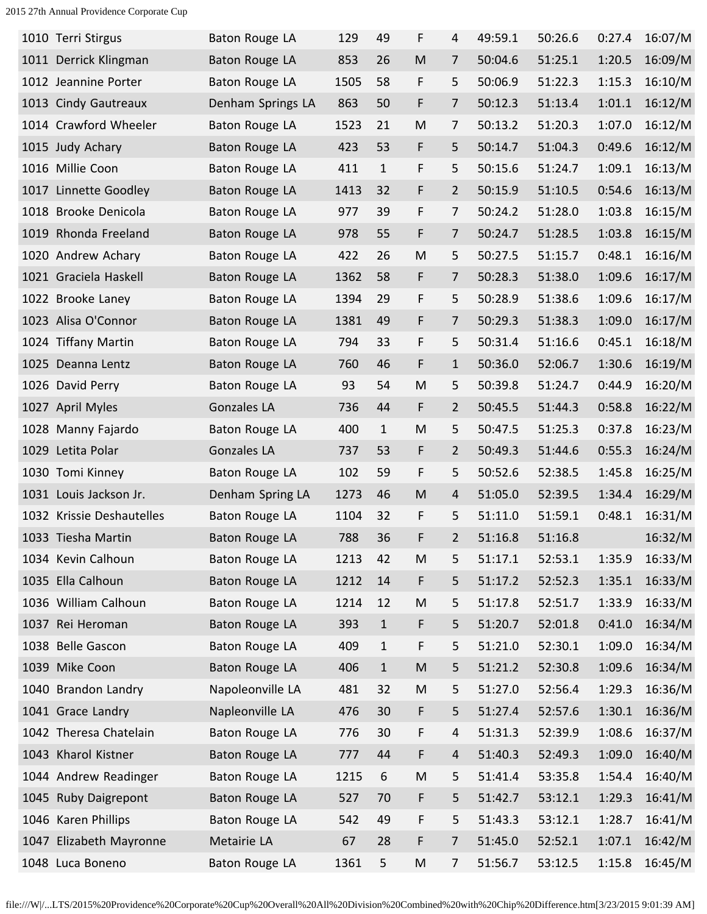| 1010 Terri Stirgus        | Baton Rouge LA        | 129  | 49           | F | 4              | 49:59.1 | 50:26.6 | 0:27.4 | 16:07/M |
|---------------------------|-----------------------|------|--------------|---|----------------|---------|---------|--------|---------|
| 1011 Derrick Klingman     | <b>Baton Rouge LA</b> | 853  | 26           | M | 7              | 50:04.6 | 51:25.1 | 1:20.5 | 16:09/M |
| 1012 Jeannine Porter      | Baton Rouge LA        | 1505 | 58           | F | 5              | 50:06.9 | 51:22.3 | 1:15.3 | 16:10/M |
| 1013 Cindy Gautreaux      | Denham Springs LA     | 863  | 50           | F | 7              | 50:12.3 | 51:13.4 | 1:01.1 | 16:12/M |
| 1014 Crawford Wheeler     | Baton Rouge LA        | 1523 | 21           | M | 7              | 50:13.2 | 51:20.3 | 1:07.0 | 16:12/M |
| 1015 Judy Achary          | Baton Rouge LA        | 423  | 53           | F | 5              | 50:14.7 | 51:04.3 | 0:49.6 | 16:12/M |
| 1016 Millie Coon          | <b>Baton Rouge LA</b> | 411  | $\mathbf{1}$ | F | 5              | 50:15.6 | 51:24.7 | 1:09.1 | 16:13/M |
| 1017 Linnette Goodley     | <b>Baton Rouge LA</b> | 1413 | 32           | F | $\overline{2}$ | 50:15.9 | 51:10.5 | 0:54.6 | 16:13/M |
| 1018 Brooke Denicola      | Baton Rouge LA        | 977  | 39           | F | 7              | 50:24.2 | 51:28.0 | 1:03.8 | 16:15/M |
| 1019 Rhonda Freeland      | Baton Rouge LA        | 978  | 55           | F | 7              | 50:24.7 | 51:28.5 | 1:03.8 | 16:15/M |
| 1020 Andrew Achary        | Baton Rouge LA        | 422  | 26           | M | 5              | 50:27.5 | 51:15.7 | 0:48.1 | 16:16/M |
| 1021 Graciela Haskell     | Baton Rouge LA        | 1362 | 58           | F | 7              | 50:28.3 | 51:38.0 | 1:09.6 | 16:17/M |
| 1022 Brooke Laney         | Baton Rouge LA        | 1394 | 29           | F | 5              | 50:28.9 | 51:38.6 | 1:09.6 | 16:17/M |
| 1023 Alisa O'Connor       | <b>Baton Rouge LA</b> | 1381 | 49           | F | 7              | 50:29.3 | 51:38.3 | 1:09.0 | 16:17/M |
| 1024 Tiffany Martin       | Baton Rouge LA        | 794  | 33           | F | 5              | 50:31.4 | 51:16.6 | 0:45.1 | 16:18/M |
| 1025 Deanna Lentz         | Baton Rouge LA        | 760  | 46           | F | $\mathbf{1}$   | 50:36.0 | 52:06.7 | 1:30.6 | 16:19/M |
| 1026 David Perry          | Baton Rouge LA        | 93   | 54           | M | 5              | 50:39.8 | 51:24.7 | 0:44.9 | 16:20/M |
| 1027 April Myles          | Gonzales LA           | 736  | 44           | F | $\overline{2}$ | 50:45.5 | 51:44.3 | 0:58.8 | 16:22/M |
| 1028 Manny Fajardo        | Baton Rouge LA        | 400  | $\mathbf{1}$ | M | 5              | 50:47.5 | 51:25.3 | 0:37.8 | 16:23/M |
| 1029 Letita Polar         | Gonzales LA           | 737  | 53           | F | $\overline{2}$ | 50:49.3 | 51:44.6 | 0:55.3 | 16:24/M |
| 1030 Tomi Kinney          | Baton Rouge LA        | 102  | 59           | F | 5              | 50:52.6 | 52:38.5 | 1:45.8 | 16:25/M |
| 1031 Louis Jackson Jr.    | Denham Spring LA      | 1273 | 46           | M | 4              | 51:05.0 | 52:39.5 | 1:34.4 | 16:29/M |
| 1032 Krissie Deshautelles | Baton Rouge LA        | 1104 | 32           | F | 5              | 51:11.0 | 51:59.1 | 0:48.1 | 16:31/M |
| 1033 Tiesha Martin        | Baton Rouge LA        | 788  | 36           | F | $\overline{2}$ | 51:16.8 | 51:16.8 |        | 16:32/M |
| 1034 Kevin Calhoun        | Baton Rouge LA        | 1213 | 42           | M | 5              | 51:17.1 | 52:53.1 | 1:35.9 | 16:33/M |
| 1035 Ella Calhoun         | <b>Baton Rouge LA</b> | 1212 | 14           | F | 5              | 51:17.2 | 52:52.3 | 1:35.1 | 16:33/M |
| 1036 William Calhoun      | Baton Rouge LA        | 1214 | 12           | M | 5              | 51:17.8 | 52:51.7 | 1:33.9 | 16:33/M |
| 1037 Rei Heroman          | <b>Baton Rouge LA</b> | 393  | $\mathbf{1}$ | F | 5              | 51:20.7 | 52:01.8 | 0:41.0 | 16:34/M |
| 1038 Belle Gascon         | Baton Rouge LA        | 409  | $\mathbf{1}$ | F | 5              | 51:21.0 | 52:30.1 | 1:09.0 | 16:34/M |
| 1039 Mike Coon            | Baton Rouge LA        | 406  | $\mathbf{1}$ | M | 5              | 51:21.2 | 52:30.8 | 1:09.6 | 16:34/M |
| 1040 Brandon Landry       | Napoleonville LA      | 481  | 32           | M | 5              | 51:27.0 | 52:56.4 | 1:29.3 | 16:36/M |
| 1041 Grace Landry         | Napleonville LA       | 476  | 30           | F | 5              | 51:27.4 | 52:57.6 | 1:30.1 | 16:36/M |
| 1042 Theresa Chatelain    | Baton Rouge LA        | 776  | 30           | F | $\overline{4}$ | 51:31.3 | 52:39.9 | 1:08.6 | 16:37/M |
| 1043 Kharol Kistner       | <b>Baton Rouge LA</b> | 777  | 44           | F | $\overline{4}$ | 51:40.3 | 52:49.3 | 1:09.0 | 16:40/M |
| 1044 Andrew Readinger     | Baton Rouge LA        | 1215 | $\sqrt{6}$   | M | 5              | 51:41.4 | 53:35.8 | 1:54.4 | 16:40/M |
| 1045 Ruby Daigrepont      | Baton Rouge LA        | 527  | 70           | F | 5              | 51:42.7 | 53:12.1 | 1:29.3 | 16:41/M |
| 1046 Karen Phillips       | Baton Rouge LA        | 542  | 49           | F | 5              | 51:43.3 | 53:12.1 | 1:28.7 | 16:41/M |
| 1047 Elizabeth Mayronne   | Metairie LA           | 67   | 28           | F | $\overline{7}$ | 51:45.0 | 52:52.1 | 1:07.1 | 16:42/M |
| 1048 Luca Boneno          | Baton Rouge LA        | 1361 | 5            | M | 7              | 51:56.7 | 53:12.5 | 1:15.8 | 16:45/M |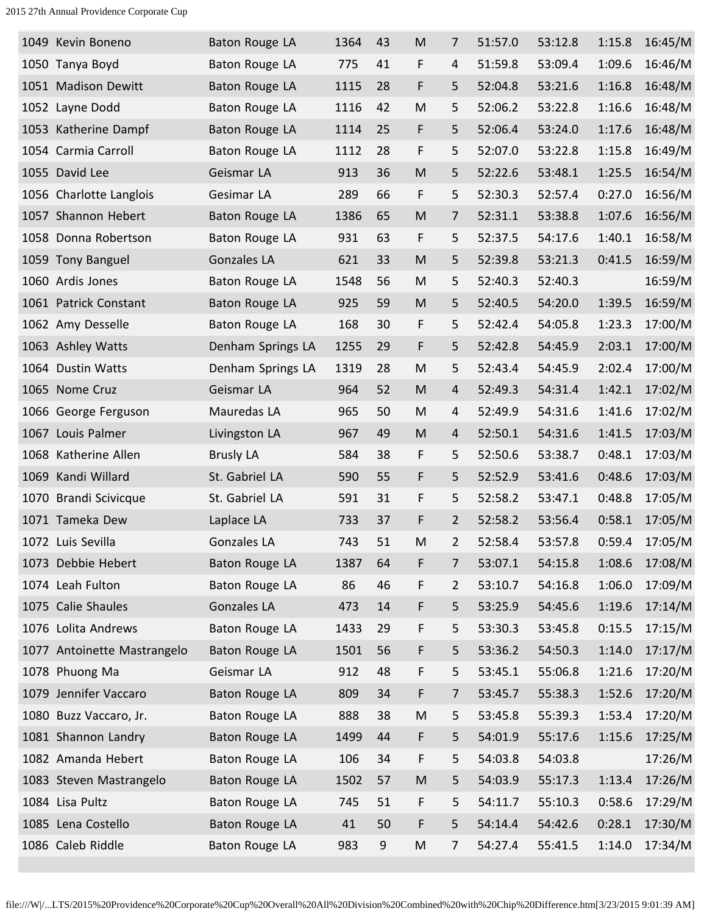|      | 1049 Kevin Boneno           | Baton Rouge LA        | 1364 | 43 | M         | 7              | 51:57.0 | 53:12.8 | 1:15.8 | 16:45/M |
|------|-----------------------------|-----------------------|------|----|-----------|----------------|---------|---------|--------|---------|
|      | 1050 Tanya Boyd             | Baton Rouge LA        | 775  | 41 | F         | 4              | 51:59.8 | 53:09.4 | 1:09.6 | 16:46/M |
|      | 1051 Madison Dewitt         | <b>Baton Rouge LA</b> | 1115 | 28 | F         | 5              | 52:04.8 | 53:21.6 | 1:16.8 | 16:48/M |
|      | 1052 Layne Dodd             | Baton Rouge LA        | 1116 | 42 | M         | 5              | 52:06.2 | 53:22.8 | 1:16.6 | 16:48/M |
|      | 1053 Katherine Dampf        | Baton Rouge LA        | 1114 | 25 | F         | 5              | 52:06.4 | 53:24.0 | 1:17.6 | 16:48/M |
|      | 1054 Carmia Carroll         | Baton Rouge LA        | 1112 | 28 | F         | 5              | 52:07.0 | 53:22.8 | 1:15.8 | 16:49/M |
|      | 1055 David Lee              | Geismar LA            | 913  | 36 | M         | 5              | 52:22.6 | 53:48.1 | 1:25.5 | 16:54/M |
|      | 1056 Charlotte Langlois     | Gesimar LA            | 289  | 66 | F         | 5              | 52:30.3 | 52:57.4 | 0:27.0 | 16:56/M |
|      | 1057 Shannon Hebert         | <b>Baton Rouge LA</b> | 1386 | 65 | M         | 7              | 52:31.1 | 53:38.8 | 1:07.6 | 16:56/M |
|      | 1058 Donna Robertson        | Baton Rouge LA        | 931  | 63 | F         | 5              | 52:37.5 | 54:17.6 | 1:40.1 | 16:58/M |
|      | 1059 Tony Banguel           | <b>Gonzales LA</b>    | 621  | 33 | M         | 5              | 52:39.8 | 53:21.3 | 0:41.5 | 16:59/M |
|      | 1060 Ardis Jones            | <b>Baton Rouge LA</b> | 1548 | 56 | M         | 5              | 52:40.3 | 52:40.3 |        | 16:59/M |
|      | 1061 Patrick Constant       | <b>Baton Rouge LA</b> | 925  | 59 | M         | 5              | 52:40.5 | 54:20.0 | 1:39.5 | 16:59/M |
|      | 1062 Amy Desselle           | <b>Baton Rouge LA</b> | 168  | 30 | F         | 5              | 52:42.4 | 54:05.8 | 1:23.3 | 17:00/M |
|      | 1063 Ashley Watts           | Denham Springs LA     | 1255 | 29 | F         | 5              | 52:42.8 | 54:45.9 | 2:03.1 | 17:00/M |
|      | 1064 Dustin Watts           | Denham Springs LA     | 1319 | 28 | M         | 5              | 52:43.4 | 54:45.9 | 2:02.4 | 17:00/M |
|      | 1065 Nome Cruz              | Geismar LA            | 964  | 52 | M         | 4              | 52:49.3 | 54:31.4 | 1:42.1 | 17:02/M |
|      | 1066 George Ferguson        | Mauredas LA           | 965  | 50 | M         | 4              | 52:49.9 | 54:31.6 | 1:41.6 | 17:02/M |
| 1067 | Louis Palmer                | Livingston LA         | 967  | 49 | M         | 4              | 52:50.1 | 54:31.6 | 1:41.5 | 17:03/M |
|      | 1068 Katherine Allen        | <b>Brusly LA</b>      | 584  | 38 | F         | 5              | 52:50.6 | 53:38.7 | 0:48.1 | 17:03/M |
| 1069 | Kandi Willard               | St. Gabriel LA        | 590  | 55 | F         | 5              | 52:52.9 | 53:41.6 | 0:48.6 | 17:03/M |
| 1070 | <b>Brandi Scivicque</b>     | St. Gabriel LA        | 591  | 31 | F         | 5              | 52:58.2 | 53:47.1 | 0:48.8 | 17:05/M |
|      | 1071 Tameka Dew             | Laplace LA            | 733  | 37 | F         | $\overline{2}$ | 52:58.2 | 53:56.4 | 0:58.1 | 17:05/M |
|      | 1072 Luis Sevilla           | <b>Gonzales LA</b>    | 743  | 51 | M         | 2              | 52:58.4 | 53:57.8 | 0:59.4 | 17:05/M |
|      | 1073 Debbie Hebert          | Baton Rouge LA        | 1387 | 64 | F         | 7              | 53:07.1 | 54:15.8 | 1:08.6 | 17:08/M |
|      | 1074 Leah Fulton            | Baton Rouge LA        | 86   | 46 | F         | 2              | 53:10.7 | 54:16.8 | 1:06.0 | 17:09/M |
|      | 1075 Calie Shaules          | <b>Gonzales LA</b>    | 473  | 14 | F         | 5              | 53:25.9 | 54:45.6 | 1:19.6 | 17:14/M |
|      | 1076 Lolita Andrews         | Baton Rouge LA        | 1433 | 29 | F         | 5              | 53:30.3 | 53:45.8 | 0:15.5 | 17:15/M |
|      | 1077 Antoinette Mastrangelo | <b>Baton Rouge LA</b> | 1501 | 56 | F         | 5              | 53:36.2 | 54:50.3 | 1:14.0 | 17:17/M |
|      | 1078 Phuong Ma              | Geismar LA            | 912  | 48 | F         | 5              | 53:45.1 | 55:06.8 | 1:21.6 | 17:20/M |
|      | 1079 Jennifer Vaccaro       | Baton Rouge LA        | 809  | 34 | F         | 7              | 53:45.7 | 55:38.3 | 1:52.6 | 17:20/M |
|      | 1080 Buzz Vaccaro, Jr.      | Baton Rouge LA        | 888  | 38 | M         | 5              | 53:45.8 | 55:39.3 | 1:53.4 | 17:20/M |
|      | 1081 Shannon Landry         | Baton Rouge LA        | 1499 | 44 | F         | 5              | 54:01.9 | 55:17.6 | 1:15.6 | 17:25/M |
|      | 1082 Amanda Hebert          | Baton Rouge LA        | 106  | 34 | F         | 5              | 54:03.8 | 54:03.8 |        | 17:26/M |
|      | 1083 Steven Mastrangelo     | <b>Baton Rouge LA</b> | 1502 | 57 | ${\sf M}$ | 5              | 54:03.9 | 55:17.3 | 1:13.4 | 17:26/M |
|      | 1084 Lisa Pultz             | Baton Rouge LA        | 745  | 51 | F         | 5              | 54:11.7 | 55:10.3 | 0:58.6 | 17:29/M |
|      | 1085 Lena Costello          | Baton Rouge LA        | 41   | 50 | F         | 5              | 54:14.4 | 54:42.6 | 0:28.1 | 17:30/M |
|      | 1086 Caleb Riddle           | Baton Rouge LA        | 983  | 9  | M         | $\overline{7}$ | 54:27.4 | 55:41.5 | 1:14.0 | 17:34/M |
|      |                             |                       |      |    |           |                |         |         |        |         |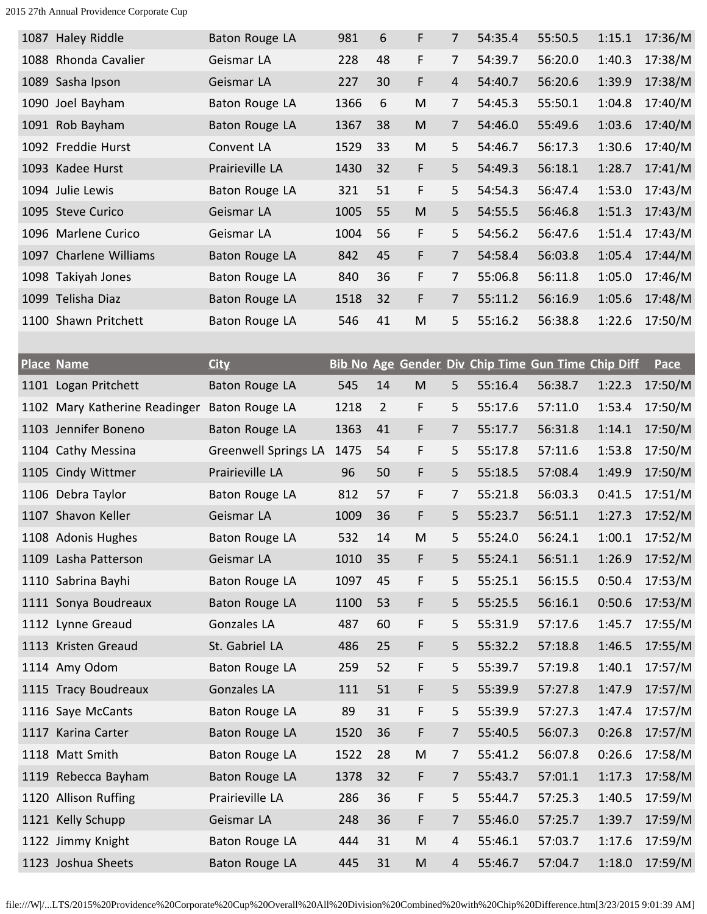| 1087 Haley Riddle      | Baton Rouge LA  | 981  | 6  | F  | $\overline{7}$ | 54:35.4 | 55:50.5 | 1:15.1 | 17:36/M |
|------------------------|-----------------|------|----|----|----------------|---------|---------|--------|---------|
| 1088 Rhonda Cavalier   | Geismar LA      | 228  | 48 | F  | $\overline{7}$ | 54:39.7 | 56:20.0 | 1:40.3 | 17:38/M |
| 1089 Sasha Ipson       | Geismar LA      | 227  | 30 | F  | $\overline{4}$ | 54:40.7 | 56:20.6 | 1:39.9 | 17:38/M |
| 1090 Joel Bayham       | Baton Rouge LA  | 1366 | 6  | M  | $\overline{7}$ | 54:45.3 | 55:50.1 | 1:04.8 | 17:40/M |
| 1091 Rob Bayham        | Baton Rouge LA  | 1367 | 38 | M  | $\overline{7}$ | 54:46.0 | 55:49.6 | 1:03.6 | 17:40/M |
| 1092 Freddie Hurst     | Convent LA      | 1529 | 33 | M  | 5              | 54:46.7 | 56:17.3 | 1:30.6 | 17:40/M |
| 1093 Kadee Hurst       | Prairieville LA | 1430 | 32 | F  | 5              | 54:49.3 | 56:18.1 | 1:28.7 | 17:41/M |
| 1094 Julie Lewis       | Baton Rouge LA  | 321  | 51 | F  | 5              | 54:54.3 | 56:47.4 | 1:53.0 | 17:43/M |
| 1095 Steve Curico      | Geismar LA      | 1005 | 55 | M  | 5 <sup>1</sup> | 54:55.5 | 56:46.8 | 1:51.3 | 17:43/M |
| 1096 Marlene Curico    | Geismar LA      | 1004 | 56 | F  | 5              | 54:56.2 | 56:47.6 | 1:51.4 | 17:43/M |
| 1097 Charlene Williams | Baton Rouge LA  | 842  | 45 | F  | $\overline{7}$ | 54:58.4 | 56:03.8 | 1:05.4 | 17:44/M |
| 1098 Takiyah Jones     | Baton Rouge LA  | 840  | 36 | F  | 7              | 55:06.8 | 56:11.8 | 1:05.0 | 17:46/M |
| 1099 Telisha Diaz      | Baton Rouge LA  | 1518 | 32 | F. | $\overline{7}$ | 55:11.2 | 56:16.9 | 1:05.6 | 17:48/M |
| 1100 Shawn Pritchett   | Baton Rouge LA  | 546  | 41 | M  | 5              | 55:16.2 | 56:38.8 | 1:22.6 | 17:50/M |
|                        |                 |      |    |    |                |         |         |        |         |

| <b>Place Name</b>                            | <b>City</b>                 |      |                |                                                                                       |                | Bib No Age Gender Div Chip Time Gun Time Chip Diff |         |        | <b>Pace</b> |
|----------------------------------------------|-----------------------------|------|----------------|---------------------------------------------------------------------------------------|----------------|----------------------------------------------------|---------|--------|-------------|
| 1101 Logan Pritchett                         | <b>Baton Rouge LA</b>       | 545  | 14             | $\mathsf{M}% _{T}=\mathsf{M}_{T}\!\left( a,b\right) ,\ \mathsf{M}_{T}=\mathsf{M}_{T}$ | 5              | 55:16.4                                            | 56:38.7 | 1:22.3 | 17:50/M     |
| 1102 Mary Katherine Readinger Baton Rouge LA |                             | 1218 | $\overline{2}$ | F                                                                                     | 5              | 55:17.6                                            | 57:11.0 | 1:53.4 | 17:50/M     |
| 1103 Jennifer Boneno                         | Baton Rouge LA              | 1363 | 41             | F                                                                                     | 7              | 55:17.7                                            | 56:31.8 | 1:14.1 | 17:50/M     |
| 1104 Cathy Messina                           | <b>Greenwell Springs LA</b> | 1475 | 54             | F                                                                                     | 5              | 55:17.8                                            | 57:11.6 | 1:53.8 | 17:50/M     |
| 1105 Cindy Wittmer                           | Prairieville LA             | 96   | 50             | F                                                                                     | 5              | 55:18.5                                            | 57:08.4 | 1:49.9 | 17:50/M     |
| 1106 Debra Taylor                            | Baton Rouge LA              | 812  | 57             | F                                                                                     | 7              | 55:21.8                                            | 56:03.3 | 0:41.5 | 17:51/M     |
| 1107 Shavon Keller                           | Geismar LA                  | 1009 | 36             | F                                                                                     | 5              | 55:23.7                                            | 56:51.1 | 1:27.3 | 17:52/M     |
| 1108 Adonis Hughes                           | Baton Rouge LA              | 532  | 14             | M                                                                                     | 5              | 55:24.0                                            | 56:24.1 | 1:00.1 | 17:52/M     |
| 1109 Lasha Patterson                         | Geismar LA                  | 1010 | 35             | F                                                                                     | 5              | 55:24.1                                            | 56:51.1 | 1:26.9 | 17:52/M     |
| 1110 Sabrina Bayhi                           | Baton Rouge LA              | 1097 | 45             | F                                                                                     | 5              | 55:25.1                                            | 56:15.5 | 0:50.4 | 17:53/M     |
| 1111 Sonya Boudreaux                         | Baton Rouge LA              | 1100 | 53             | F                                                                                     | 5              | 55:25.5                                            | 56:16.1 | 0:50.6 | 17:53/M     |
| 1112 Lynne Greaud                            | Gonzales LA                 | 487  | 60             | F                                                                                     | 5              | 55:31.9                                            | 57:17.6 | 1:45.7 | 17:55/M     |
| 1113 Kristen Greaud                          | St. Gabriel LA              | 486  | 25             | F                                                                                     | 5              | 55:32.2                                            | 57:18.8 | 1:46.5 | 17:55/M     |
| 1114 Amy Odom                                | Baton Rouge LA              | 259  | 52             | F                                                                                     | 5              | 55:39.7                                            | 57:19.8 | 1:40.1 | 17:57/M     |
| 1115 Tracy Boudreaux                         | Gonzales LA                 | 111  | 51             | F                                                                                     | 5              | 55:39.9                                            | 57:27.8 | 1:47.9 | 17:57/M     |
| 1116 Saye McCants                            | Baton Rouge LA              | 89   | 31             | F                                                                                     | 5              | 55:39.9                                            | 57:27.3 | 1:47.4 | 17:57/M     |
| 1117 Karina Carter                           | Baton Rouge LA              | 1520 | 36             | F                                                                                     | $\overline{7}$ | 55:40.5                                            | 56:07.3 | 0:26.8 | 17:57/M     |
| 1118 Matt Smith                              | Baton Rouge LA              | 1522 | 28             | M                                                                                     | $\overline{7}$ | 55:41.2                                            | 56:07.8 | 0:26.6 | 17:58/M     |
| 1119 Rebecca Bayham                          | Baton Rouge LA              | 1378 | 32             | F                                                                                     | $\overline{7}$ | 55:43.7                                            | 57:01.1 | 1:17.3 | 17:58/M     |
| 1120 Allison Ruffing                         | Prairieville LA             | 286  | 36             | F                                                                                     | 5              | 55:44.7                                            | 57:25.3 | 1:40.5 | 17:59/M     |
| 1121 Kelly Schupp                            | Geismar LA                  | 248  | 36             | F                                                                                     | $\overline{7}$ | 55:46.0                                            | 57:25.7 | 1:39.7 | 17:59/M     |
| 1122 Jimmy Knight                            | Baton Rouge LA              | 444  | 31             | M                                                                                     | 4              | 55:46.1                                            | 57:03.7 | 1:17.6 | 17:59/M     |
| 1123 Joshua Sheets                           | Baton Rouge LA              | 445  | 31             | M                                                                                     | 4              | 55:46.7                                            | 57:04.7 | 1:18.0 | 17:59/M     |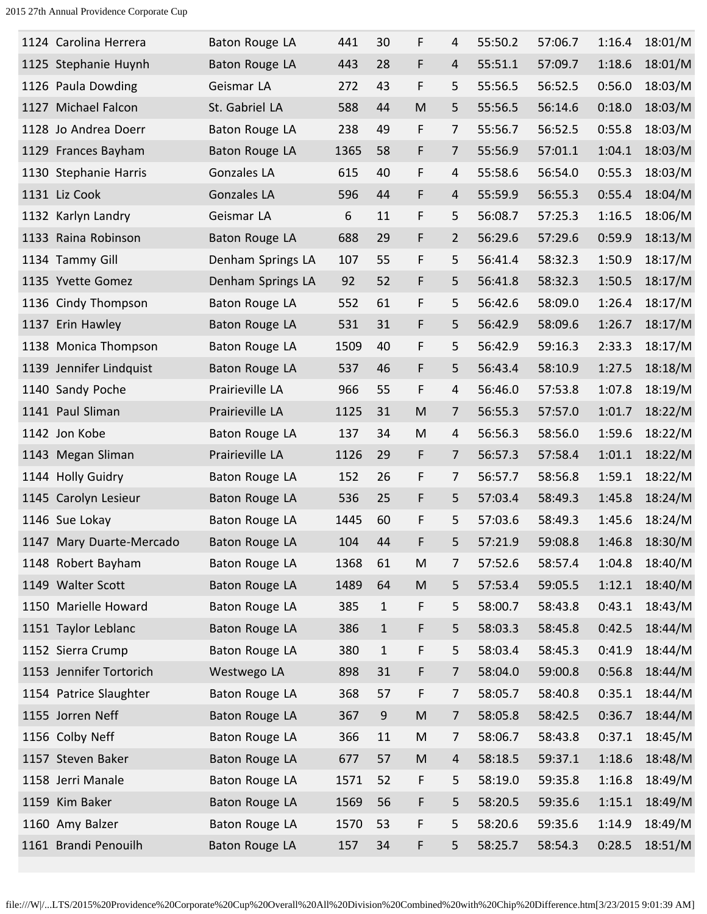| 1124 Carolina Herrera    | <b>Baton Rouge LA</b> | 441  | 30           | F         | 4              | 55:50.2 | 57:06.7 | 1:16.4 | 18:01/M |
|--------------------------|-----------------------|------|--------------|-----------|----------------|---------|---------|--------|---------|
| 1125 Stephanie Huynh     | <b>Baton Rouge LA</b> | 443  | 28           | F         | 4              | 55:51.1 | 57:09.7 | 1:18.6 | 18:01/M |
| 1126 Paula Dowding       | Geismar LA            | 272  | 43           | F         | 5              | 55:56.5 | 56:52.5 | 0:56.0 | 18:03/M |
| 1127 Michael Falcon      | St. Gabriel LA        | 588  | 44           | M         | 5              | 55:56.5 | 56:14.6 | 0:18.0 | 18:03/M |
| 1128 Jo Andrea Doerr     | Baton Rouge LA        | 238  | 49           | F         | 7              | 55:56.7 | 56:52.5 | 0:55.8 | 18:03/M |
| 1129 Frances Bayham      | <b>Baton Rouge LA</b> | 1365 | 58           | F         | $\overline{7}$ | 55:56.9 | 57:01.1 | 1:04.1 | 18:03/M |
| 1130 Stephanie Harris    | Gonzales LA           | 615  | 40           | F         | 4              | 55:58.6 | 56:54.0 | 0:55.3 | 18:03/M |
| 1131 Liz Cook            | <b>Gonzales LA</b>    | 596  | 44           | F         | 4              | 55:59.9 | 56:55.3 | 0:55.4 | 18:04/M |
| 1132 Karlyn Landry       | Geismar LA            | 6    | 11           | F         | 5              | 56:08.7 | 57:25.3 | 1:16.5 | 18:06/M |
| 1133 Raina Robinson      | <b>Baton Rouge LA</b> | 688  | 29           | F         | $\overline{2}$ | 56:29.6 | 57:29.6 | 0:59.9 | 18:13/M |
| 1134 Tammy Gill          | Denham Springs LA     | 107  | 55           | F         | 5              | 56:41.4 | 58:32.3 | 1:50.9 | 18:17/M |
| 1135 Yvette Gomez        | Denham Springs LA     | 92   | 52           | F         | 5              | 56:41.8 | 58:32.3 | 1:50.5 | 18:17/M |
| 1136 Cindy Thompson      | Baton Rouge LA        | 552  | 61           | F         | 5              | 56:42.6 | 58:09.0 | 1:26.4 | 18:17/M |
| 1137 Erin Hawley         | Baton Rouge LA        | 531  | 31           | F         | 5              | 56:42.9 | 58:09.6 | 1:26.7 | 18:17/M |
| 1138 Monica Thompson     | Baton Rouge LA        | 1509 | 40           | F         | 5              | 56:42.9 | 59:16.3 | 2:33.3 | 18:17/M |
| 1139 Jennifer Lindquist  | Baton Rouge LA        | 537  | 46           | F         | 5              | 56:43.4 | 58:10.9 | 1:27.5 | 18:18/M |
| 1140 Sandy Poche         | Prairieville LA       | 966  | 55           | F         | 4              | 56:46.0 | 57:53.8 | 1:07.8 | 18:19/M |
| 1141 Paul Sliman         | Prairieville LA       | 1125 | 31           | ${\sf M}$ | 7              | 56:55.3 | 57:57.0 | 1:01.7 | 18:22/M |
| 1142 Jon Kobe            | Baton Rouge LA        | 137  | 34           | M         | 4              | 56:56.3 | 58:56.0 | 1:59.6 | 18:22/M |
| 1143 Megan Sliman        | Prairieville LA       | 1126 | 29           | F         | 7              | 56:57.3 | 57:58.4 | 1:01.1 | 18:22/M |
| 1144 Holly Guidry        | Baton Rouge LA        | 152  | 26           | F         | 7              | 56:57.7 | 58:56.8 | 1:59.1 | 18:22/M |
| 1145 Carolyn Lesieur     | Baton Rouge LA        | 536  | 25           | F         | 5              | 57:03.4 | 58:49.3 | 1:45.8 | 18:24/M |
| 1146 Sue Lokay           | Baton Rouge LA        | 1445 | 60           | F         | 5              | 57:03.6 | 58:49.3 | 1:45.6 | 18:24/M |
| 1147 Mary Duarte-Mercado | Baton Rouge LA        | 104  | 44           | F         | 5              | 57:21.9 | 59:08.8 | 1:46.8 | 18:30/M |
| 1148 Robert Bayham       | Baton Rouge LA        | 1368 | 61           | ${\sf M}$ | 7              | 57:52.6 | 58:57.4 | 1:04.8 | 18:40/M |
| 1149 Walter Scott        | Baton Rouge LA        | 1489 | 64           | ${\sf M}$ | 5              | 57:53.4 | 59:05.5 | 1:12.1 | 18:40/M |
| 1150 Marielle Howard     | Baton Rouge LA        | 385  | $\mathbf{1}$ | F         | 5              | 58:00.7 | 58:43.8 | 0:43.1 | 18:43/M |
| 1151 Taylor Leblanc      | Baton Rouge LA        | 386  | $\mathbf{1}$ | F         | 5              | 58:03.3 | 58:45.8 | 0:42.5 | 18:44/M |
| 1152 Sierra Crump        | Baton Rouge LA        | 380  | $1\,$        | F         | 5              | 58:03.4 | 58:45.3 | 0:41.9 | 18:44/M |
| 1153 Jennifer Tortorich  | Westwego LA           | 898  | 31           | F         | $\overline{7}$ | 58:04.0 | 59:00.8 | 0:56.8 | 18:44/M |
| 1154 Patrice Slaughter   | Baton Rouge LA        | 368  | 57           | F         | $\overline{7}$ | 58:05.7 | 58:40.8 | 0:35.1 | 18:44/M |
| 1155 Jorren Neff         | Baton Rouge LA        | 367  | $9\,$        | ${\sf M}$ | 7              | 58:05.8 | 58:42.5 | 0:36.7 | 18:44/M |
| 1156 Colby Neff          | Baton Rouge LA        | 366  | 11           | M         | $\overline{7}$ | 58:06.7 | 58:43.8 | 0:37.1 | 18:45/M |
| 1157 Steven Baker        | Baton Rouge LA        | 677  | 57           | ${\sf M}$ | $\overline{4}$ | 58:18.5 | 59:37.1 | 1:18.6 | 18:48/M |
| 1158 Jerri Manale        | Baton Rouge LA        | 1571 | 52           | F         | 5              | 58:19.0 | 59:35.8 | 1:16.8 | 18:49/M |
| 1159 Kim Baker           | Baton Rouge LA        | 1569 | 56           | F         | 5              | 58:20.5 | 59:35.6 | 1:15.1 | 18:49/M |
| 1160 Amy Balzer          | Baton Rouge LA        | 1570 | 53           | F         | 5              | 58:20.6 | 59:35.6 | 1:14.9 | 18:49/M |
| 1161 Brandi Penouilh     | <b>Baton Rouge LA</b> | 157  | 34           | F         | 5              | 58:25.7 | 58:54.3 | 0:28.5 | 18:51/M |
|                          |                       |      |              |           |                |         |         |        |         |